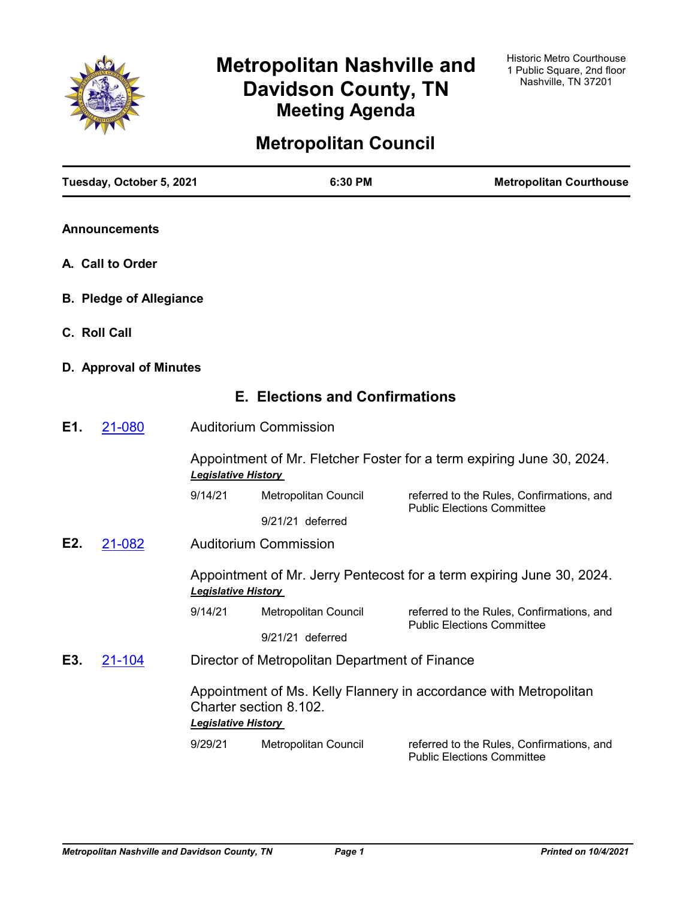

# **Metropolitan Nashville and Davidson County, TN Meeting Agenda**

# **Metropolitan Council**

|     | Tuesday, October 5, 2021       |                                                                                                                           | 6:30 PM                                        | <b>Metropolitan Courthouse</b>                                                 |
|-----|--------------------------------|---------------------------------------------------------------------------------------------------------------------------|------------------------------------------------|--------------------------------------------------------------------------------|
|     | <b>Announcements</b>           |                                                                                                                           |                                                |                                                                                |
|     | A. Call to Order               |                                                                                                                           |                                                |                                                                                |
|     | <b>B. Pledge of Allegiance</b> |                                                                                                                           |                                                |                                                                                |
|     | C. Roll Call                   |                                                                                                                           |                                                |                                                                                |
|     | D. Approval of Minutes         |                                                                                                                           |                                                |                                                                                |
|     |                                |                                                                                                                           | <b>E. Elections and Confirmations</b>          |                                                                                |
| E1. | 21-080                         |                                                                                                                           | <b>Auditorium Commission</b>                   |                                                                                |
|     |                                | <b>Legislative History</b>                                                                                                |                                                | Appointment of Mr. Fletcher Foster for a term expiring June 30, 2024.          |
|     |                                | 9/14/21                                                                                                                   | Metropolitan Council                           | referred to the Rules, Confirmations, and<br><b>Public Elections Committee</b> |
|     |                                |                                                                                                                           | 9/21/21 deferred                               |                                                                                |
| E2. | 21-082                         |                                                                                                                           | <b>Auditorium Commission</b>                   |                                                                                |
|     |                                | <b>Legislative History</b>                                                                                                |                                                | Appointment of Mr. Jerry Pentecost for a term expiring June 30, 2024.          |
|     |                                | 9/14/21                                                                                                                   | Metropolitan Council                           | referred to the Rules, Confirmations, and                                      |
|     |                                |                                                                                                                           | 9/21/21 deferred                               | <b>Public Elections Committee</b>                                              |
| E3. | 21-104                         |                                                                                                                           | Director of Metropolitan Department of Finance |                                                                                |
|     |                                | Appointment of Ms. Kelly Flannery in accordance with Metropolitan<br>Charter section 8.102.<br><b>Legislative History</b> |                                                |                                                                                |
|     |                                | 9/29/21                                                                                                                   | Metropolitan Council                           | referred to the Rules, Confirmations, and<br><b>Public Elections Committee</b> |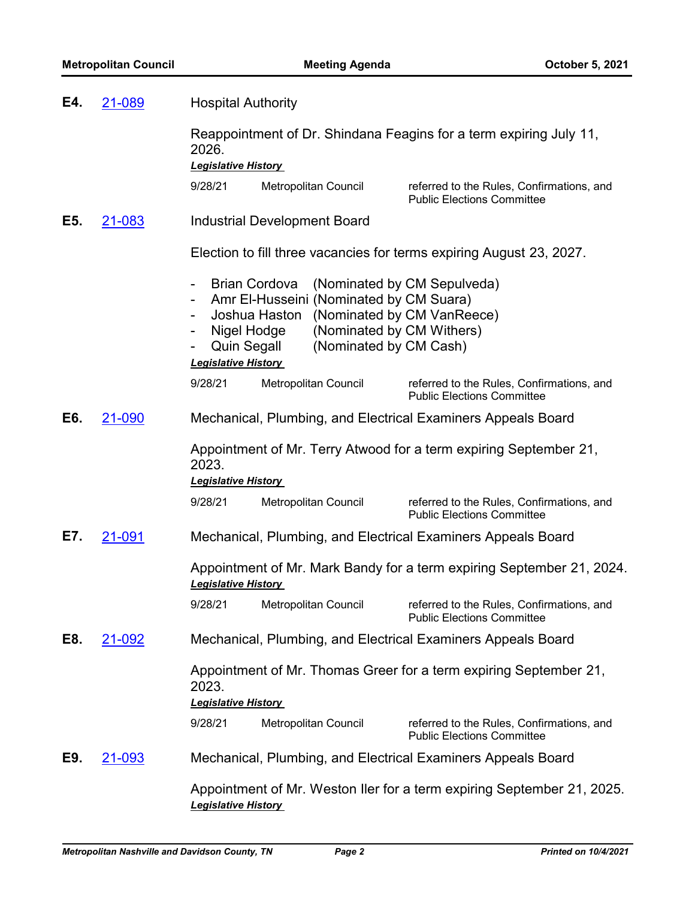| E4. | 21-089 | <b>Hospital Authority</b>                                                                                                                                                         |                                                                                                                  |  |  |
|-----|--------|-----------------------------------------------------------------------------------------------------------------------------------------------------------------------------------|------------------------------------------------------------------------------------------------------------------|--|--|
|     |        | 2026.                                                                                                                                                                             | Reappointment of Dr. Shindana Feagins for a term expiring July 11,                                               |  |  |
|     |        | <b>Legislative History</b>                                                                                                                                                        |                                                                                                                  |  |  |
|     |        | 9/28/21<br>Metropolitan Council                                                                                                                                                   | referred to the Rules, Confirmations, and<br><b>Public Elections Committee</b>                                   |  |  |
| E5. | 21-083 | <b>Industrial Development Board</b>                                                                                                                                               |                                                                                                                  |  |  |
|     |        |                                                                                                                                                                                   | Election to fill three vacancies for terms expiring August 23, 2027.                                             |  |  |
|     |        | <b>Brian Cordova</b><br>-<br>Amr El-Husseini (Nominated by CM Suara)<br>$\qquad \qquad \blacksquare$<br>Joshua Haston<br>Nigel Hodge<br>Quin Segall<br><b>Legislative History</b> | (Nominated by CM Sepulveda)<br>(Nominated by CM VanReece)<br>(Nominated by CM Withers)<br>(Nominated by CM Cash) |  |  |
|     |        | 9/28/21<br>Metropolitan Council                                                                                                                                                   | referred to the Rules, Confirmations, and<br><b>Public Elections Committee</b>                                   |  |  |
| E6. | 21-090 |                                                                                                                                                                                   | Mechanical, Plumbing, and Electrical Examiners Appeals Board                                                     |  |  |
|     |        | 2023.<br><b>Legislative History</b>                                                                                                                                               | Appointment of Mr. Terry Atwood for a term expiring September 21,                                                |  |  |
|     |        | 9/28/21<br>Metropolitan Council                                                                                                                                                   | referred to the Rules, Confirmations, and<br><b>Public Elections Committee</b>                                   |  |  |
| E7. | 21-091 |                                                                                                                                                                                   | Mechanical, Plumbing, and Electrical Examiners Appeals Board                                                     |  |  |
|     |        | <b>Legislative History</b>                                                                                                                                                        | Appointment of Mr. Mark Bandy for a term expiring September 21, 2024.                                            |  |  |
|     |        |                                                                                                                                                                                   | 9/28/21 Metropolitan Council referred to the Rules, Confirmations, and<br><b>Public Elections Committee</b>      |  |  |
| E8. | 21-092 |                                                                                                                                                                                   | Mechanical, Plumbing, and Electrical Examiners Appeals Board                                                     |  |  |
|     |        | 2023.<br><b>Legislative History</b>                                                                                                                                               | Appointment of Mr. Thomas Greer for a term expiring September 21,                                                |  |  |
|     |        | 9/28/21<br>Metropolitan Council                                                                                                                                                   | referred to the Rules, Confirmations, and<br><b>Public Elections Committee</b>                                   |  |  |
| E9. | 21-093 |                                                                                                                                                                                   | Mechanical, Plumbing, and Electrical Examiners Appeals Board                                                     |  |  |
|     |        |                                                                                                                                                                                   | Appointment of Mr. Weston Iler for a term expiring September 21, 2025.                                           |  |  |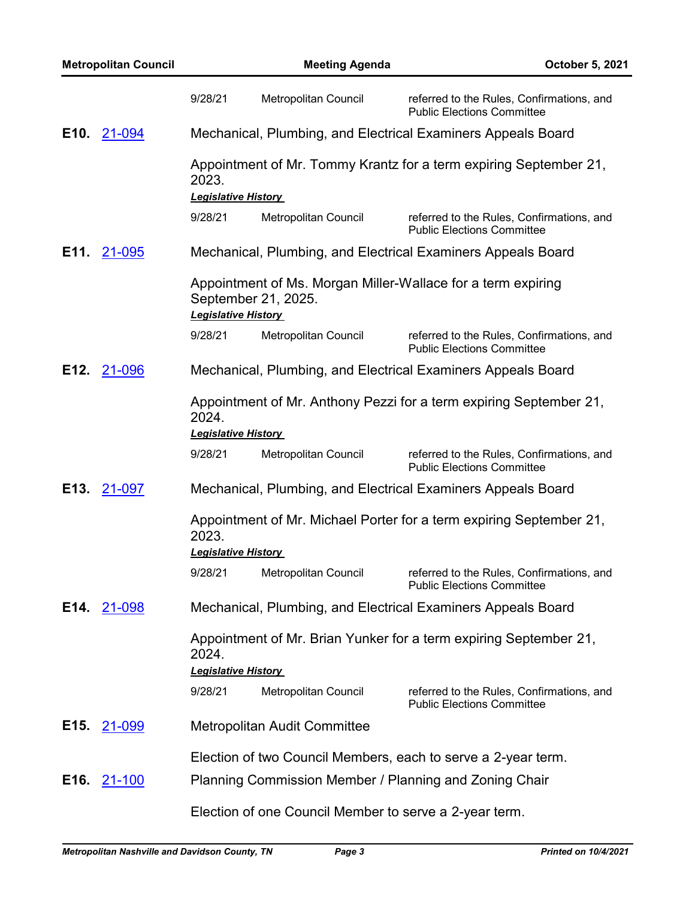|                   | <b>Metropolitan Council</b> |                                     | <b>Meeting Agenda</b>                                  | October 5, 2021                                                                |
|-------------------|-----------------------------|-------------------------------------|--------------------------------------------------------|--------------------------------------------------------------------------------|
|                   |                             | 9/28/21                             | <b>Metropolitan Council</b>                            | referred to the Rules, Confirmations, and<br><b>Public Elections Committee</b> |
| E <sub>10</sub> . | 21-094                      |                                     |                                                        | Mechanical, Plumbing, and Electrical Examiners Appeals Board                   |
|                   |                             | 2023.<br><b>Legislative History</b> |                                                        | Appointment of Mr. Tommy Krantz for a term expiring September 21,              |
|                   |                             | 9/28/21                             | Metropolitan Council                                   | referred to the Rules, Confirmations, and<br><b>Public Elections Committee</b> |
|                   | E11. 21-095                 |                                     |                                                        | Mechanical, Plumbing, and Electrical Examiners Appeals Board                   |
|                   |                             | <b>Legislative History</b>          | September 21, 2025.                                    | Appointment of Ms. Morgan Miller-Wallace for a term expiring                   |
|                   |                             | 9/28/21                             | Metropolitan Council                                   | referred to the Rules, Confirmations, and<br><b>Public Elections Committee</b> |
| E12.              | 21-096                      |                                     |                                                        | Mechanical, Plumbing, and Electrical Examiners Appeals Board                   |
|                   |                             | 2024.<br><b>Legislative History</b> |                                                        | Appointment of Mr. Anthony Pezzi for a term expiring September 21,             |
|                   |                             | 9/28/21                             | Metropolitan Council                                   | referred to the Rules, Confirmations, and<br><b>Public Elections Committee</b> |
| E <sub>13</sub> . | 21-097                      |                                     |                                                        | Mechanical, Plumbing, and Electrical Examiners Appeals Board                   |
|                   |                             | 2023.                               |                                                        | Appointment of Mr. Michael Porter for a term expiring September 21,            |
|                   |                             | <b>Legislative History</b>          |                                                        |                                                                                |
|                   |                             | 9/28/21                             | <b>Metropolitan Council</b>                            | referred to the Rules, Confirmations, and<br><b>Public Elections Committee</b> |
| E14.              | 21-098                      |                                     |                                                        | Mechanical, Plumbing, and Electrical Examiners Appeals Board                   |
|                   |                             | 2024.                               |                                                        | Appointment of Mr. Brian Yunker for a term expiring September 21,              |
|                   |                             | <b>Legislative History</b>          |                                                        |                                                                                |
|                   |                             | 9/28/21                             | Metropolitan Council                                   | referred to the Rules, Confirmations, and<br><b>Public Elections Committee</b> |
| E15.              | 21-099                      |                                     | <b>Metropolitan Audit Committee</b>                    |                                                                                |
|                   |                             |                                     |                                                        | Election of two Council Members, each to serve a 2-year term.                  |
| E16.              | 21-100                      |                                     |                                                        | Planning Commission Member / Planning and Zoning Chair                         |
|                   |                             |                                     | Election of one Council Member to serve a 2-year term. |                                                                                |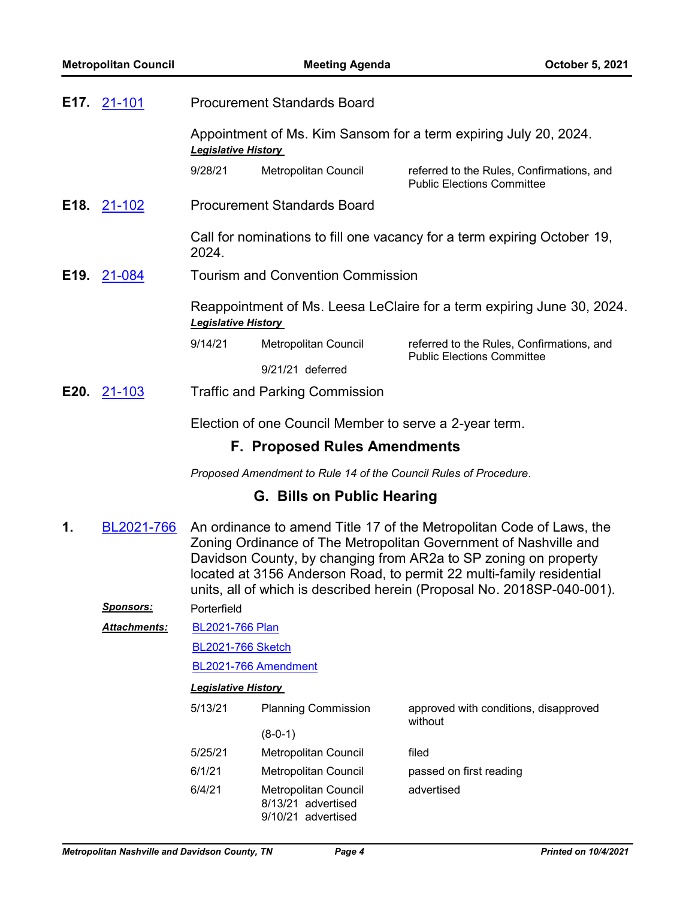|                            | <b>E17.</b> 21-101 | <b>Procurement Standards Board</b><br>Appointment of Ms. Kim Sansom for a term expiring July 20, 2024.<br><b>Legislative History</b> |                                                        |                                                                                |
|----------------------------|--------------------|--------------------------------------------------------------------------------------------------------------------------------------|--------------------------------------------------------|--------------------------------------------------------------------------------|
|                            |                    |                                                                                                                                      |                                                        |                                                                                |
|                            |                    | 9/28/21                                                                                                                              | Metropolitan Council                                   | referred to the Rules, Confirmations, and<br><b>Public Elections Committee</b> |
|                            | E18. 21-102        | <b>Procurement Standards Board</b>                                                                                                   |                                                        |                                                                                |
|                            |                    | 2024.                                                                                                                                |                                                        | Call for nominations to fill one vacancy for a term expiring October 19,       |
| E19.                       | 21-084             |                                                                                                                                      | <b>Tourism and Convention Commission</b>               |                                                                                |
| <b>Legislative History</b> |                    |                                                                                                                                      |                                                        | Reappointment of Ms. Leesa LeClaire for a term expiring June 30, 2024.         |
|                            |                    | 9/14/21                                                                                                                              | Metropolitan Council                                   | referred to the Rules, Confirmations, and<br><b>Public Elections Committee</b> |
|                            |                    |                                                                                                                                      | $9/21/21$ deferred                                     |                                                                                |
|                            | E20. 21-103        |                                                                                                                                      | <b>Traffic and Parking Commission</b>                  |                                                                                |
|                            |                    |                                                                                                                                      | Election of one Council Member to serve a 2-year term. |                                                                                |

# **F. Proposed Rules Amendments**

*Proposed Amendment to Rule 14 of the Council Rules of Procedure.*

# **G. Bills on Public Hearing**

An ordinance to amend Title 17 of the Metropolitan Code of Laws, the Zoning Ordinance of The Metropolitan Government of Nashville and Davidson County, by changing from AR2a to SP zoning on property located at 3156 Anderson Road, to permit 22 multi-family residential units, all of which is described herein (Proposal No. 2018SP-040-001). **1.** [BL2021-766](http://nashville.legistar.com/gateway.aspx?m=l&id=/matter.aspx?key=2302)

| <b>Sponsors:</b> | Porterfield                |                                                                         |                                                  |  |  |
|------------------|----------------------------|-------------------------------------------------------------------------|--------------------------------------------------|--|--|
| Attachments:     | <b>BL2021-766 Plan</b>     |                                                                         |                                                  |  |  |
|                  | <b>BL2021-766 Sketch</b>   |                                                                         |                                                  |  |  |
|                  |                            | BL2021-766 Amendment                                                    |                                                  |  |  |
|                  | <b>Legislative History</b> |                                                                         |                                                  |  |  |
|                  | 5/13/21                    | <b>Planning Commission</b>                                              | approved with conditions, disapproved<br>without |  |  |
|                  |                            | $(8-0-1)$                                                               |                                                  |  |  |
|                  | 5/25/21                    | Metropolitan Council                                                    | filed                                            |  |  |
|                  | 6/1/21                     | Metropolitan Council                                                    | passed on first reading                          |  |  |
|                  | 6/4/21                     | <b>Metropolitan Council</b><br>8/13/21 advertised<br>9/10/21 advertised | advertised                                       |  |  |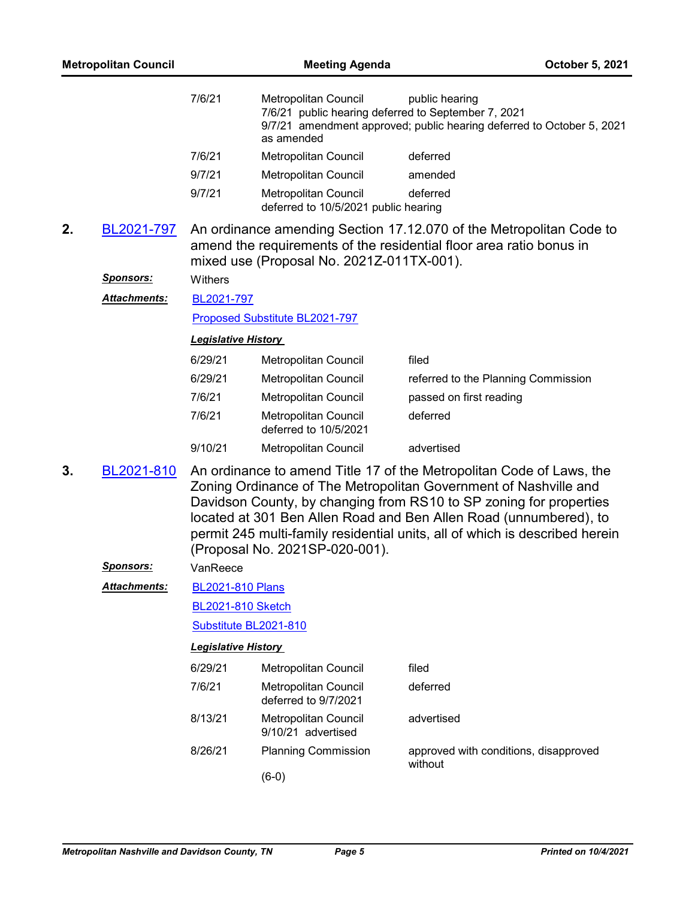| <b>Metropolitan Council</b> |                      |                            | <b>Meeting Agenda</b><br>October 5, 2021                     |                                                                                                                                                                                                                                                                                                                                                                    |  |  |
|-----------------------------|----------------------|----------------------------|--------------------------------------------------------------|--------------------------------------------------------------------------------------------------------------------------------------------------------------------------------------------------------------------------------------------------------------------------------------------------------------------------------------------------------------------|--|--|
|                             |                      | 7/6/21                     | Metropolitan Council<br>as amended                           | public hearing<br>7/6/21 public hearing deferred to September 7, 2021<br>9/7/21 amendment approved; public hearing deferred to October 5, 2021                                                                                                                                                                                                                     |  |  |
|                             |                      | 7/6/21                     | Metropolitan Council                                         | deferred                                                                                                                                                                                                                                                                                                                                                           |  |  |
|                             |                      | 9/7/21                     | Metropolitan Council                                         | amended                                                                                                                                                                                                                                                                                                                                                            |  |  |
|                             |                      | 9/7/21                     | Metropolitan Council<br>deferred to 10/5/2021 public hearing | deferred                                                                                                                                                                                                                                                                                                                                                           |  |  |
| 2.                          | BL2021-797           |                            | mixed use (Proposal No. 2021Z-011TX-001).                    | An ordinance amending Section 17.12.070 of the Metropolitan Code to<br>amend the requirements of the residential floor area ratio bonus in                                                                                                                                                                                                                         |  |  |
|                             | <u>Sponsors:</u>     | Withers                    |                                                              |                                                                                                                                                                                                                                                                                                                                                                    |  |  |
|                             | <u> Attachments:</u> | BL2021-797                 |                                                              |                                                                                                                                                                                                                                                                                                                                                                    |  |  |
|                             |                      |                            | Proposed Substitute BL2021-797                               |                                                                                                                                                                                                                                                                                                                                                                    |  |  |
|                             |                      | <b>Legislative History</b> |                                                              |                                                                                                                                                                                                                                                                                                                                                                    |  |  |
|                             |                      | 6/29/21                    | Metropolitan Council                                         | filed                                                                                                                                                                                                                                                                                                                                                              |  |  |
|                             |                      | 6/29/21                    | Metropolitan Council                                         | referred to the Planning Commission                                                                                                                                                                                                                                                                                                                                |  |  |
|                             |                      | 7/6/21                     | Metropolitan Council                                         | passed on first reading                                                                                                                                                                                                                                                                                                                                            |  |  |
|                             |                      | 7/6/21                     | <b>Metropolitan Council</b><br>deferred to 10/5/2021         | deferred                                                                                                                                                                                                                                                                                                                                                           |  |  |
|                             |                      | 9/10/21                    | Metropolitan Council                                         | advertised                                                                                                                                                                                                                                                                                                                                                         |  |  |
| 3.                          | BL2021-810           |                            | (Proposal No. 2021SP-020-001).                               | An ordinance to amend Title 17 of the Metropolitan Code of Laws, the<br>Zoning Ordinance of The Metropolitan Government of Nashville and<br>Davidson County, by changing from RS10 to SP zoning for properties<br>located at 301 Ben Allen Road and Ben Allen Road (unnumbered), to<br>permit 245 multi-family residential units, all of which is described herein |  |  |
|                             | <u>Sponsors:</u>     | VanReece                   |                                                              |                                                                                                                                                                                                                                                                                                                                                                    |  |  |
|                             | Attachments:         | <b>BL2021-810 Plans</b>    |                                                              |                                                                                                                                                                                                                                                                                                                                                                    |  |  |
|                             |                      | <b>BL2021-810 Sketch</b>   |                                                              |                                                                                                                                                                                                                                                                                                                                                                    |  |  |
|                             |                      |                            | Substitute BL2021-810                                        |                                                                                                                                                                                                                                                                                                                                                                    |  |  |
|                             |                      | <b>Legislative History</b> |                                                              |                                                                                                                                                                                                                                                                                                                                                                    |  |  |
|                             |                      | 6/29/21                    | Metropolitan Council                                         | filed                                                                                                                                                                                                                                                                                                                                                              |  |  |
|                             |                      | 7/6/21                     | <b>Metropolitan Council</b><br>deferred to 9/7/2021          | deferred                                                                                                                                                                                                                                                                                                                                                           |  |  |
|                             |                      | 8/13/21                    | Metropolitan Council<br>9/10/21 advertised                   | advertised                                                                                                                                                                                                                                                                                                                                                         |  |  |
|                             |                      | 8/26/21                    | <b>Planning Commission</b>                                   | approved with conditions, disapproved<br>without                                                                                                                                                                                                                                                                                                                   |  |  |
|                             |                      |                            | $(6-0)$                                                      |                                                                                                                                                                                                                                                                                                                                                                    |  |  |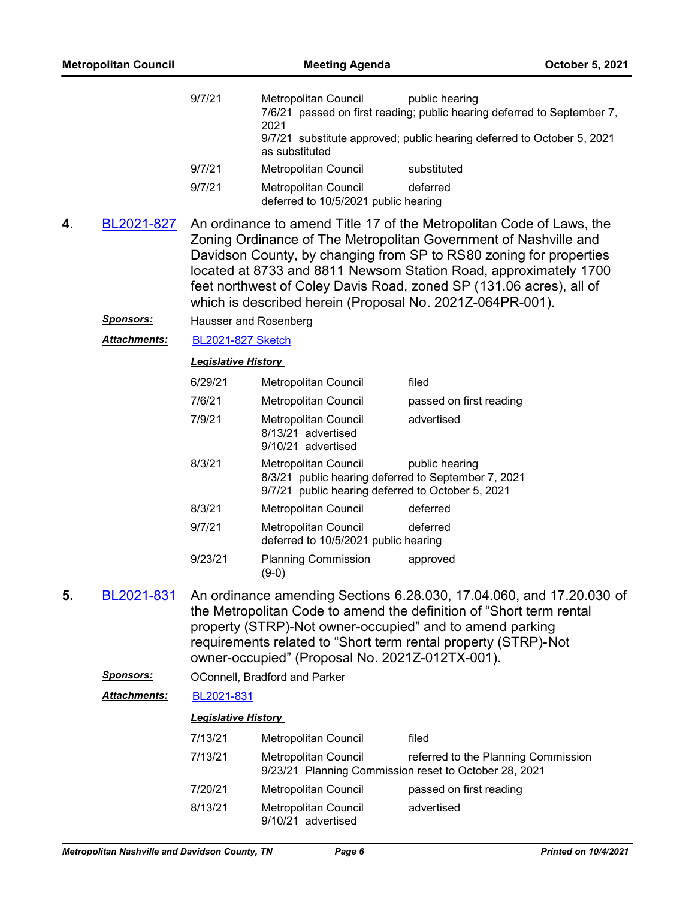|    | <b>Metropolitan Council</b> |                            | <b>Meeting Agenda</b>                                                                                                                                                                                                                                                                                                                                                                                                  |                                     | October 5, 2021 |  |
|----|-----------------------------|----------------------------|------------------------------------------------------------------------------------------------------------------------------------------------------------------------------------------------------------------------------------------------------------------------------------------------------------------------------------------------------------------------------------------------------------------------|-------------------------------------|-----------------|--|
|    |                             | 9/7/21                     | Metropolitan Council<br>7/6/21 passed on first reading; public hearing deferred to September 7,<br>2021<br>9/7/21 substitute approved; public hearing deferred to October 5, 2021<br>as substituted                                                                                                                                                                                                                    | public hearing                      |                 |  |
|    |                             | 9/7/21                     | Metropolitan Council                                                                                                                                                                                                                                                                                                                                                                                                   | substituted                         |                 |  |
|    |                             | 9/7/21                     | <b>Metropolitan Council</b><br>deferred to 10/5/2021 public hearing                                                                                                                                                                                                                                                                                                                                                    | deferred                            |                 |  |
| 4. | BL2021-827                  |                            | An ordinance to amend Title 17 of the Metropolitan Code of Laws, the<br>Zoning Ordinance of The Metropolitan Government of Nashville and<br>Davidson County, by changing from SP to RS80 zoning for properties<br>located at 8733 and 8811 Newsom Station Road, approximately 1700<br>feet northwest of Coley Davis Road, zoned SP (131.06 acres), all of<br>which is described herein (Proposal No. 2021Z-064PR-001). |                                     |                 |  |
|    | <u>Sponsors:</u>            | Hausser and Rosenberg      |                                                                                                                                                                                                                                                                                                                                                                                                                        |                                     |                 |  |
|    | <b>Attachments:</b>         | <b>BL2021-827 Sketch</b>   |                                                                                                                                                                                                                                                                                                                                                                                                                        |                                     |                 |  |
|    |                             | <b>Legislative History</b> |                                                                                                                                                                                                                                                                                                                                                                                                                        |                                     |                 |  |
|    |                             | 6/29/21                    | Metropolitan Council                                                                                                                                                                                                                                                                                                                                                                                                   | filed                               |                 |  |
|    |                             | 7/6/21                     | Metropolitan Council                                                                                                                                                                                                                                                                                                                                                                                                   | passed on first reading             |                 |  |
|    |                             | 7/9/21                     | Metropolitan Council<br>8/13/21 advertised<br>9/10/21 advertised                                                                                                                                                                                                                                                                                                                                                       | advertised                          |                 |  |
|    |                             | 8/3/21                     | Metropolitan Council<br>8/3/21 public hearing deferred to September 7, 2021<br>9/7/21 public hearing deferred to October 5, 2021                                                                                                                                                                                                                                                                                       | public hearing                      |                 |  |
|    |                             | 8/3/21                     | Metropolitan Council                                                                                                                                                                                                                                                                                                                                                                                                   | deferred                            |                 |  |
|    |                             | 9/7/21                     | Metropolitan Council<br>deferred to 10/5/2021 public hearing                                                                                                                                                                                                                                                                                                                                                           | deferred                            |                 |  |
|    |                             | 9/23/21                    | <b>Planning Commission</b><br>$(9-0)$                                                                                                                                                                                                                                                                                                                                                                                  | approved                            |                 |  |
| 5. | BL2021-831                  |                            | An ordinance amending Sections 6.28.030, 17.04.060, and 17.20.030 of<br>the Metropolitan Code to amend the definition of "Short term rental<br>property (STRP)-Not owner-occupied" and to amend parking<br>requirements related to "Short term rental property (STRP)-Not<br>owner-occupied" (Proposal No. 2021Z-012TX-001).                                                                                           |                                     |                 |  |
|    | <u>Sponsors:</u>            |                            | OConnell, Bradford and Parker                                                                                                                                                                                                                                                                                                                                                                                          |                                     |                 |  |
|    | <b>Attachments:</b>         | BL2021-831                 |                                                                                                                                                                                                                                                                                                                                                                                                                        |                                     |                 |  |
|    |                             | <b>Legislative History</b> |                                                                                                                                                                                                                                                                                                                                                                                                                        |                                     |                 |  |
|    |                             | 7/13/21                    | <b>Metropolitan Council</b>                                                                                                                                                                                                                                                                                                                                                                                            | filed                               |                 |  |
|    |                             | 7/13/21                    | Metropolitan Council<br>9/23/21 Planning Commission reset to October 28, 2021                                                                                                                                                                                                                                                                                                                                          | referred to the Planning Commission |                 |  |
|    |                             | 7/20/21                    | <b>Metropolitan Council</b>                                                                                                                                                                                                                                                                                                                                                                                            | passed on first reading             |                 |  |
|    |                             | 8/13/21                    | Metropolitan Council<br>9/10/21 advertised                                                                                                                                                                                                                                                                                                                                                                             | advertised                          |                 |  |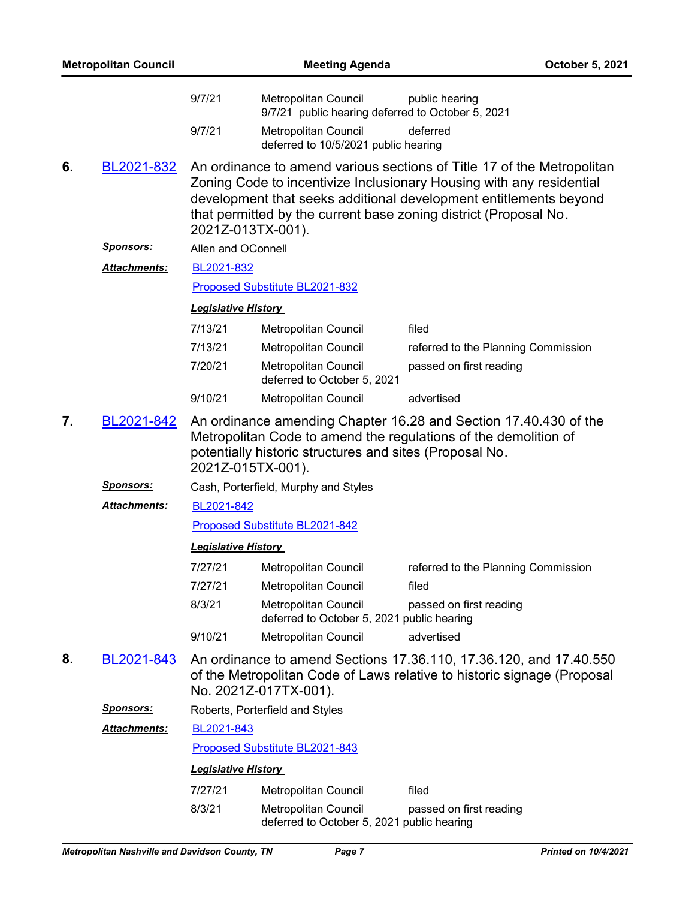| <b>Metropolitan Council</b> |                     |                            |                                                                                                                                                                                                                     | October 5, 2021                                                                                                                                                                                                                                                                         |  |  |  |
|-----------------------------|---------------------|----------------------------|---------------------------------------------------------------------------------------------------------------------------------------------------------------------------------------------------------------------|-----------------------------------------------------------------------------------------------------------------------------------------------------------------------------------------------------------------------------------------------------------------------------------------|--|--|--|
|                             |                     | 9/7/21                     | Metropolitan Council<br>9/7/21 public hearing deferred to October 5, 2021                                                                                                                                           | public hearing                                                                                                                                                                                                                                                                          |  |  |  |
|                             |                     | 9/7/21                     | Metropolitan Council<br>deferred to 10/5/2021 public hearing                                                                                                                                                        | deferred                                                                                                                                                                                                                                                                                |  |  |  |
| 6.                          | BL2021-832          |                            | 2021Z-013TX-001).                                                                                                                                                                                                   | An ordinance to amend various sections of Title 17 of the Metropolitan<br>Zoning Code to incentivize Inclusionary Housing with any residential<br>development that seeks additional development entitlements beyond<br>that permitted by the current base zoning district (Proposal No. |  |  |  |
|                             | <u>Sponsors:</u>    | Allen and OConnell         |                                                                                                                                                                                                                     |                                                                                                                                                                                                                                                                                         |  |  |  |
|                             | Attachments:        | BL2021-832                 |                                                                                                                                                                                                                     |                                                                                                                                                                                                                                                                                         |  |  |  |
|                             |                     |                            | Proposed Substitute BL2021-832                                                                                                                                                                                      |                                                                                                                                                                                                                                                                                         |  |  |  |
|                             |                     | <b>Legislative History</b> |                                                                                                                                                                                                                     |                                                                                                                                                                                                                                                                                         |  |  |  |
|                             |                     | 7/13/21                    | Metropolitan Council                                                                                                                                                                                                | filed                                                                                                                                                                                                                                                                                   |  |  |  |
|                             |                     | 7/13/21                    | Metropolitan Council                                                                                                                                                                                                | referred to the Planning Commission                                                                                                                                                                                                                                                     |  |  |  |
|                             |                     | 7/20/21                    | Metropolitan Council<br>deferred to October 5, 2021                                                                                                                                                                 | passed on first reading                                                                                                                                                                                                                                                                 |  |  |  |
|                             |                     | 9/10/21                    | Metropolitan Council                                                                                                                                                                                                | advertised                                                                                                                                                                                                                                                                              |  |  |  |
| 7.                          | BL2021-842          |                            | An ordinance amending Chapter 16.28 and Section 17.40.430 of the<br>Metropolitan Code to amend the regulations of the demolition of<br>potentially historic structures and sites (Proposal No.<br>2021Z-015TX-001). |                                                                                                                                                                                                                                                                                         |  |  |  |
|                             | <u>Sponsors:</u>    |                            | Cash, Porterfield, Murphy and Styles                                                                                                                                                                                |                                                                                                                                                                                                                                                                                         |  |  |  |
|                             | Attachments:        | BL2021-842                 |                                                                                                                                                                                                                     |                                                                                                                                                                                                                                                                                         |  |  |  |
|                             |                     |                            | Proposed Substitute BL2021-842                                                                                                                                                                                      |                                                                                                                                                                                                                                                                                         |  |  |  |
|                             |                     | <b>Legislative History</b> |                                                                                                                                                                                                                     |                                                                                                                                                                                                                                                                                         |  |  |  |
|                             |                     | 7/27/21                    | Metropolitan Council                                                                                                                                                                                                | referred to the Planning Commission                                                                                                                                                                                                                                                     |  |  |  |
|                             |                     | 7/27/21                    | <b>Metropolitan Council</b>                                                                                                                                                                                         | filed                                                                                                                                                                                                                                                                                   |  |  |  |
|                             |                     | 8/3/21                     | Metropolitan Council<br>deferred to October 5, 2021 public hearing                                                                                                                                                  | passed on first reading                                                                                                                                                                                                                                                                 |  |  |  |
|                             |                     | 9/10/21                    | Metropolitan Council                                                                                                                                                                                                | advertised                                                                                                                                                                                                                                                                              |  |  |  |
| 8.                          | BL2021-843          |                            | No. 2021Z-017TX-001).                                                                                                                                                                                               | An ordinance to amend Sections 17.36.110, 17.36.120, and 17.40.550<br>of the Metropolitan Code of Laws relative to historic signage (Proposal                                                                                                                                           |  |  |  |
|                             | <u>Sponsors:</u>    |                            | Roberts, Porterfield and Styles                                                                                                                                                                                     |                                                                                                                                                                                                                                                                                         |  |  |  |
|                             | <b>Attachments:</b> | BL2021-843                 |                                                                                                                                                                                                                     |                                                                                                                                                                                                                                                                                         |  |  |  |
|                             |                     |                            | Proposed Substitute BL2021-843                                                                                                                                                                                      |                                                                                                                                                                                                                                                                                         |  |  |  |
|                             |                     | <b>Legislative History</b> |                                                                                                                                                                                                                     |                                                                                                                                                                                                                                                                                         |  |  |  |
|                             |                     | 7/27/21                    | Metropolitan Council                                                                                                                                                                                                | filed                                                                                                                                                                                                                                                                                   |  |  |  |
|                             |                     | 8/3/21                     | <b>Metropolitan Council</b><br>deferred to October 5, 2021 public hearing                                                                                                                                           | passed on first reading                                                                                                                                                                                                                                                                 |  |  |  |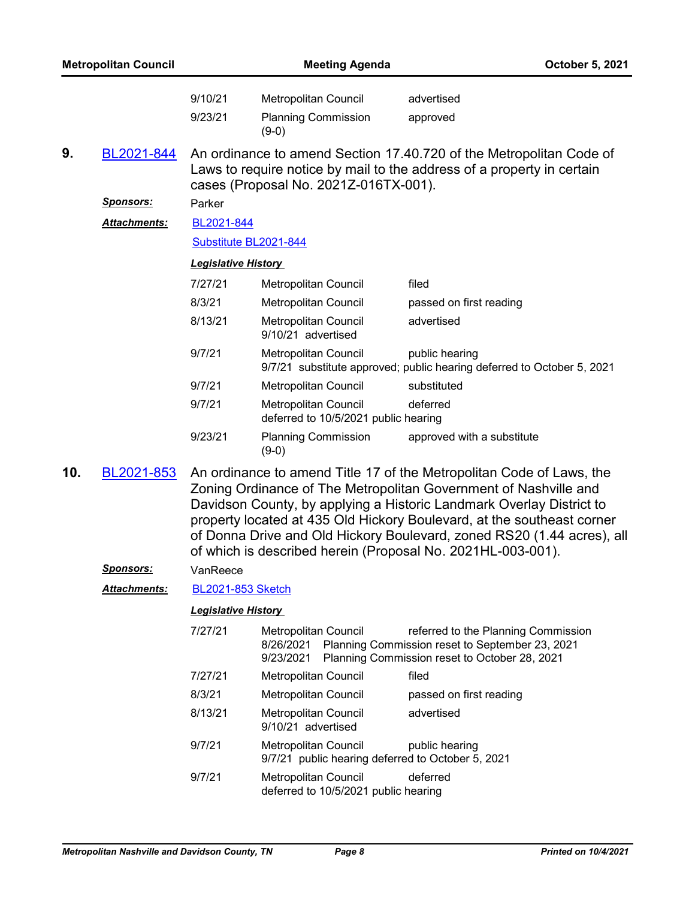| <b>Metropolitan Council</b> |                     |                                                                                                                                                                                                                                                                                                                                                                      |                                                                           | October 5, 2021                                                                                                                               |  |
|-----------------------------|---------------------|----------------------------------------------------------------------------------------------------------------------------------------------------------------------------------------------------------------------------------------------------------------------------------------------------------------------------------------------------------------------|---------------------------------------------------------------------------|-----------------------------------------------------------------------------------------------------------------------------------------------|--|
|                             |                     | 9/10/21<br>9/23/21                                                                                                                                                                                                                                                                                                                                                   | Metropolitan Council<br><b>Planning Commission</b>                        | advertised<br>approved                                                                                                                        |  |
| 9.                          | BL2021-844          |                                                                                                                                                                                                                                                                                                                                                                      | $(9-0)$                                                                   | An ordinance to amend Section 17.40.720 of the Metropolitan Code of<br>Laws to require notice by mail to the address of a property in certain |  |
|                             |                     |                                                                                                                                                                                                                                                                                                                                                                      | cases (Proposal No. 2021Z-016TX-001).                                     |                                                                                                                                               |  |
|                             | <b>Sponsors:</b>    | Parker                                                                                                                                                                                                                                                                                                                                                               |                                                                           |                                                                                                                                               |  |
|                             | <b>Attachments:</b> | BL2021-844                                                                                                                                                                                                                                                                                                                                                           |                                                                           |                                                                                                                                               |  |
|                             |                     | Substitute BL2021-844                                                                                                                                                                                                                                                                                                                                                |                                                                           |                                                                                                                                               |  |
|                             |                     | <b>Legislative History</b>                                                                                                                                                                                                                                                                                                                                           |                                                                           |                                                                                                                                               |  |
|                             |                     | 7/27/21                                                                                                                                                                                                                                                                                                                                                              | Metropolitan Council                                                      | filed                                                                                                                                         |  |
|                             |                     | 8/3/21                                                                                                                                                                                                                                                                                                                                                               | Metropolitan Council                                                      | passed on first reading                                                                                                                       |  |
|                             |                     | 8/13/21                                                                                                                                                                                                                                                                                                                                                              | Metropolitan Council<br>9/10/21 advertised                                | advertised                                                                                                                                    |  |
|                             |                     | 9/7/21                                                                                                                                                                                                                                                                                                                                                               | Metropolitan Council                                                      | public hearing<br>9/7/21 substitute approved; public hearing deferred to October 5, 2021                                                      |  |
|                             |                     | 9/7/21                                                                                                                                                                                                                                                                                                                                                               | Metropolitan Council                                                      | substituted                                                                                                                                   |  |
|                             |                     | 9/7/21                                                                                                                                                                                                                                                                                                                                                               | Metropolitan Council<br>deferred to 10/5/2021 public hearing              | deferred                                                                                                                                      |  |
|                             |                     | 9/23/21                                                                                                                                                                                                                                                                                                                                                              | <b>Planning Commission</b><br>$(9-0)$                                     | approved with a substitute                                                                                                                    |  |
| 10.                         | BL2021-853          | An ordinance to amend Title 17 of the Metropolitan Code of Laws, the<br>Zoning Ordinance of The Metropolitan Government of Nashville and<br>Davidson County, by applying a Historic Landmark Overlay District to<br>property located at 435 Old Hickory Boulevard, at the southeast corner<br>of Donna Drive and Old Hickory Boulevard, zoned RS20 (1.44 acres), all |                                                                           | of which is described herein (Proposal No. 2021HL-003-001).                                                                                   |  |
|                             | <u>Sponsors:</u>    | VanReece                                                                                                                                                                                                                                                                                                                                                             |                                                                           |                                                                                                                                               |  |
|                             | Attachments:        | <b>BL2021-853 Sketch</b>                                                                                                                                                                                                                                                                                                                                             |                                                                           |                                                                                                                                               |  |
|                             |                     | <b>Legislative History</b>                                                                                                                                                                                                                                                                                                                                           |                                                                           |                                                                                                                                               |  |
|                             |                     | 7/27/21                                                                                                                                                                                                                                                                                                                                                              | <b>Metropolitan Council</b><br>8/26/2021<br>9/23/2021                     | referred to the Planning Commission<br>Planning Commission reset to September 23, 2021<br>Planning Commission reset to October 28, 2021       |  |
|                             |                     | 7/27/21                                                                                                                                                                                                                                                                                                                                                              | Metropolitan Council                                                      | filed                                                                                                                                         |  |
|                             |                     | 8/3/21                                                                                                                                                                                                                                                                                                                                                               | <b>Metropolitan Council</b>                                               | passed on first reading                                                                                                                       |  |
|                             |                     | 8/13/21                                                                                                                                                                                                                                                                                                                                                              | <b>Metropolitan Council</b><br>9/10/21 advertised                         | advertised                                                                                                                                    |  |
|                             |                     | 9/7/21                                                                                                                                                                                                                                                                                                                                                               | Metropolitan Council<br>9/7/21 public hearing deferred to October 5, 2021 | public hearing                                                                                                                                |  |
|                             |                     | 9/7/21                                                                                                                                                                                                                                                                                                                                                               | Metropolitan Council                                                      | deferred                                                                                                                                      |  |

deferred to 10/5/2021 public hearing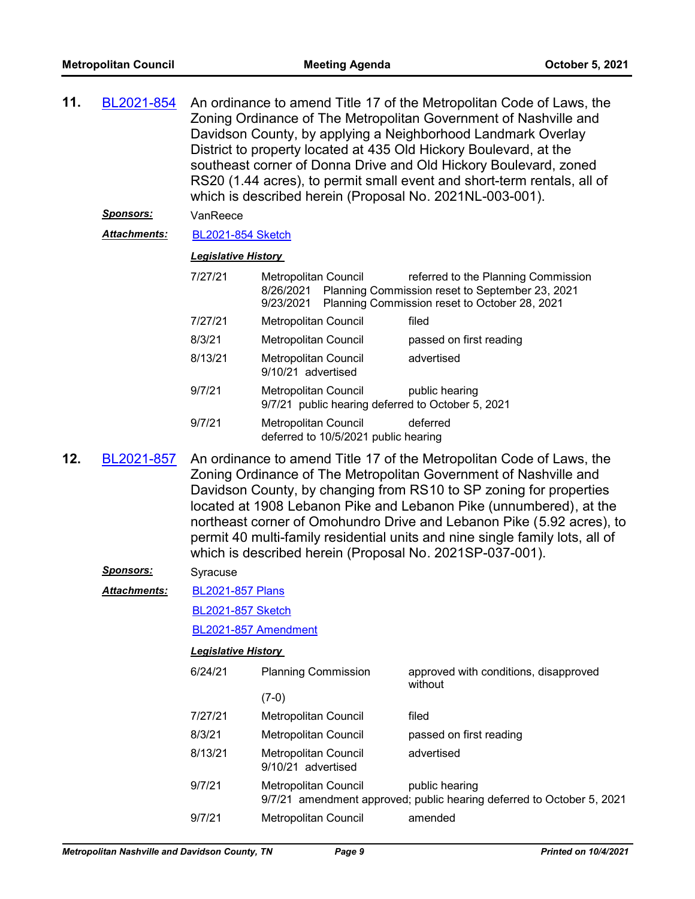| 11.               | BL2021-854          |                                                          | An ordinance to amend Title 17 of the Metropolitan Code of Laws, the<br>Zoning Ordinance of The Metropolitan Government of Nashville and<br>Davidson County, by applying a Neighborhood Landmark Overlay<br>District to property located at 435 Old Hickory Boulevard, at the<br>southeast corner of Donna Drive and Old Hickory Boulevard, zoned<br>RS20 (1.44 acres), to permit small event and short-term rentals, all of<br>which is described herein (Proposal No. 2021NL-003-001). |                                                                                                                                         |  |  |
|-------------------|---------------------|----------------------------------------------------------|------------------------------------------------------------------------------------------------------------------------------------------------------------------------------------------------------------------------------------------------------------------------------------------------------------------------------------------------------------------------------------------------------------------------------------------------------------------------------------------|-----------------------------------------------------------------------------------------------------------------------------------------|--|--|
|                   | <u>Sponsors:</u>    | VanReece                                                 |                                                                                                                                                                                                                                                                                                                                                                                                                                                                                          |                                                                                                                                         |  |  |
|                   | <b>Attachments:</b> | <b>BL2021-854 Sketch</b>                                 |                                                                                                                                                                                                                                                                                                                                                                                                                                                                                          |                                                                                                                                         |  |  |
|                   |                     | <b>Legislative History</b>                               |                                                                                                                                                                                                                                                                                                                                                                                                                                                                                          |                                                                                                                                         |  |  |
|                   |                     | 7/27/21                                                  | <b>Metropolitan Council</b><br>8/26/2021<br>9/23/2021                                                                                                                                                                                                                                                                                                                                                                                                                                    | referred to the Planning Commission<br>Planning Commission reset to September 23, 2021<br>Planning Commission reset to October 28, 2021 |  |  |
|                   |                     | 7/27/21                                                  | Metropolitan Council                                                                                                                                                                                                                                                                                                                                                                                                                                                                     | filed                                                                                                                                   |  |  |
|                   |                     | 8/3/21                                                   | Metropolitan Council                                                                                                                                                                                                                                                                                                                                                                                                                                                                     | passed on first reading                                                                                                                 |  |  |
|                   |                     | 8/13/21                                                  | Metropolitan Council<br>9/10/21 advertised                                                                                                                                                                                                                                                                                                                                                                                                                                               | advertised                                                                                                                              |  |  |
|                   |                     | 9/7/21                                                   | Metropolitan Council<br>9/7/21 public hearing deferred to October 5, 2021                                                                                                                                                                                                                                                                                                                                                                                                                | public hearing                                                                                                                          |  |  |
|                   |                     | 9/7/21                                                   | Metropolitan Council<br>deferred to 10/5/2021 public hearing                                                                                                                                                                                                                                                                                                                                                                                                                             | deferred                                                                                                                                |  |  |
| 12.<br>BL2021-857 |                     | which is described herein (Proposal No. 2021SP-037-001). | An ordinance to amend Title 17 of the Metropolitan Code of Laws, the<br>Zoning Ordinance of The Metropolitan Government of Nashville and<br>Davidson County, by changing from RS10 to SP zoning for properties<br>located at 1908 Lebanon Pike and Lebanon Pike (unnumbered), at the<br>northeast corner of Omohundro Drive and Lebanon Pike (5.92 acres), to<br>permit 40 multi-family residential units and nine single family lots, all of                                            |                                                                                                                                         |  |  |
|                   | <u>Sponsors:</u>    | Syracuse                                                 |                                                                                                                                                                                                                                                                                                                                                                                                                                                                                          |                                                                                                                                         |  |  |
|                   | <b>Attachments:</b> | <b>BL2021-857 Plans</b>                                  |                                                                                                                                                                                                                                                                                                                                                                                                                                                                                          |                                                                                                                                         |  |  |
|                   |                     | <b>BL2021-857 Sketch</b>                                 |                                                                                                                                                                                                                                                                                                                                                                                                                                                                                          |                                                                                                                                         |  |  |
|                   |                     | BL2021-857 Amendment                                     |                                                                                                                                                                                                                                                                                                                                                                                                                                                                                          |                                                                                                                                         |  |  |
|                   |                     | <b>Legislative History</b>                               |                                                                                                                                                                                                                                                                                                                                                                                                                                                                                          |                                                                                                                                         |  |  |
|                   |                     | 6/24/21                                                  | <b>Planning Commission</b>                                                                                                                                                                                                                                                                                                                                                                                                                                                               | approved with conditions, disapproved<br>without                                                                                        |  |  |
|                   |                     |                                                          | $(7-0)$                                                                                                                                                                                                                                                                                                                                                                                                                                                                                  |                                                                                                                                         |  |  |
|                   |                     | 7/27/21                                                  | Metropolitan Council                                                                                                                                                                                                                                                                                                                                                                                                                                                                     | filed                                                                                                                                   |  |  |
|                   |                     | 8/3/21                                                   | Metropolitan Council                                                                                                                                                                                                                                                                                                                                                                                                                                                                     | passed on first reading                                                                                                                 |  |  |
|                   |                     | 8/13/21                                                  | Metropolitan Council<br>9/10/21 advertised                                                                                                                                                                                                                                                                                                                                                                                                                                               | advertised                                                                                                                              |  |  |
|                   |                     | 9/7/21                                                   | Metropolitan Council                                                                                                                                                                                                                                                                                                                                                                                                                                                                     | public hearing<br>9/7/21 amendment approved; public hearing deferred to October 5, 2021                                                 |  |  |
|                   |                     | 9/7/21                                                   | Metropolitan Council                                                                                                                                                                                                                                                                                                                                                                                                                                                                     | amended                                                                                                                                 |  |  |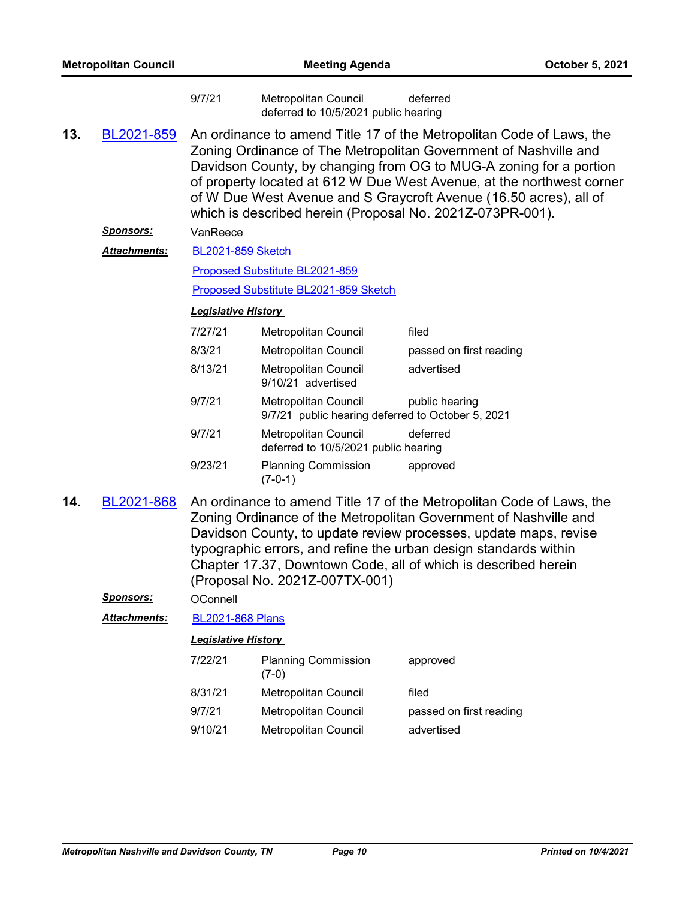|     |                  | 9/7/21                                                                                                                                                                                                                                                                                                                                                                                                                    | Metropolitan Council<br>deferred to 10/5/2021 public hearing              | deferred                |
|-----|------------------|---------------------------------------------------------------------------------------------------------------------------------------------------------------------------------------------------------------------------------------------------------------------------------------------------------------------------------------------------------------------------------------------------------------------------|---------------------------------------------------------------------------|-------------------------|
| 13. | BL2021-859       | An ordinance to amend Title 17 of the Metropolitan Code of Laws, the<br>Zoning Ordinance of The Metropolitan Government of Nashville and<br>Davidson County, by changing from OG to MUG-A zoning for a portion<br>of property located at 612 W Due West Avenue, at the northwest corner<br>of W Due West Avenue and S Graycroft Avenue (16.50 acres), all of<br>which is described herein (Proposal No. 2021Z-073PR-001). |                                                                           |                         |
|     | <u>Sponsors:</u> | VanReece                                                                                                                                                                                                                                                                                                                                                                                                                  |                                                                           |                         |
|     | Attachments:     | <b>BL2021-859 Sketch</b>                                                                                                                                                                                                                                                                                                                                                                                                  |                                                                           |                         |
|     |                  | Proposed Substitute BL2021-859                                                                                                                                                                                                                                                                                                                                                                                            |                                                                           |                         |
|     |                  |                                                                                                                                                                                                                                                                                                                                                                                                                           | Proposed Substitute BL2021-859 Sketch                                     |                         |
|     |                  | <b>Legislative History</b>                                                                                                                                                                                                                                                                                                                                                                                                |                                                                           |                         |
|     |                  | 7/27/21                                                                                                                                                                                                                                                                                                                                                                                                                   | Metropolitan Council                                                      | filed                   |
|     |                  | 8/3/21                                                                                                                                                                                                                                                                                                                                                                                                                    | Metropolitan Council                                                      | passed on first reading |
|     |                  | 8/13/21                                                                                                                                                                                                                                                                                                                                                                                                                   | Metropolitan Council<br>9/10/21 advertised                                | advertised              |
|     |                  | 9/7/21                                                                                                                                                                                                                                                                                                                                                                                                                    | Metropolitan Council<br>9/7/21 public hearing deferred to October 5, 2021 | public hearing          |
|     |                  | 9/7/21                                                                                                                                                                                                                                                                                                                                                                                                                    | Metropolitan Council<br>deferred to 10/5/2021 public hearing              | deferred                |
|     |                  | 9/23/21                                                                                                                                                                                                                                                                                                                                                                                                                   | <b>Planning Commission</b><br>$(7-0-1)$                                   | approved                |
| 14. | BL2021-868       | An ordinance to amend Title 17 of the Metropolitan Code of Laws, the<br>Zoning Ordinance of the Metropolitan Government of Nashville and<br>Davidson County, to update review processes, update maps, revise<br>typographic errors, and refine the urban design standards within<br>Chapter 17.37, Downtown Code, all of which is described herein<br>(Proposal No. 2021Z-007TX-001)                                      |                                                                           |                         |
|     | <b>Sponsors:</b> | OConnell                                                                                                                                                                                                                                                                                                                                                                                                                  |                                                                           |                         |
|     | Attachments:     | <b>BL2021-868 Plans</b>                                                                                                                                                                                                                                                                                                                                                                                                   |                                                                           |                         |
|     |                  | Legislative History                                                                                                                                                                                                                                                                                                                                                                                                       |                                                                           |                         |
|     |                  | 7/22/21                                                                                                                                                                                                                                                                                                                                                                                                                   | <b>Planning Commission</b><br>$(7-0)$                                     | approved                |
|     |                  | 8/31/21                                                                                                                                                                                                                                                                                                                                                                                                                   | Metropolitan Council                                                      | filed                   |
|     |                  | 9/7/21                                                                                                                                                                                                                                                                                                                                                                                                                    | Metropolitan Council                                                      | passed on first reading |
|     |                  | 9/10/21                                                                                                                                                                                                                                                                                                                                                                                                                   | Metropolitan Council                                                      | advertised              |
|     |                  |                                                                                                                                                                                                                                                                                                                                                                                                                           |                                                                           |                         |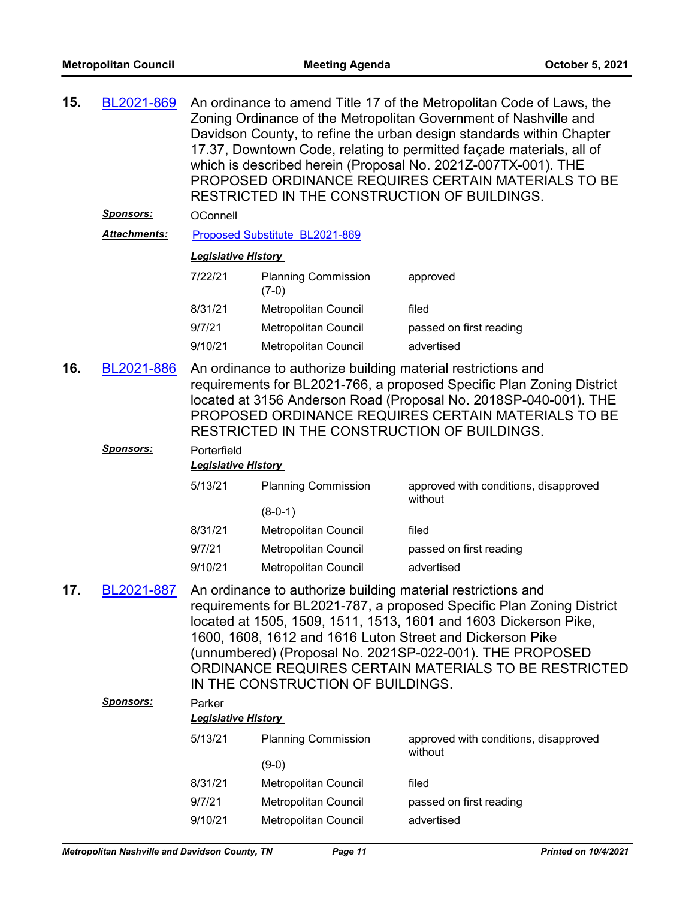| 15. | BL2021-869                 | An ordinance to amend Title 17 of the Metropolitan Code of Laws, the<br>Zoning Ordinance of the Metropolitan Government of Nashville and<br>Davidson County, to refine the urban design standards within Chapter<br>17.37, Downtown Code, relating to permitted façade materials, all of<br>which is described herein (Proposal No. 2021Z-007TX-001). THE<br>PROPOSED ORDINANCE REQUIRES CERTAIN MATERIALS TO BE<br>RESTRICTED IN THE CONSTRUCTION OF BUILDINGS. |                                       |                                                  |  |
|-----|----------------------------|------------------------------------------------------------------------------------------------------------------------------------------------------------------------------------------------------------------------------------------------------------------------------------------------------------------------------------------------------------------------------------------------------------------------------------------------------------------|---------------------------------------|--------------------------------------------------|--|
|     | <b>Sponsors:</b>           | OConnell                                                                                                                                                                                                                                                                                                                                                                                                                                                         |                                       |                                                  |  |
|     | <b>Attachments:</b>        |                                                                                                                                                                                                                                                                                                                                                                                                                                                                  | Proposed Substitute BL2021-869        |                                                  |  |
|     | <b>Legislative History</b> |                                                                                                                                                                                                                                                                                                                                                                                                                                                                  |                                       |                                                  |  |
|     |                            | 7/22/21                                                                                                                                                                                                                                                                                                                                                                                                                                                          | <b>Planning Commission</b><br>$(7-0)$ | approved                                         |  |
|     |                            | 8/31/21                                                                                                                                                                                                                                                                                                                                                                                                                                                          | Metropolitan Council                  | filed                                            |  |
|     |                            | 9/7/21                                                                                                                                                                                                                                                                                                                                                                                                                                                           | <b>Metropolitan Council</b>           | passed on first reading                          |  |
|     |                            | 9/10/21                                                                                                                                                                                                                                                                                                                                                                                                                                                          | Metropolitan Council                  | advertised                                       |  |
| 16. | BL2021-886                 | An ordinance to authorize building material restrictions and<br>requirements for BL2021-766, a proposed Specific Plan Zoning District<br>located at 3156 Anderson Road (Proposal No. 2018SP-040-001). THE<br>PROPOSED ORDINANCE REQUIRES CERTAIN MATERIALS TO BE<br>RESTRICTED IN THE CONSTRUCTION OF BUILDINGS.                                                                                                                                                 |                                       |                                                  |  |
|     | <b>Sponsors:</b>           | Porterfield                                                                                                                                                                                                                                                                                                                                                                                                                                                      |                                       |                                                  |  |
|     |                            | <b>Legislative History</b>                                                                                                                                                                                                                                                                                                                                                                                                                                       |                                       |                                                  |  |
|     |                            | 5/13/21                                                                                                                                                                                                                                                                                                                                                                                                                                                          | <b>Planning Commission</b>            | approved with conditions, disapproved<br>without |  |
|     |                            |                                                                                                                                                                                                                                                                                                                                                                                                                                                                  | $(8-0-1)$                             |                                                  |  |
|     |                            | 8/31/21                                                                                                                                                                                                                                                                                                                                                                                                                                                          | Metropolitan Council                  | filed                                            |  |
|     |                            | 9/7/21                                                                                                                                                                                                                                                                                                                                                                                                                                                           | Metropolitan Council                  | passed on first reading                          |  |
|     |                            | 9/10/21                                                                                                                                                                                                                                                                                                                                                                                                                                                          | Metropolitan Council                  | advertised                                       |  |
| 17. | BL2021-887                 | An ordinance to authorize building material restrictions and<br>requirements for BL2021-787, a proposed Specific Plan Zoning District<br>located at 1505, 1509, 1511, 1513, 1601 and 1603 Dickerson Pike,<br>1600, 1608, 1612 and 1616 Luton Street and Dickerson Pike<br>(unnumbered) (Proposal No. 2021SP-022-001). THE PROPOSED<br>ORDINANCE REQUIRES CERTAIN MATERIALS TO BE RESTRICTED<br>IN THE CONSTRUCTION OF BUILDINGS.                                 |                                       |                                                  |  |
|     | <b>Sponsors:</b>           | Parker                                                                                                                                                                                                                                                                                                                                                                                                                                                           |                                       |                                                  |  |
|     |                            | <b>Legislative History</b>                                                                                                                                                                                                                                                                                                                                                                                                                                       |                                       |                                                  |  |
|     |                            | 5/13/21                                                                                                                                                                                                                                                                                                                                                                                                                                                          | <b>Planning Commission</b>            | approved with conditions, disapproved<br>without |  |
|     |                            |                                                                                                                                                                                                                                                                                                                                                                                                                                                                  | $(9-0)$                               |                                                  |  |
|     |                            | 8/31/21                                                                                                                                                                                                                                                                                                                                                                                                                                                          | Metropolitan Council                  | filed                                            |  |
|     |                            | 9/7/21                                                                                                                                                                                                                                                                                                                                                                                                                                                           | Metropolitan Council                  | passed on first reading                          |  |
|     |                            | 9/10/21                                                                                                                                                                                                                                                                                                                                                                                                                                                          | Metropolitan Council                  | advertised                                       |  |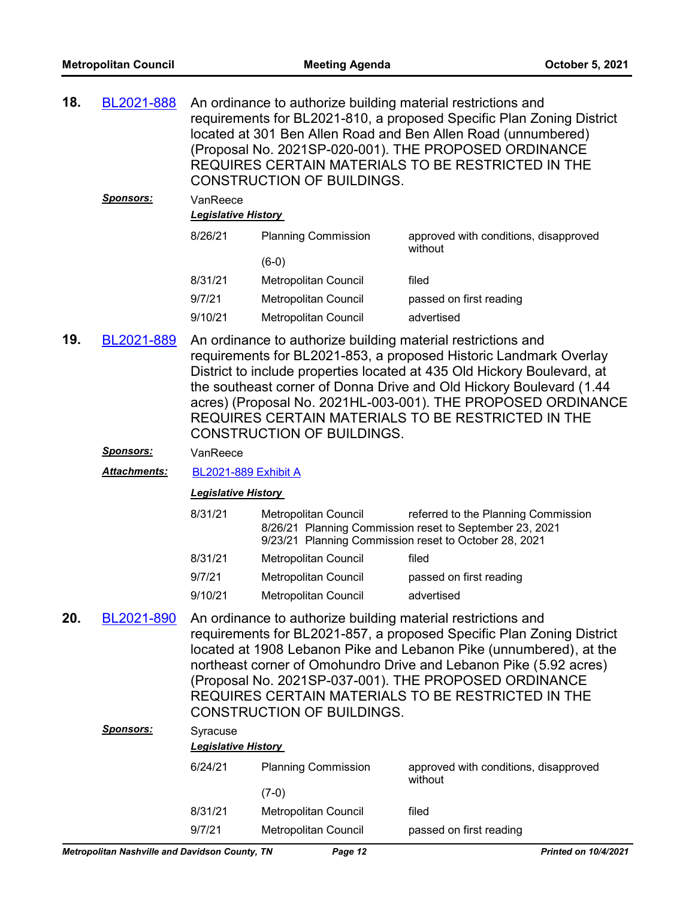| 18. | BL2021-888 An ordinance to authorize building material restrictions and |
|-----|-------------------------------------------------------------------------|
|     | requirements for BL2021-810, a proposed Specific Plan Zoning District   |
|     | located at 301 Ben Allen Road and Ben Allen Road (unnumbered)           |
|     | (Proposal No. 2021SP-020-001). THE PROPOSED ORDINANCE                   |
|     | REQUIRES CERTAIN MATERIALS TO BE RESTRICTED IN THE                      |
|     | <b>CONSTRUCTION OF BUILDINGS.</b>                                       |
|     |                                                                         |

| <b>Sponsors:</b> | VanReece<br><b>Legislative History</b> |                            |                                                  |
|------------------|----------------------------------------|----------------------------|--------------------------------------------------|
|                  | 8/26/21                                | <b>Planning Commission</b> | approved with conditions, disapproved<br>without |
|                  |                                        | $(6-0)$                    |                                                  |
|                  | 8/31/21                                | Metropolitan Council       | filed                                            |
|                  | 9/7/21                                 | Metropolitan Council       | passed on first reading                          |
|                  | 9/10/21                                | Metropolitan Council       | advertised                                       |
|                  |                                        |                            |                                                  |

- An ordinance to authorize building material restrictions and requirements for BL2021-853, a proposed Historic Landmark Overlay District to include properties located at 435 Old Hickory Boulevard, at the southeast corner of Donna Drive and Old Hickory Boulevard (1.44 acres) (Proposal No. 2021HL-003-001). THE PROPOSED ORDINANCE REQUIRES CERTAIN MATERIALS TO BE RESTRICTED IN THE CONSTRUCTION OF BUILDINGS. **19.** [BL2021-889](http://nashville.legistar.com/gateway.aspx?m=l&id=/matter.aspx?key=13550)
	- *Sponsors:* VanReece
	- *Attachments:* [BL2021-889 Exhibit A](http://nashville.legistar.com/gateway.aspx?M=F&ID=2695d5aa-7536-4a8f-bc18-67b4ad0d342f.pdf)

| 8/31/21 | Metropolitan Council        | referred to the Planning Commission<br>8/26/21 Planning Commission reset to September 23, 2021<br>9/23/21 Planning Commission reset to October 28, 2021 |
|---------|-----------------------------|---------------------------------------------------------------------------------------------------------------------------------------------------------|
| 8/31/21 | Metropolitan Council        | filed                                                                                                                                                   |
| 9/7/21  | Metropolitan Council        | passed on first reading                                                                                                                                 |
| 9/10/21 | <b>Metropolitan Council</b> | advertised                                                                                                                                              |

An ordinance to authorize building material restrictions and requirements for BL2021-857, a proposed Specific Plan Zoning District located at 1908 Lebanon Pike and Lebanon Pike (unnumbered), at the northeast corner of Omohundro Drive and Lebanon Pike (5.92 acres) (Proposal No. 2021SP-037-001). THE PROPOSED ORDINANCE REQUIRES CERTAIN MATERIALS TO BE RESTRICTED IN THE CONSTRUCTION OF BUILDINGS. **20.** [BL2021-890](http://nashville.legistar.com/gateway.aspx?m=l&id=/matter.aspx?key=13549) *Sponsors:* Syracuse *Legislative History* 

| 6/24/21 | <b>Planning Commission</b><br>(7-0) | approved with conditions, disapproved<br>without |
|---------|-------------------------------------|--------------------------------------------------|
| 8/31/21 | Metropolitan Council                | filed                                            |
| 9/7/21  | Metropolitan Council                | passed on first reading                          |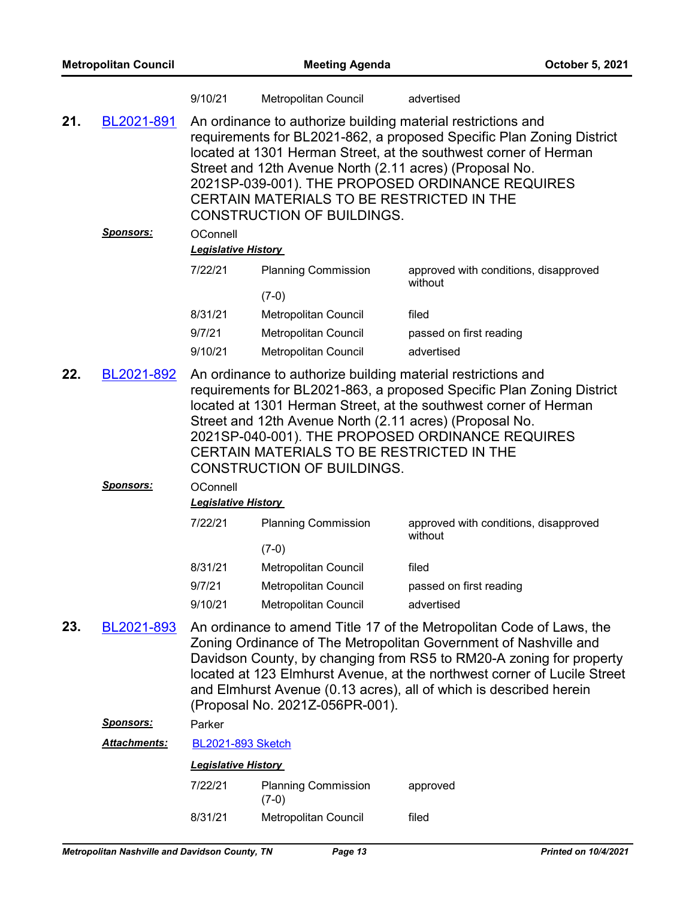| <b>Metropolitan Council</b> |                  | <b>Meeting Agenda</b>                  |                                                                                                                                                                                                                                                                                                                                                                                                            | October 5, 2021                                  |  |  |
|-----------------------------|------------------|----------------------------------------|------------------------------------------------------------------------------------------------------------------------------------------------------------------------------------------------------------------------------------------------------------------------------------------------------------------------------------------------------------------------------------------------------------|--------------------------------------------------|--|--|
|                             |                  | 9/10/21                                | Metropolitan Council                                                                                                                                                                                                                                                                                                                                                                                       | advertised                                       |  |  |
| 21.                         | BL2021-891       |                                        | An ordinance to authorize building material restrictions and<br>requirements for BL2021-862, a proposed Specific Plan Zoning District<br>located at 1301 Herman Street, at the southwest corner of Herman<br>Street and 12th Avenue North (2.11 acres) (Proposal No.<br>2021SP-039-001). THE PROPOSED ORDINANCE REQUIRES<br>CERTAIN MATERIALS TO BE RESTRICTED IN THE<br><b>CONSTRUCTION OF BUILDINGS.</b> |                                                  |  |  |
|                             | <b>Sponsors:</b> | OConnell<br><b>Legislative History</b> |                                                                                                                                                                                                                                                                                                                                                                                                            |                                                  |  |  |
|                             |                  | 7/22/21                                | <b>Planning Commission</b>                                                                                                                                                                                                                                                                                                                                                                                 | approved with conditions, disapproved            |  |  |
|                             |                  |                                        | $(7-0)$                                                                                                                                                                                                                                                                                                                                                                                                    | without                                          |  |  |
|                             |                  | 8/31/21                                | <b>Metropolitan Council</b>                                                                                                                                                                                                                                                                                                                                                                                | filed                                            |  |  |
|                             |                  | 9/7/21                                 | Metropolitan Council                                                                                                                                                                                                                                                                                                                                                                                       | passed on first reading                          |  |  |
|                             |                  | 9/10/21                                | Metropolitan Council                                                                                                                                                                                                                                                                                                                                                                                       | advertised                                       |  |  |
| 22.                         | BL2021-892       |                                        | An ordinance to authorize building material restrictions and<br>requirements for BL2021-863, a proposed Specific Plan Zoning District<br>located at 1301 Herman Street, at the southwest corner of Herman<br>Street and 12th Avenue North (2.11 acres) (Proposal No.<br>2021SP-040-001). THE PROPOSED ORDINANCE REQUIRES<br>CERTAIN MATERIALS TO BE RESTRICTED IN THE<br><b>CONSTRUCTION OF BUILDINGS.</b> |                                                  |  |  |
|                             | Sponsors:        | OConnell<br><b>Legislative History</b> |                                                                                                                                                                                                                                                                                                                                                                                                            |                                                  |  |  |
|                             |                  | 7/22/21                                | <b>Planning Commission</b>                                                                                                                                                                                                                                                                                                                                                                                 | approved with conditions, disapproved<br>without |  |  |
|                             |                  |                                        | $(7-0)$                                                                                                                                                                                                                                                                                                                                                                                                    |                                                  |  |  |
|                             |                  | 8/31/21                                | Metropolitan Council                                                                                                                                                                                                                                                                                                                                                                                       | filed                                            |  |  |
|                             |                  | 9/7/21<br>9/10/21                      | Metropolitan Council<br>Metropolitan Council                                                                                                                                                                                                                                                                                                                                                               | passed on first reading<br>advertised            |  |  |
| 23.                         | BL2021-893       |                                        | An ordinance to amend Title 17 of the Metropolitan Code of Laws, the<br>Zoning Ordinance of The Metropolitan Government of Nashville and<br>Davidson County, by changing from RS5 to RM20-A zoning for property<br>located at 123 Elmhurst Avenue, at the northwest corner of Lucile Street<br>and Elmhurst Avenue (0.13 acres), all of which is described herein<br>(Proposal No. 2021Z-056PR-001).       |                                                  |  |  |
|                             | <b>Sponsors:</b> | Parker                                 |                                                                                                                                                                                                                                                                                                                                                                                                            |                                                  |  |  |
|                             | Attachments:     | <b>BL2021-893 Sketch</b>               |                                                                                                                                                                                                                                                                                                                                                                                                            |                                                  |  |  |
|                             |                  | <b>Legislative History</b>             |                                                                                                                                                                                                                                                                                                                                                                                                            |                                                  |  |  |
|                             |                  | 7/22/21                                | <b>Planning Commission</b><br>$(7-0)$                                                                                                                                                                                                                                                                                                                                                                      | approved                                         |  |  |
|                             |                  | 8/31/21                                | Metropolitan Council                                                                                                                                                                                                                                                                                                                                                                                       | filed                                            |  |  |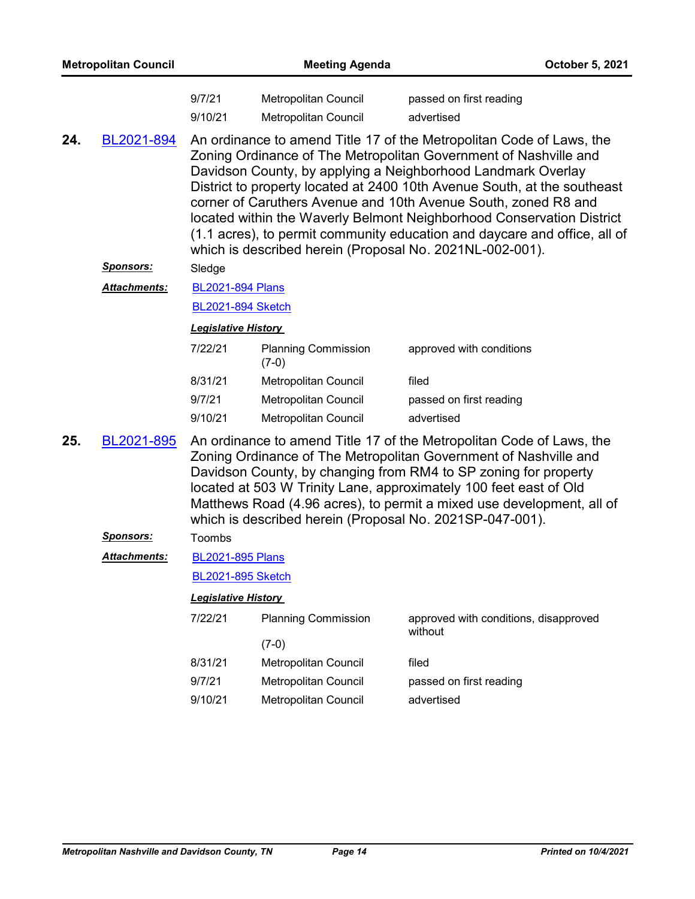|     | <b>Metropolitan Council</b> |                            | <b>Meeting Agenda</b>                                                                                                                                                                                                                                                                                                                                                                                                                                                                                                                                                    |                                                  | October 5, 2021 |
|-----|-----------------------------|----------------------------|--------------------------------------------------------------------------------------------------------------------------------------------------------------------------------------------------------------------------------------------------------------------------------------------------------------------------------------------------------------------------------------------------------------------------------------------------------------------------------------------------------------------------------------------------------------------------|--------------------------------------------------|-----------------|
|     |                             | 9/7/21<br>9/10/21          | Metropolitan Council<br><b>Metropolitan Council</b>                                                                                                                                                                                                                                                                                                                                                                                                                                                                                                                      | passed on first reading<br>advertised            |                 |
| 24. | BL2021-894                  |                            | An ordinance to amend Title 17 of the Metropolitan Code of Laws, the<br>Zoning Ordinance of The Metropolitan Government of Nashville and<br>Davidson County, by applying a Neighborhood Landmark Overlay<br>District to property located at 2400 10th Avenue South, at the southeast<br>corner of Caruthers Avenue and 10th Avenue South, zoned R8 and<br>located within the Waverly Belmont Neighborhood Conservation District<br>(1.1 acres), to permit community education and daycare and office, all of<br>which is described herein (Proposal No. 2021NL-002-001). |                                                  |                 |
|     | <u>Sponsors:</u>            | Sledge                     |                                                                                                                                                                                                                                                                                                                                                                                                                                                                                                                                                                          |                                                  |                 |
|     | Attachments:                | <b>BL2021-894 Plans</b>    |                                                                                                                                                                                                                                                                                                                                                                                                                                                                                                                                                                          |                                                  |                 |
|     |                             | <b>BL2021-894 Sketch</b>   |                                                                                                                                                                                                                                                                                                                                                                                                                                                                                                                                                                          |                                                  |                 |
|     |                             | <b>Legislative History</b> |                                                                                                                                                                                                                                                                                                                                                                                                                                                                                                                                                                          |                                                  |                 |
|     |                             | 7/22/21                    | <b>Planning Commission</b><br>$(7-0)$                                                                                                                                                                                                                                                                                                                                                                                                                                                                                                                                    | approved with conditions                         |                 |
|     |                             | 8/31/21                    | Metropolitan Council                                                                                                                                                                                                                                                                                                                                                                                                                                                                                                                                                     | filed                                            |                 |
|     |                             | 9/7/21                     | Metropolitan Council                                                                                                                                                                                                                                                                                                                                                                                                                                                                                                                                                     | passed on first reading                          |                 |
|     |                             | 9/10/21                    | Metropolitan Council                                                                                                                                                                                                                                                                                                                                                                                                                                                                                                                                                     | advertised                                       |                 |
| 25. | BL2021-895                  |                            | An ordinance to amend Title 17 of the Metropolitan Code of Laws, the<br>Zoning Ordinance of The Metropolitan Government of Nashville and<br>Davidson County, by changing from RM4 to SP zoning for property<br>located at 503 W Trinity Lane, approximately 100 feet east of Old<br>Matthews Road (4.96 acres), to permit a mixed use development, all of<br>which is described herein (Proposal No. 2021SP-047-001).                                                                                                                                                    |                                                  |                 |
|     | <b>Sponsors:</b>            | Toombs                     |                                                                                                                                                                                                                                                                                                                                                                                                                                                                                                                                                                          |                                                  |                 |
|     | <u> Attachments:</u>        | <b>BL2021-895 Plans</b>    |                                                                                                                                                                                                                                                                                                                                                                                                                                                                                                                                                                          |                                                  |                 |
|     |                             | <b>BL2021-895 Sketch</b>   |                                                                                                                                                                                                                                                                                                                                                                                                                                                                                                                                                                          |                                                  |                 |
|     |                             | <b>Legislative History</b> |                                                                                                                                                                                                                                                                                                                                                                                                                                                                                                                                                                          |                                                  |                 |
|     |                             | 7/22/21                    | <b>Planning Commission</b>                                                                                                                                                                                                                                                                                                                                                                                                                                                                                                                                               | approved with conditions, disapproved<br>without |                 |
|     |                             |                            | $(7-0)$                                                                                                                                                                                                                                                                                                                                                                                                                                                                                                                                                                  |                                                  |                 |
|     |                             | 8/31/21                    | Metropolitan Council                                                                                                                                                                                                                                                                                                                                                                                                                                                                                                                                                     | filed                                            |                 |
|     |                             | 9/7/21                     | Metropolitan Council                                                                                                                                                                                                                                                                                                                                                                                                                                                                                                                                                     | passed on first reading                          |                 |
|     |                             | 9/10/21                    | <b>Metropolitan Council</b>                                                                                                                                                                                                                                                                                                                                                                                                                                                                                                                                              | advertised                                       |                 |
|     |                             |                            |                                                                                                                                                                                                                                                                                                                                                                                                                                                                                                                                                                          |                                                  |                 |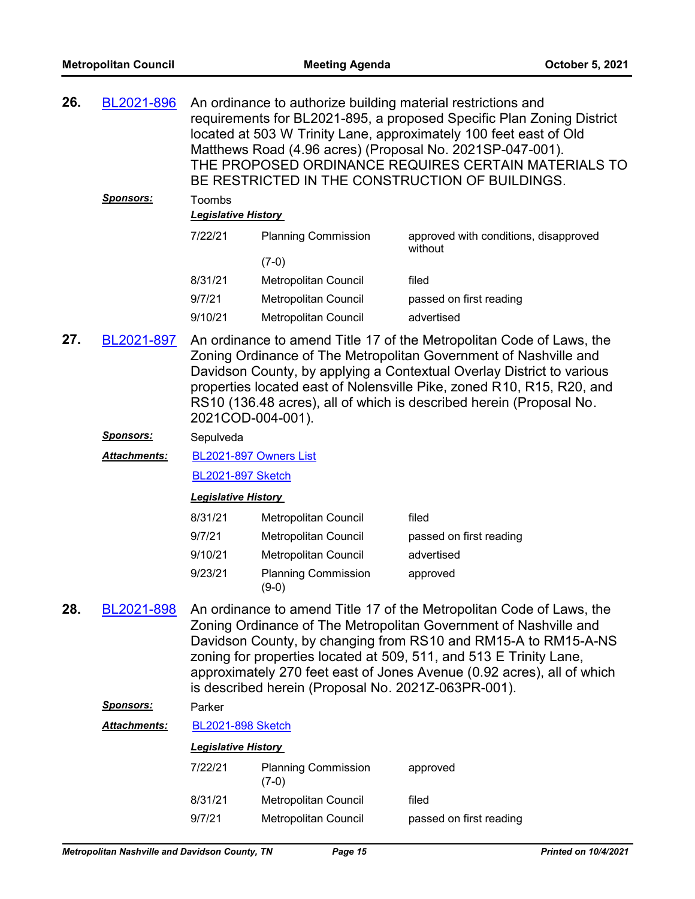| 26. | BL2021-896       |                                             | An ordinance to authorize building material restrictions and | requirements for BL2021-895, a proposed Specific Plan Zoning District<br>located at 503 W Trinity Lane, approximately 100 feet east of Old<br>Matthews Road (4.96 acres) (Proposal No. 2021SP-047-001).<br>THE PROPOSED ORDINANCE REQUIRES CERTAIN MATERIALS TO<br>BE RESTRICTED IN THE CONSTRUCTION OF BUILDINGS. |
|-----|------------------|---------------------------------------------|--------------------------------------------------------------|--------------------------------------------------------------------------------------------------------------------------------------------------------------------------------------------------------------------------------------------------------------------------------------------------------------------|
|     | <b>Sponsors:</b> | <b>Toombs</b><br><b>Legislative History</b> |                                                              |                                                                                                                                                                                                                                                                                                                    |
|     |                  | 7/22/21                                     | <b>Planning Commission</b>                                   | approved with conditions, disapproved<br>without                                                                                                                                                                                                                                                                   |
|     |                  |                                             | $(7-0)$                                                      |                                                                                                                                                                                                                                                                                                                    |

| 8/31/21 | Metropolitan Council | filed                   |
|---------|----------------------|-------------------------|
| 9/7/21  | Metropolitan Council | passed on first reading |
| 9/10/21 | Metropolitan Council | advertised              |

An ordinance to amend Title 17 of the Metropolitan Code of Laws, the Zoning Ordinance of The Metropolitan Government of Nashville and Davidson County, by applying a Contextual Overlay District to various properties located east of Nolensville Pike, zoned R10, R15, R20, and RS10 (136.48 acres), all of which is described herein (Proposal No. 2021COD-004-001). **27.** [BL2021-897](http://nashville.legistar.com/gateway.aspx?m=l&id=/matter.aspx?key=13499)

## *Sponsors:* Sepulveda

[BL2021-897 Owners List](http://nashville.legistar.com/gateway.aspx?M=F&ID=75522a46-a7a5-4c28-aa39-17d6fd243c29.xlsx) *Attachments:*

[BL2021-897 Sketch](http://nashville.legistar.com/gateway.aspx?M=F&ID=92b7897b-bbb6-4123-a875-61657fa3072e.docx)

#### *Legislative History*

| 8/31/21 | <b>Metropolitan Council</b>         | filed                   |
|---------|-------------------------------------|-------------------------|
| 9/7/21  | Metropolitan Council                | passed on first reading |
| 9/10/21 | Metropolitan Council                | advertised              |
| 9/23/21 | <b>Planning Commission</b><br>(9-0) | approved                |

An ordinance to amend Title 17 of the Metropolitan Code of Laws, the Zoning Ordinance of The Metropolitan Government of Nashville and Davidson County, by changing from RS10 and RM15-A to RM15-A-NS zoning for properties located at 509, 511, and 513 E Trinity Lane, approximately 270 feet east of Jones Avenue (0.92 acres), all of which is described herein (Proposal No. 2021Z-063PR-001). **28.** [BL2021-898](http://nashville.legistar.com/gateway.aspx?m=l&id=/matter.aspx?key=13515)

# *Sponsors:* Parker

*Attachments:* [BL2021-898 Sketch](http://nashville.legistar.com/gateway.aspx?M=F&ID=a0208a63-8521-49e5-8d0b-e20e4151ad32.docx)

| 7/22/21 | <b>Planning Commission</b><br>$(7-0)$ | approved                |
|---------|---------------------------------------|-------------------------|
| 8/31/21 | <b>Metropolitan Council</b>           | filed                   |
| 9/7/21  | Metropolitan Council                  | passed on first reading |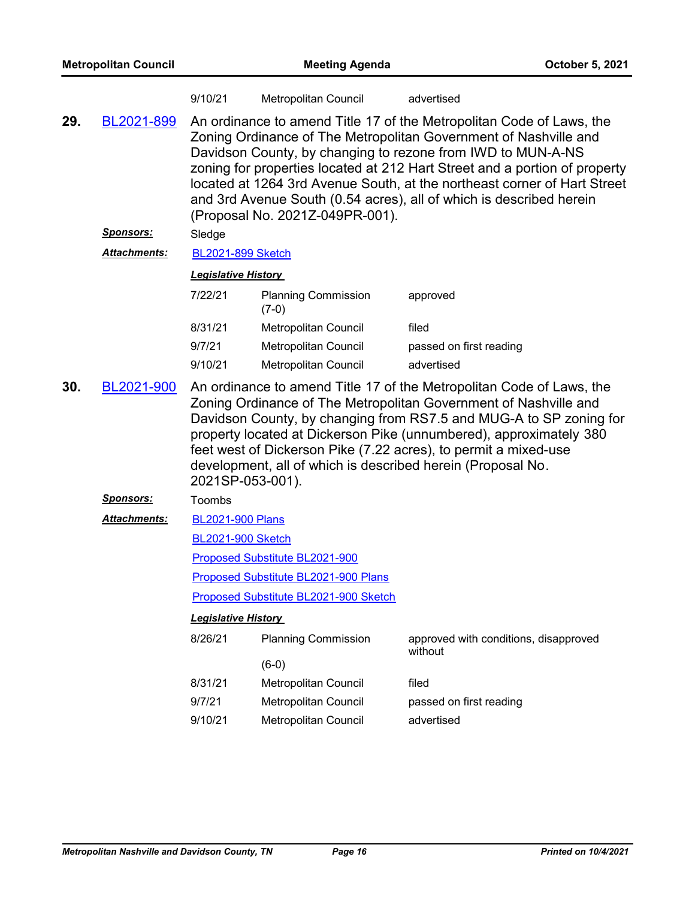| <b>Metropolitan Council</b> |                     | <b>Meeting Agenda</b>      |                                                                                                                                                                                                                                                                                                                                                                                                                                                                             | October 5, 2021                                                                                                                                                                                                                                                                                                                                                                                                        |  |
|-----------------------------|---------------------|----------------------------|-----------------------------------------------------------------------------------------------------------------------------------------------------------------------------------------------------------------------------------------------------------------------------------------------------------------------------------------------------------------------------------------------------------------------------------------------------------------------------|------------------------------------------------------------------------------------------------------------------------------------------------------------------------------------------------------------------------------------------------------------------------------------------------------------------------------------------------------------------------------------------------------------------------|--|
|                             |                     | 9/10/21                    | Metropolitan Council                                                                                                                                                                                                                                                                                                                                                                                                                                                        | advertised                                                                                                                                                                                                                                                                                                                                                                                                             |  |
| 29.                         | BL2021-899          |                            | An ordinance to amend Title 17 of the Metropolitan Code of Laws, the<br>Zoning Ordinance of The Metropolitan Government of Nashville and<br>Davidson County, by changing to rezone from IWD to MUN-A-NS<br>zoning for properties located at 212 Hart Street and a portion of property<br>located at 1264 3rd Avenue South, at the northeast corner of Hart Street<br>and 3rd Avenue South (0.54 acres), all of which is described herein<br>(Proposal No. 2021Z-049PR-001). |                                                                                                                                                                                                                                                                                                                                                                                                                        |  |
|                             | <u>Sponsors:</u>    | Sledge                     |                                                                                                                                                                                                                                                                                                                                                                                                                                                                             |                                                                                                                                                                                                                                                                                                                                                                                                                        |  |
|                             | Attachments:        | <b>BL2021-899 Sketch</b>   |                                                                                                                                                                                                                                                                                                                                                                                                                                                                             |                                                                                                                                                                                                                                                                                                                                                                                                                        |  |
|                             |                     | <b>Legislative History</b> |                                                                                                                                                                                                                                                                                                                                                                                                                                                                             |                                                                                                                                                                                                                                                                                                                                                                                                                        |  |
|                             |                     | 7/22/21                    | <b>Planning Commission</b><br>$(7-0)$                                                                                                                                                                                                                                                                                                                                                                                                                                       | approved                                                                                                                                                                                                                                                                                                                                                                                                               |  |
|                             |                     | 8/31/21                    | Metropolitan Council                                                                                                                                                                                                                                                                                                                                                                                                                                                        | filed                                                                                                                                                                                                                                                                                                                                                                                                                  |  |
|                             |                     | 9/7/21                     | Metropolitan Council                                                                                                                                                                                                                                                                                                                                                                                                                                                        | passed on first reading                                                                                                                                                                                                                                                                                                                                                                                                |  |
|                             |                     | 9/10/21                    | <b>Metropolitan Council</b>                                                                                                                                                                                                                                                                                                                                                                                                                                                 | advertised                                                                                                                                                                                                                                                                                                                                                                                                             |  |
| 30.                         | BL2021-900          | 2021SP-053-001).           |                                                                                                                                                                                                                                                                                                                                                                                                                                                                             | An ordinance to amend Title 17 of the Metropolitan Code of Laws, the<br>Zoning Ordinance of The Metropolitan Government of Nashville and<br>Davidson County, by changing from RS7.5 and MUG-A to SP zoning for<br>property located at Dickerson Pike (unnumbered), approximately 380<br>feet west of Dickerson Pike (7.22 acres), to permit a mixed-use<br>development, all of which is described herein (Proposal No. |  |
|                             | <u>Sponsors:</u>    | Toombs                     |                                                                                                                                                                                                                                                                                                                                                                                                                                                                             |                                                                                                                                                                                                                                                                                                                                                                                                                        |  |
|                             | <b>Attachments:</b> | <b>BL2021-900 Plans</b>    |                                                                                                                                                                                                                                                                                                                                                                                                                                                                             |                                                                                                                                                                                                                                                                                                                                                                                                                        |  |
|                             |                     | <b>BL2021-900 Sketch</b>   |                                                                                                                                                                                                                                                                                                                                                                                                                                                                             |                                                                                                                                                                                                                                                                                                                                                                                                                        |  |
|                             |                     |                            | Proposed Substitute BL2021-900                                                                                                                                                                                                                                                                                                                                                                                                                                              |                                                                                                                                                                                                                                                                                                                                                                                                                        |  |
|                             |                     |                            | Proposed Substitute BL2021-900 Plans                                                                                                                                                                                                                                                                                                                                                                                                                                        |                                                                                                                                                                                                                                                                                                                                                                                                                        |  |
|                             |                     |                            | Proposed Substitute BL2021-900 Sketch                                                                                                                                                                                                                                                                                                                                                                                                                                       |                                                                                                                                                                                                                                                                                                                                                                                                                        |  |
|                             |                     | <b>Legislative History</b> |                                                                                                                                                                                                                                                                                                                                                                                                                                                                             |                                                                                                                                                                                                                                                                                                                                                                                                                        |  |
|                             |                     | 8/26/21                    | <b>Planning Commission</b>                                                                                                                                                                                                                                                                                                                                                                                                                                                  | approved with conditions, disapproved<br>without                                                                                                                                                                                                                                                                                                                                                                       |  |
|                             |                     |                            | $(6-0)$                                                                                                                                                                                                                                                                                                                                                                                                                                                                     |                                                                                                                                                                                                                                                                                                                                                                                                                        |  |
|                             |                     | 8/31/21                    | Metropolitan Council                                                                                                                                                                                                                                                                                                                                                                                                                                                        | filed                                                                                                                                                                                                                                                                                                                                                                                                                  |  |
|                             |                     | 9/7/21                     | Metropolitan Council                                                                                                                                                                                                                                                                                                                                                                                                                                                        | passed on first reading                                                                                                                                                                                                                                                                                                                                                                                                |  |
|                             |                     | 9/10/21                    | Metropolitan Council                                                                                                                                                                                                                                                                                                                                                                                                                                                        | advertised                                                                                                                                                                                                                                                                                                                                                                                                             |  |
|                             |                     |                            |                                                                                                                                                                                                                                                                                                                                                                                                                                                                             |                                                                                                                                                                                                                                                                                                                                                                                                                        |  |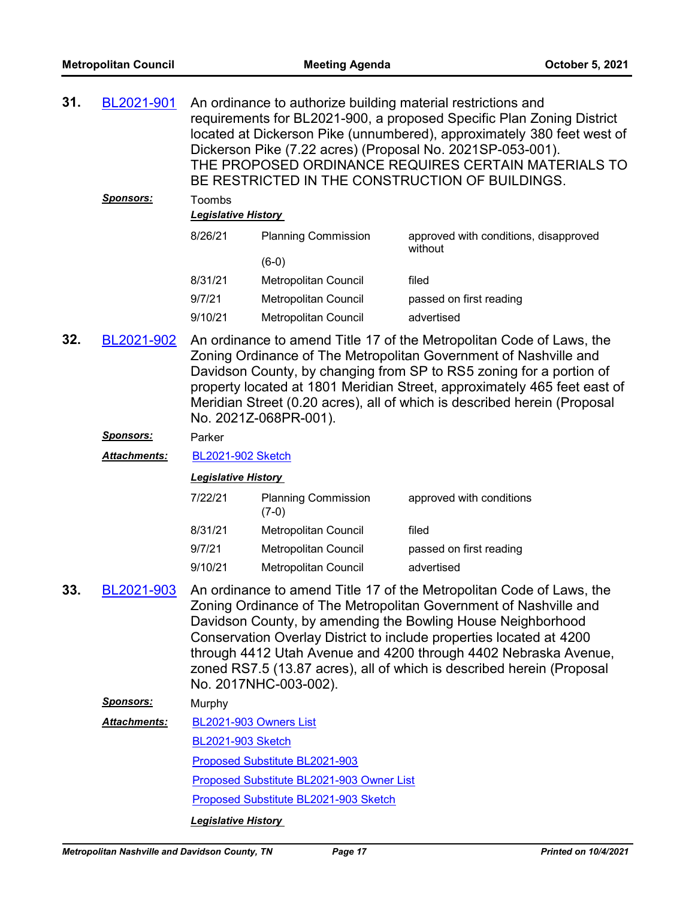| 31. | BL2021-901       |                                      | An ordinance to authorize building material restrictions and | requirements for BL2021-900, a proposed Specific Plan Zoning District<br>located at Dickerson Pike (unnumbered), approximately 380 feet west of<br>Dickerson Pike (7.22 acres) (Proposal No. 2021SP-053-001).<br>THE PROPOSED ORDINANCE REQUIRES CERTAIN MATERIALS TO<br>BE RESTRICTED IN THE CONSTRUCTION OF BUILDINGS.                                                                                                   |
|-----|------------------|--------------------------------------|--------------------------------------------------------------|----------------------------------------------------------------------------------------------------------------------------------------------------------------------------------------------------------------------------------------------------------------------------------------------------------------------------------------------------------------------------------------------------------------------------|
|     | <u>Sponsors:</u> | Toombs<br><b>Legislative History</b> |                                                              |                                                                                                                                                                                                                                                                                                                                                                                                                            |
|     |                  | 8/26/21                              | <b>Planning Commission</b>                                   | approved with conditions, disapproved<br>without                                                                                                                                                                                                                                                                                                                                                                           |
|     |                  |                                      | $(6-0)$                                                      |                                                                                                                                                                                                                                                                                                                                                                                                                            |
|     |                  | 8/31/21                              | Metropolitan Council                                         | filed                                                                                                                                                                                                                                                                                                                                                                                                                      |
|     |                  | 9/7/21                               | Metropolitan Council                                         | passed on first reading                                                                                                                                                                                                                                                                                                                                                                                                    |
|     |                  | 9/10/21                              | Metropolitan Council                                         | advertised                                                                                                                                                                                                                                                                                                                                                                                                                 |
| 32. | BL2021-902       |                                      | No. 2021Z-068PR-001).                                        | An ordinance to amend Title 17 of the Metropolitan Code of Laws, the<br>Zoning Ordinance of The Metropolitan Government of Nashville and<br>Davidson County, by changing from SP to RS5 zoning for a portion of<br>property located at 1801 Meridian Street, approximately 465 feet east of<br>Meridian Street (0.20 acres), all of which is described herein (Proposal                                                    |
|     | Sponsors:        | Parker                               |                                                              |                                                                                                                                                                                                                                                                                                                                                                                                                            |
|     |                  |                                      |                                                              |                                                                                                                                                                                                                                                                                                                                                                                                                            |
|     | Attachments:     | <b>BL2021-902 Sketch</b>             |                                                              |                                                                                                                                                                                                                                                                                                                                                                                                                            |
|     |                  | <b>Legislative History</b>           |                                                              |                                                                                                                                                                                                                                                                                                                                                                                                                            |
|     |                  | 7/22/21                              | <b>Planning Commission</b><br>$(7-0)$                        | approved with conditions                                                                                                                                                                                                                                                                                                                                                                                                   |
|     |                  | 8/31/21                              | Metropolitan Council                                         | filed                                                                                                                                                                                                                                                                                                                                                                                                                      |
|     |                  | 9/7/21                               | Metropolitan Council                                         | passed on first reading                                                                                                                                                                                                                                                                                                                                                                                                    |
|     |                  | 9/10/21                              | Metropolitan Council                                         | advertised                                                                                                                                                                                                                                                                                                                                                                                                                 |
| 33. | BL2021-903       |                                      | No. 2017NHC-003-002).                                        | An ordinance to amend Title 17 of the Metropolitan Code of Laws, the<br>Zoning Ordinance of The Metropolitan Government of Nashville and<br>Davidson County, by amending the Bowling House Neighborhood<br>Conservation Overlay District to include properties located at 4200<br>through 4412 Utah Avenue and 4200 through 4402 Nebraska Avenue,<br>zoned RS7.5 (13.87 acres), all of which is described herein (Proposal |
|     | <b>Sponsors:</b> | Murphy                               |                                                              |                                                                                                                                                                                                                                                                                                                                                                                                                            |
|     | Attachments:     | BL2021-903 Owners List               |                                                              |                                                                                                                                                                                                                                                                                                                                                                                                                            |
|     |                  | <b>BL2021-903 Sketch</b>             |                                                              |                                                                                                                                                                                                                                                                                                                                                                                                                            |
|     |                  |                                      | Proposed Substitute BL2021-903                               |                                                                                                                                                                                                                                                                                                                                                                                                                            |
|     |                  |                                      | Proposed Substitute BL2021-903 Owner List                    |                                                                                                                                                                                                                                                                                                                                                                                                                            |
|     |                  |                                      | Proposed Substitute BL2021-903 Sketch                        |                                                                                                                                                                                                                                                                                                                                                                                                                            |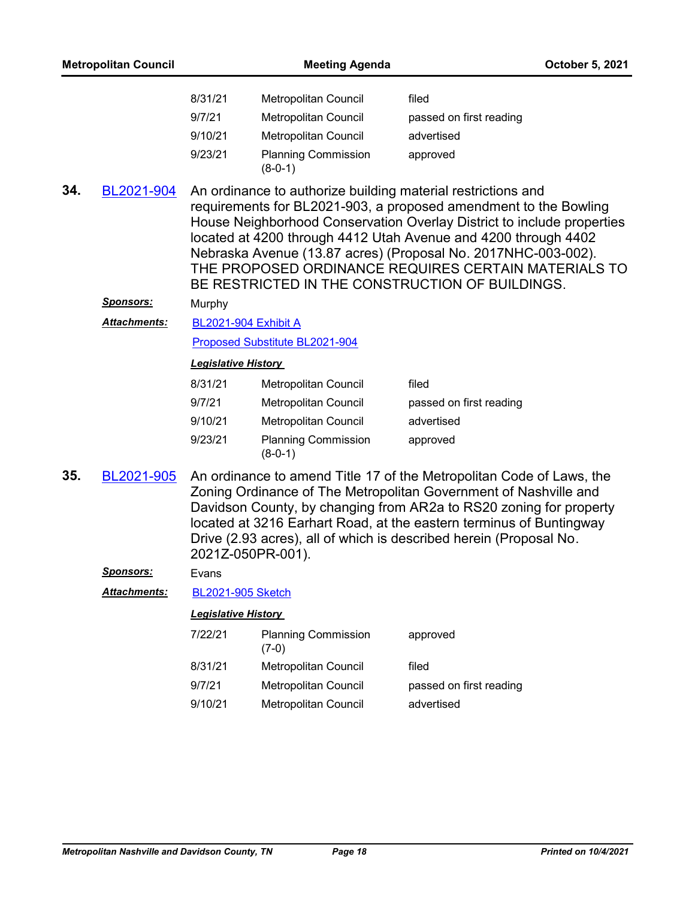| <b>Metropolitan Council</b> |                  | <b>Meeting Agenda</b>          |                                         |                                                                                                                                                                                                                                                                                                                                                                                                                                                          | October 5, 2021 |
|-----------------------------|------------------|--------------------------------|-----------------------------------------|----------------------------------------------------------------------------------------------------------------------------------------------------------------------------------------------------------------------------------------------------------------------------------------------------------------------------------------------------------------------------------------------------------------------------------------------------------|-----------------|
|                             |                  | 8/31/21                        | Metropolitan Council                    | filed                                                                                                                                                                                                                                                                                                                                                                                                                                                    |                 |
|                             |                  | 9/7/21                         | Metropolitan Council                    | passed on first reading                                                                                                                                                                                                                                                                                                                                                                                                                                  |                 |
|                             |                  | 9/10/21                        | Metropolitan Council                    | advertised                                                                                                                                                                                                                                                                                                                                                                                                                                               |                 |
|                             |                  | 9/23/21                        | <b>Planning Commission</b><br>$(8-0-1)$ | approved                                                                                                                                                                                                                                                                                                                                                                                                                                                 |                 |
| 34.                         | BL2021-904       |                                |                                         | An ordinance to authorize building material restrictions and<br>requirements for BL2021-903, a proposed amendment to the Bowling<br>House Neighborhood Conservation Overlay District to include properties<br>located at 4200 through 4412 Utah Avenue and 4200 through 4402<br>Nebraska Avenue (13.87 acres) (Proposal No. 2017NHC-003-002).<br>THE PROPOSED ORDINANCE REQUIRES CERTAIN MATERIALS TO<br>BE RESTRICTED IN THE CONSTRUCTION OF BUILDINGS. |                 |
|                             | <u>Sponsors:</u> | Murphy                         |                                         |                                                                                                                                                                                                                                                                                                                                                                                                                                                          |                 |
|                             | Attachments:     | <b>BL2021-904 Exhibit A</b>    |                                         |                                                                                                                                                                                                                                                                                                                                                                                                                                                          |                 |
|                             |                  | Proposed Substitute BL2021-904 |                                         |                                                                                                                                                                                                                                                                                                                                                                                                                                                          |                 |
|                             |                  | <b>Legislative History</b>     |                                         |                                                                                                                                                                                                                                                                                                                                                                                                                                                          |                 |
|                             |                  | 8/31/21                        | Metropolitan Council                    | filed                                                                                                                                                                                                                                                                                                                                                                                                                                                    |                 |
|                             |                  | 9/7/21                         | Metropolitan Council                    | passed on first reading                                                                                                                                                                                                                                                                                                                                                                                                                                  |                 |
|                             |                  | 9/10/21                        | Metropolitan Council                    | advertised                                                                                                                                                                                                                                                                                                                                                                                                                                               |                 |
|                             |                  | 9/23/21                        | <b>Planning Commission</b><br>$(8-0-1)$ | approved                                                                                                                                                                                                                                                                                                                                                                                                                                                 |                 |
| 35.                         | BL2021-905       |                                | 2021Z-050PR-001).                       | An ordinance to amend Title 17 of the Metropolitan Code of Laws, the<br>Zoning Ordinance of The Metropolitan Government of Nashville and<br>Davidson County, by changing from AR2a to RS20 zoning for property<br>located at 3216 Earhart Road, at the eastern terminus of Buntingway<br>Drive (2.93 acres), all of which is described herein (Proposal No.                                                                                              |                 |
|                             | <u>Sponsors:</u> | Evans                          |                                         |                                                                                                                                                                                                                                                                                                                                                                                                                                                          |                 |
|                             | Attachments:     | <b>BL2021-905 Sketch</b>       |                                         |                                                                                                                                                                                                                                                                                                                                                                                                                                                          |                 |
|                             |                  | <b>Legislative History</b>     |                                         |                                                                                                                                                                                                                                                                                                                                                                                                                                                          |                 |
|                             |                  | 7/22/21                        | <b>Planning Commission</b><br>$(7-0)$   | approved                                                                                                                                                                                                                                                                                                                                                                                                                                                 |                 |
|                             |                  | 8/31/21                        | Metropolitan Council                    | filed                                                                                                                                                                                                                                                                                                                                                                                                                                                    |                 |
|                             |                  | 9/7/21                         | Metropolitan Council                    | passed on first reading                                                                                                                                                                                                                                                                                                                                                                                                                                  |                 |
|                             |                  | 9/10/21                        | Metropolitan Council                    | advertised                                                                                                                                                                                                                                                                                                                                                                                                                                               |                 |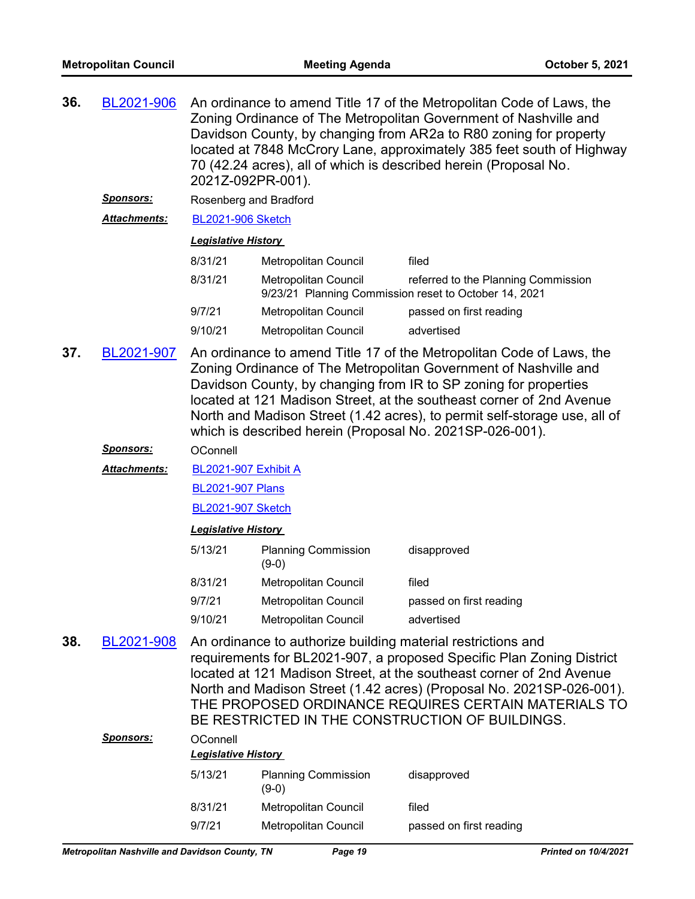- An ordinance to amend Title 17 of the Metropolitan Code of Laws, the Zoning Ordinance of The Metropolitan Government of Nashville and Davidson County, by changing from AR2a to R80 zoning for property located at 7848 McCrory Lane, approximately 385 feet south of Highway 70 (42.24 acres), all of which is described herein (Proposal No. 2021Z-092PR-001). **36.** [BL2021-906](http://nashville.legistar.com/gateway.aspx?m=l&id=/matter.aspx?key=13517)
	- *Sponsors:* Rosenberg and Bradford
	- *Attachments:* [BL2021-906 Sketch](http://nashville.legistar.com/gateway.aspx?M=F&ID=752ba738-2fa6-4c5a-a3c5-bdc899fab7e1.docx)

| 8/31/21 | Metropolitan Council        | filed                                                                                        |
|---------|-----------------------------|----------------------------------------------------------------------------------------------|
| 8/31/21 | Metropolitan Council        | referred to the Planning Commission<br>9/23/21 Planning Commission reset to October 14, 2021 |
| 9/7/21  | <b>Metropolitan Council</b> | passed on first reading                                                                      |
| 9/10/21 | <b>Metropolitan Council</b> | advertised                                                                                   |

An ordinance to amend Title 17 of the Metropolitan Code of Laws, the Zoning Ordinance of The Metropolitan Government of Nashville and Davidson County, by changing from IR to SP zoning for properties located at 121 Madison Street, at the southeast corner of 2nd Avenue North and Madison Street (1.42 acres), to permit self-storage use, all of which is described herein (Proposal No. 2021SP-026-001). **37.** [BL2021-907](http://nashville.legistar.com/gateway.aspx?m=l&id=/matter.aspx?key=13541)

# *Sponsors:* OConnell

[BL2021-907 Exhibit A](http://nashville.legistar.com/gateway.aspx?M=F&ID=5f6f2fd1-6e74-4a02-9b8d-afc92781bedf.pdf) *Attachments:*

[BL2021-907 Plans](http://nashville.legistar.com/gateway.aspx?M=F&ID=b53b91c5-6ad9-43ca-a36a-ad077392fa74.pdf)

[BL2021-907 Sketch](http://nashville.legistar.com/gateway.aspx?M=F&ID=847537ee-650a-4789-911a-d0cfc2a9e06d.docx)

# *Legislative History*

| 5/13/21 | <b>Planning Commission</b><br>(9-0) | disapproved             |
|---------|-------------------------------------|-------------------------|
| 8/31/21 | Metropolitan Council                | filed                   |
| 9/7/21  | Metropolitan Council                | passed on first reading |
| 9/10/21 | <b>Metropolitan Council</b>         | advertised              |

An ordinance to authorize building material restrictions and requirements for BL2021-907, a proposed Specific Plan Zoning District located at 121 Madison Street, at the southeast corner of 2nd Avenue North and Madison Street (1.42 acres) (Proposal No. 2021SP-026-001). THE PROPOSED ORDINANCE REQUIRES CERTAIN MATERIALS TO BE RESTRICTED IN THE CONSTRUCTION OF BUILDINGS. **38.** [BL2021-908](http://nashville.legistar.com/gateway.aspx?m=l&id=/matter.aspx?key=13542)

| <b>Sponsors:</b> | OConnell<br><b>Legislative History</b> |                                       |                         |  |
|------------------|----------------------------------------|---------------------------------------|-------------------------|--|
|                  | 5/13/21                                | <b>Planning Commission</b><br>$(9-0)$ | disapproved             |  |
|                  | 8/31/21                                | Metropolitan Council                  | filed                   |  |
|                  | 9/7/21                                 | Metropolitan Council                  | passed on first reading |  |
|                  |                                        |                                       |                         |  |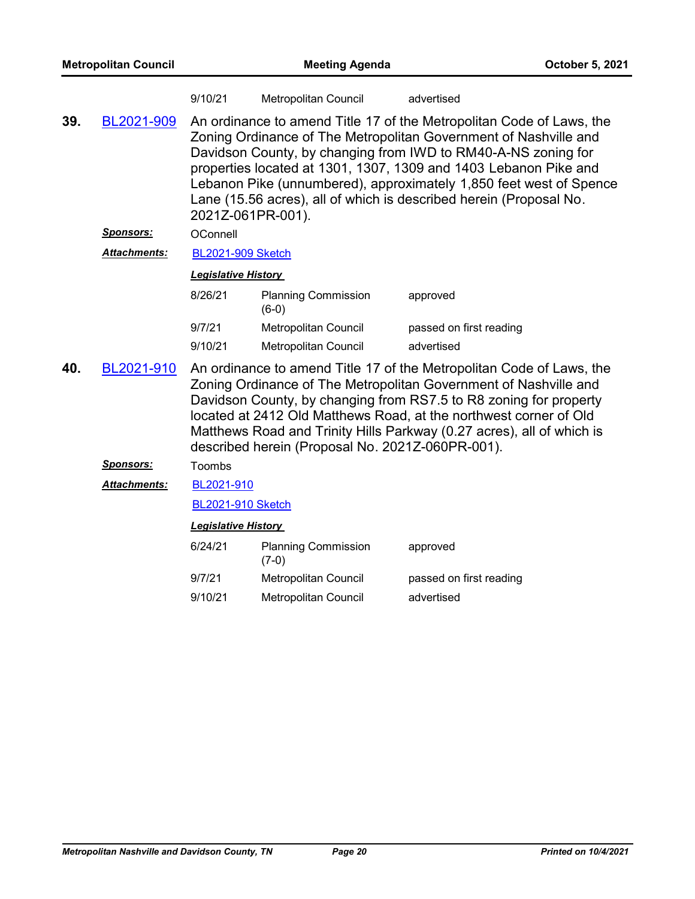|     |                         | 9/10/21                                                                                                                                                                                                                                                                                                                                                                                                                                                    | Metropolitan Council                             | advertised                                                                                                                                                                                                                                                                                                                                                  |  |
|-----|-------------------------|------------------------------------------------------------------------------------------------------------------------------------------------------------------------------------------------------------------------------------------------------------------------------------------------------------------------------------------------------------------------------------------------------------------------------------------------------------|--------------------------------------------------|-------------------------------------------------------------------------------------------------------------------------------------------------------------------------------------------------------------------------------------------------------------------------------------------------------------------------------------------------------------|--|
| 39. | BL2021-909<br>Sponsors: | An ordinance to amend Title 17 of the Metropolitan Code of Laws, the<br>Zoning Ordinance of The Metropolitan Government of Nashville and<br>Davidson County, by changing from IWD to RM40-A-NS zoning for<br>properties located at 1301, 1307, 1309 and 1403 Lebanon Pike and<br>Lebanon Pike (unnumbered), approximately 1,850 feet west of Spence<br>Lane (15.56 acres), all of which is described herein (Proposal No.<br>2021Z-061PR-001).<br>OConnell |                                                  |                                                                                                                                                                                                                                                                                                                                                             |  |
|     | <b>Attachments:</b>     | <b>BL2021-909 Sketch</b>                                                                                                                                                                                                                                                                                                                                                                                                                                   |                                                  |                                                                                                                                                                                                                                                                                                                                                             |  |
|     |                         | <b>Legislative History</b>                                                                                                                                                                                                                                                                                                                                                                                                                                 |                                                  |                                                                                                                                                                                                                                                                                                                                                             |  |
|     |                         | 8/26/21                                                                                                                                                                                                                                                                                                                                                                                                                                                    | <b>Planning Commission</b><br>$(6-0)$            | approved                                                                                                                                                                                                                                                                                                                                                    |  |
|     |                         | 9/7/21                                                                                                                                                                                                                                                                                                                                                                                                                                                     | Metropolitan Council                             | passed on first reading                                                                                                                                                                                                                                                                                                                                     |  |
|     |                         | 9/10/21                                                                                                                                                                                                                                                                                                                                                                                                                                                    | <b>Metropolitan Council</b>                      | advertised                                                                                                                                                                                                                                                                                                                                                  |  |
| 40. | BL2021-910              |                                                                                                                                                                                                                                                                                                                                                                                                                                                            | described herein (Proposal No. 2021Z-060PR-001). | An ordinance to amend Title 17 of the Metropolitan Code of Laws, the<br>Zoning Ordinance of The Metropolitan Government of Nashville and<br>Davidson County, by changing from RS7.5 to R8 zoning for property<br>located at 2412 Old Matthews Road, at the northwest corner of Old<br>Matthews Road and Trinity Hills Parkway (0.27 acres), all of which is |  |
|     | <u>Sponsors:</u>        | Toombs                                                                                                                                                                                                                                                                                                                                                                                                                                                     |                                                  |                                                                                                                                                                                                                                                                                                                                                             |  |
|     | <b>Attachments:</b>     | BL2021-910                                                                                                                                                                                                                                                                                                                                                                                                                                                 |                                                  |                                                                                                                                                                                                                                                                                                                                                             |  |
|     |                         | <b>BL2021-910 Sketch</b>                                                                                                                                                                                                                                                                                                                                                                                                                                   |                                                  |                                                                                                                                                                                                                                                                                                                                                             |  |
|     |                         | <b>Legislative History</b>                                                                                                                                                                                                                                                                                                                                                                                                                                 |                                                  |                                                                                                                                                                                                                                                                                                                                                             |  |
|     |                         | 6/24/21                                                                                                                                                                                                                                                                                                                                                                                                                                                    | <b>Planning Commission</b><br>$(7-0)$            | approved                                                                                                                                                                                                                                                                                                                                                    |  |
|     |                         | 9/7/21                                                                                                                                                                                                                                                                                                                                                                                                                                                     | Metropolitan Council                             | passed on first reading                                                                                                                                                                                                                                                                                                                                     |  |
|     |                         | 9/10/21                                                                                                                                                                                                                                                                                                                                                                                                                                                    | <b>Metropolitan Council</b>                      | advertised                                                                                                                                                                                                                                                                                                                                                  |  |
|     |                         |                                                                                                                                                                                                                                                                                                                                                                                                                                                            |                                                  |                                                                                                                                                                                                                                                                                                                                                             |  |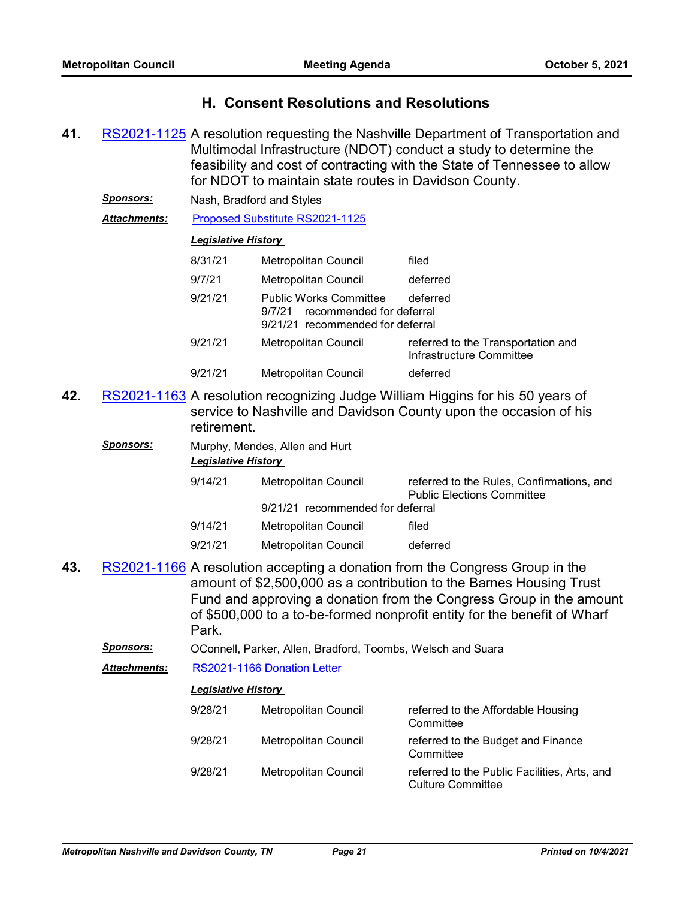# **H. Consent Resolutions and Resolutions**

- 41. [RS2021-1125](http://nashville.legistar.com/gateway.aspx?m=l&id=/matter.aspx?key=13531) A resolution requesting the Nashville Department of Transportation and Multimodal Infrastructure (NDOT) conduct a study to determine the feasibility and cost of contracting with the State of Tennessee to allow for NDOT to maintain state routes in Davidson County.
	- *Sponsors:* Nash, Bradford and Styles

Attachments: [Proposed Substitute RS2021-1125](http://nashville.legistar.com/gateway.aspx?M=F&ID=434f5acc-d076-4f14-a6d8-ed200c68d115.docx)

# *Legislative History*

| 8/31/21 | <b>Metropolitan Council</b>                                                                             | filed                                                          |
|---------|---------------------------------------------------------------------------------------------------------|----------------------------------------------------------------|
| 9/7/21  | Metropolitan Council                                                                                    | deferred                                                       |
| 9/21/21 | <b>Public Works Committee</b><br>recommended for deferral<br>9/7/21<br>9/21/21 recommended for deferral | deferred                                                       |
| 9/21/21 | Metropolitan Council                                                                                    | referred to the Transportation and<br>Infrastructure Committee |
| 9/21/21 | <b>Metropolitan Council</b>                                                                             | deferred                                                       |

- 42. [RS2021-1163](http://nashville.legistar.com/gateway.aspx?m=l&id=/matter.aspx?key=13558) A resolution recognizing Judge William Higgins for his 50 years of service to Nashville and Davidson County upon the occasion of his retirement.
	- *Sponsors:* Murphy, Mendes, Allen and Hurt *Legislative History*  9/14/21 Metropolitan Council referred to the Rules, Confirmations, and Public Elections Committee 9/21/21 recommended for deferral 9/14/21 Metropolitan Council filed 9/21/21 Metropolitan Council deferred
- **43.** [RS2021-1166](http://nashville.legistar.com/gateway.aspx?m=l&id=/matter.aspx?key=13606) A resolution accepting a donation from the Congress Group in the amount of \$2,500,000 as a contribution to the Barnes Housing Trust Fund and approving a donation from the Congress Group in the amount of \$500,000 to a to-be-formed nonprofit entity for the benefit of Wharf Park.
	- *Sponsors:* OConnell, Parker, Allen, Bradford, Toombs, Welsch and Suara
	- *Attachments:* [RS2021-1166 Donation Letter](http://nashville.legistar.com/gateway.aspx?M=F&ID=3d8de910-513d-4213-b39b-d8ba9bd828c4.PDF)

| 9/28/21 | Metropolitan Council | referred to the Affordable Housing<br>Committee                          |
|---------|----------------------|--------------------------------------------------------------------------|
| 9/28/21 | Metropolitan Council | referred to the Budget and Finance<br>Committee                          |
| 9/28/21 | Metropolitan Council | referred to the Public Facilities, Arts, and<br><b>Culture Committee</b> |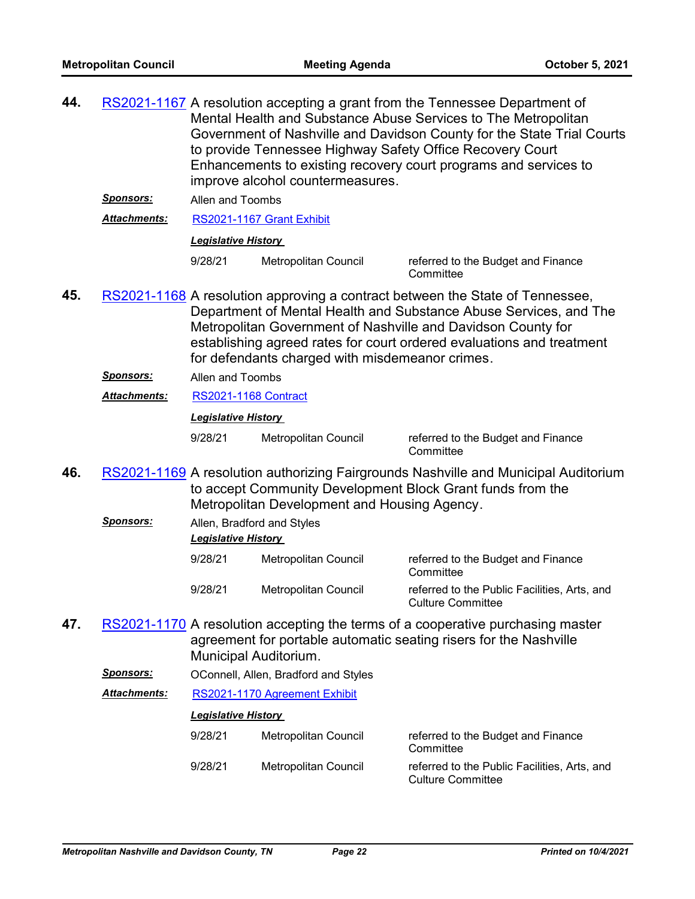| 44. | <u>Sponsors:</u><br><b>Attachments:</b> | RS2021-1167 A resolution accepting a grant from the Tennessee Department of<br>Mental Health and Substance Abuse Services to The Metropolitan<br>Government of Nashville and Davidson County for the State Trial Courts<br>to provide Tennessee Highway Safety Office Recovery Court<br>Enhancements to existing recovery court programs and services to<br>improve alcohol countermeasures.<br>Allen and Toombs<br>RS2021-1167 Grant Exhibit<br><b>Legislative History</b> |                                                 |                                                                                                                                                                                                                                                                                             |  |
|-----|-----------------------------------------|-----------------------------------------------------------------------------------------------------------------------------------------------------------------------------------------------------------------------------------------------------------------------------------------------------------------------------------------------------------------------------------------------------------------------------------------------------------------------------|-------------------------------------------------|---------------------------------------------------------------------------------------------------------------------------------------------------------------------------------------------------------------------------------------------------------------------------------------------|--|
|     |                                         | 9/28/21                                                                                                                                                                                                                                                                                                                                                                                                                                                                     | Metropolitan Council                            | referred to the Budget and Finance<br>Committee                                                                                                                                                                                                                                             |  |
| 45. |                                         |                                                                                                                                                                                                                                                                                                                                                                                                                                                                             | for defendants charged with misdemeanor crimes. | RS2021-1168 A resolution approving a contract between the State of Tennessee,<br>Department of Mental Health and Substance Abuse Services, and The<br>Metropolitan Government of Nashville and Davidson County for<br>establishing agreed rates for court ordered evaluations and treatment |  |
|     | <b>Sponsors:</b>                        | Allen and Toombs                                                                                                                                                                                                                                                                                                                                                                                                                                                            |                                                 |                                                                                                                                                                                                                                                                                             |  |
|     | Attachments:                            | <b>RS2021-1168 Contract</b>                                                                                                                                                                                                                                                                                                                                                                                                                                                 |                                                 |                                                                                                                                                                                                                                                                                             |  |
|     |                                         | <b>Legislative History</b>                                                                                                                                                                                                                                                                                                                                                                                                                                                  |                                                 |                                                                                                                                                                                                                                                                                             |  |
|     |                                         | 9/28/21                                                                                                                                                                                                                                                                                                                                                                                                                                                                     | Metropolitan Council                            | referred to the Budget and Finance<br>Committee                                                                                                                                                                                                                                             |  |
| 46. |                                         | RS2021-1169 A resolution authorizing Fairgrounds Nashville and Municipal Auditorium<br>to accept Community Development Block Grant funds from the<br>Metropolitan Development and Housing Agency.                                                                                                                                                                                                                                                                           |                                                 |                                                                                                                                                                                                                                                                                             |  |
|     | <b>Sponsors:</b>                        | Allen, Bradford and Styles<br><b>Legislative History</b>                                                                                                                                                                                                                                                                                                                                                                                                                    |                                                 |                                                                                                                                                                                                                                                                                             |  |
|     |                                         | 9/28/21                                                                                                                                                                                                                                                                                                                                                                                                                                                                     | Metropolitan Council                            | referred to the Budget and Finance<br>Committee                                                                                                                                                                                                                                             |  |
|     |                                         | 9/28/21                                                                                                                                                                                                                                                                                                                                                                                                                                                                     | Metropolitan Council                            | referred to the Public Facilities, Arts, and<br>Culture Committee                                                                                                                                                                                                                           |  |
| 47. |                                         | Municipal Auditorium.                                                                                                                                                                                                                                                                                                                                                                                                                                                       |                                                 | RS2021-1170 A resolution accepting the terms of a cooperative purchasing master<br>agreement for portable automatic seating risers for the Nashville                                                                                                                                        |  |
|     | <b>Sponsors:</b>                        |                                                                                                                                                                                                                                                                                                                                                                                                                                                                             | OConnell, Allen, Bradford and Styles            |                                                                                                                                                                                                                                                                                             |  |
|     | Attachments:                            | RS2021-1170 Agreement Exhibit                                                                                                                                                                                                                                                                                                                                                                                                                                               |                                                 |                                                                                                                                                                                                                                                                                             |  |
|     |                                         | <b>Legislative History</b>                                                                                                                                                                                                                                                                                                                                                                                                                                                  |                                                 |                                                                                                                                                                                                                                                                                             |  |
|     |                                         | 9/28/21                                                                                                                                                                                                                                                                                                                                                                                                                                                                     | Metropolitan Council                            | referred to the Budget and Finance<br>Committee                                                                                                                                                                                                                                             |  |
|     |                                         | 9/28/21                                                                                                                                                                                                                                                                                                                                                                                                                                                                     | Metropolitan Council                            | referred to the Public Facilities, Arts, and<br><b>Culture Committee</b>                                                                                                                                                                                                                    |  |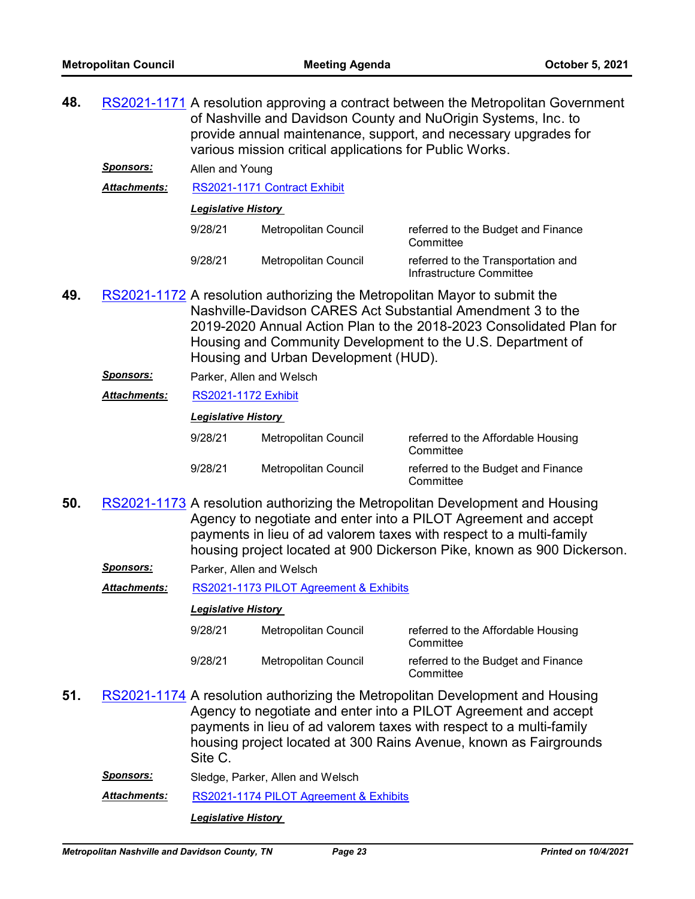**48.** [RS2021-1171](http://nashville.legistar.com/gateway.aspx?m=l&id=/matter.aspx?key=13601) A resolution approving a contract between the Metropolitan Government of Nashville and Davidson County and NuOrigin Systems, Inc. to provide annual maintenance, support, and necessary upgrades for various mission critical applications for Public Works.

*Sponsors:* Allen and Young

*Attachments:* [RS2021-1171 Contract Exhibit](http://nashville.legistar.com/gateway.aspx?M=F&ID=e822e680-7047-4487-a41a-56d551e6b5a2.pdf)

## *Legislative History*

| 9/28/21 | Metropolitan Council | referred to the Budget and Finance<br>Committee                |
|---------|----------------------|----------------------------------------------------------------|
| 9/28/21 | Metropolitan Council | referred to the Transportation and<br>Infrastructure Committee |

- **49.** [RS2021-1172](http://nashville.legistar.com/gateway.aspx?m=l&id=/matter.aspx?key=13631) A resolution authorizing the Metropolitan Mayor to submit the Nashville-Davidson CARES Act Substantial Amendment 3 to the 2019-2020 Annual Action Plan to the 2018-2023 Consolidated Plan for Housing and Community Development to the U.S. Department of Housing and Urban Development (HUD).
	- *Sponsors:* Parker, Allen and Welsch

# *Attachments:* [RS2021-1172 Exhibit](http://nashville.legistar.com/gateway.aspx?M=F&ID=4ed0f565-aafb-4b1b-9a93-c7b0c60c2341.pdf)

# *Legislative History*

| 9/28/21 | Metropolitan Council | referred to the Affordable Housing<br>Committee |
|---------|----------------------|-------------------------------------------------|
| 9/28/21 | Metropolitan Council | referred to the Budget and Finance<br>Committee |

- 50. [RS2021-1173](http://nashville.legistar.com/gateway.aspx?m=l&id=/matter.aspx?key=13665) A resolution authorizing the Metropolitan Development and Housing Agency to negotiate and enter into a PILOT Agreement and accept payments in lieu of ad valorem taxes with respect to a multi-family housing project located at 900 Dickerson Pike, known as 900 Dickerson.
	- *Sponsors:* Parker, Allen and Welsch

*Attachments:* [RS2021-1173 PILOT Agreement & Exhibits](http://nashville.legistar.com/gateway.aspx?M=F&ID=e8511b61-f16d-47e7-b064-329b2ff380e4.pdf)

# *Legislative History*

| 9/28/21 | Metropolitan Council | referred to the Affordable Housing<br>Committee |
|---------|----------------------|-------------------------------------------------|
| 9/28/21 | Metropolitan Council | referred to the Budget and Finance<br>Committee |

- 51. [RS2021-1174](http://nashville.legistar.com/gateway.aspx?m=l&id=/matter.aspx?key=13667) A resolution authorizing the Metropolitan Development and Housing Agency to negotiate and enter into a PILOT Agreement and accept payments in lieu of ad valorem taxes with respect to a multi-family housing project located at 300 Rains Avenue, known as Fairgrounds Site C.
	- *Sponsors:* Sledge, Parker, Allen and Welsch

*Attachments:* [RS2021-1174 PILOT Agreement & Exhibits](http://nashville.legistar.com/gateway.aspx?M=F&ID=1b7ac01f-7637-4513-ade9-30442044c602.pdf)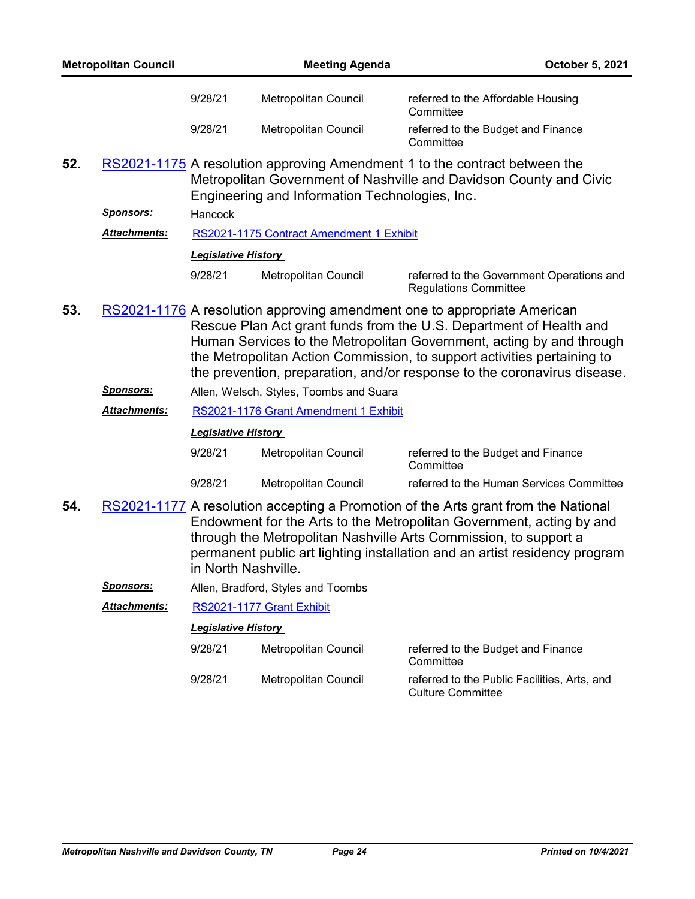| <b>Metropolitan Council</b> |                     | <b>Meeting Agenda</b>      |                                                                                                                                                                                                                                                                                                                                                                               | October 5, 2021                                                           |  |
|-----------------------------|---------------------|----------------------------|-------------------------------------------------------------------------------------------------------------------------------------------------------------------------------------------------------------------------------------------------------------------------------------------------------------------------------------------------------------------------------|---------------------------------------------------------------------------|--|
|                             |                     | 9/28/21                    | Metropolitan Council                                                                                                                                                                                                                                                                                                                                                          | referred to the Affordable Housing<br>Committee                           |  |
|                             |                     | 9/28/21                    | <b>Metropolitan Council</b>                                                                                                                                                                                                                                                                                                                                                   | referred to the Budget and Finance<br>Committee                           |  |
| 52.                         |                     |                            | RS2021-1175 A resolution approving Amendment 1 to the contract between the<br>Metropolitan Government of Nashville and Davidson County and Civic<br>Engineering and Information Technologies, Inc.                                                                                                                                                                            |                                                                           |  |
|                             | <u>Sponsors:</u>    | Hancock                    |                                                                                                                                                                                                                                                                                                                                                                               |                                                                           |  |
|                             | Attachments:        |                            | RS2021-1175 Contract Amendment 1 Exhibit                                                                                                                                                                                                                                                                                                                                      |                                                                           |  |
|                             |                     | <b>Legislative History</b> |                                                                                                                                                                                                                                                                                                                                                                               |                                                                           |  |
|                             |                     | 9/28/21                    | Metropolitan Council                                                                                                                                                                                                                                                                                                                                                          | referred to the Government Operations and<br><b>Regulations Committee</b> |  |
| 53.                         |                     |                            | RS2021-1176 A resolution approving amendment one to appropriate American<br>Rescue Plan Act grant funds from the U.S. Department of Health and<br>Human Services to the Metropolitan Government, acting by and through<br>the Metropolitan Action Commission, to support activities pertaining to<br>the prevention, preparation, and/or response to the coronavirus disease. |                                                                           |  |
|                             | <b>Sponsors:</b>    |                            | Allen, Welsch, Styles, Toombs and Suara                                                                                                                                                                                                                                                                                                                                       |                                                                           |  |
|                             | <b>Attachments:</b> |                            | RS2021-1176 Grant Amendment 1 Exhibit                                                                                                                                                                                                                                                                                                                                         |                                                                           |  |
|                             |                     | <b>Legislative History</b> |                                                                                                                                                                                                                                                                                                                                                                               |                                                                           |  |
|                             |                     | 9/28/21                    | Metropolitan Council                                                                                                                                                                                                                                                                                                                                                          | referred to the Budget and Finance<br>Committee                           |  |
|                             |                     | 9/28/21                    | Metropolitan Council                                                                                                                                                                                                                                                                                                                                                          | referred to the Human Services Committee                                  |  |
| 54.                         |                     | in North Nashville.        | RS2021-1177 A resolution accepting a Promotion of the Arts grant from the National<br>Endowment for the Arts to the Metropolitan Government, acting by and<br>through the Metropolitan Nashville Arts Commission, to support a<br>permanent public art lighting installation and an artist residency program                                                                  |                                                                           |  |
|                             | <u>Sponsors:</u>    |                            | Allen, Bradford, Styles and Toombs                                                                                                                                                                                                                                                                                                                                            |                                                                           |  |
|                             | <b>Attachments:</b> |                            | RS2021-1177 Grant Exhibit                                                                                                                                                                                                                                                                                                                                                     |                                                                           |  |
|                             |                     | <b>Legislative History</b> |                                                                                                                                                                                                                                                                                                                                                                               |                                                                           |  |
|                             |                     | 9/28/21                    | Metropolitan Council                                                                                                                                                                                                                                                                                                                                                          | referred to the Budget and Finance<br>Committee                           |  |
|                             |                     | 9/28/21                    | Metropolitan Council                                                                                                                                                                                                                                                                                                                                                          | referred to the Public Facilities, Arts, and<br><b>Culture Committee</b>  |  |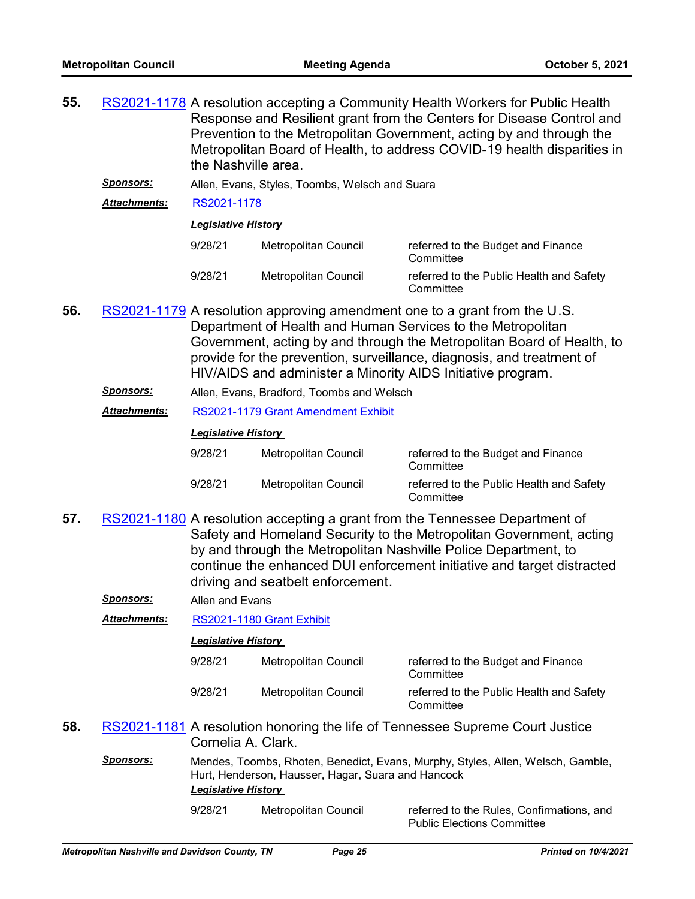| 55. |                     | RS2021-1178 A resolution accepting a Community Health Workers for Public Health<br>Response and Resilient grant from the Centers for Disease Control and<br>Prevention to the Metropolitan Government, acting by and through the<br>Metropolitan Board of Health, to address COVID-19 health disparities in<br>the Nashville area. |                             |                                                       |  |
|-----|---------------------|------------------------------------------------------------------------------------------------------------------------------------------------------------------------------------------------------------------------------------------------------------------------------------------------------------------------------------|-----------------------------|-------------------------------------------------------|--|
|     | Sponsors:           | Allen, Evans, Styles, Toombs, Welsch and Suara                                                                                                                                                                                                                                                                                     |                             |                                                       |  |
|     | <b>Attachments:</b> | RS2021-1178                                                                                                                                                                                                                                                                                                                        |                             |                                                       |  |
|     |                     | <b>Legislative History</b>                                                                                                                                                                                                                                                                                                         |                             |                                                       |  |
|     |                     | 9/28/21                                                                                                                                                                                                                                                                                                                            | Metropolitan Council        | referred to the Budget and Finance<br>Committee       |  |
|     |                     | 9/28/21                                                                                                                                                                                                                                                                                                                            | <b>Metropolitan Council</b> | referred to the Public Health and Safety<br>Committee |  |
|     |                     |                                                                                                                                                                                                                                                                                                                                    |                             |                                                       |  |

- 56. [RS2021-1179](http://nashville.legistar.com/gateway.aspx?m=l&id=/matter.aspx?key=13626) A resolution approving amendment one to a grant from the U.S. Department of Health and Human Services to the Metropolitan Government, acting by and through the Metropolitan Board of Health, to provide for the prevention, surveillance, diagnosis, and treatment of HIV/AIDS and administer a Minority AIDS Initiative program.
	- *Sponsors:* Allen, Evans, Bradford, Toombs and Welsch
	- *Attachments:* [RS2021-1179 Grant Amendment Exhibit](http://nashville.legistar.com/gateway.aspx?M=F&ID=aadc41d4-d87a-4508-b050-4875abe22304.pdf)

| 9/28/21 | Metropolitan Council | referred to the Budget and Finance<br>Committee       |
|---------|----------------------|-------------------------------------------------------|
| 9/28/21 | Metropolitan Council | referred to the Public Health and Safety<br>Committee |

- 57. [RS2021-1180](http://nashville.legistar.com/gateway.aspx?m=l&id=/matter.aspx?key=13628) A resolution accepting a grant from the Tennessee Department of Safety and Homeland Security to the Metropolitan Government, acting by and through the Metropolitan Nashville Police Department, to continue the enhanced DUI enforcement initiative and target distracted driving and seatbelt enforcement.
	- *Sponsors:* Allen and Evans

*Attachments:* [RS2021-1180 Grant Exhibit](http://nashville.legistar.com/gateway.aspx?M=F&ID=0ed5f027-cacf-49dc-bba3-1046aa45f3c1.pdf)

#### *Legislative History*

| 9/28/21 | Metropolitan Council | referred to the Budget and Finance<br>Committee       |
|---------|----------------------|-------------------------------------------------------|
| 9/28/21 | Metropolitan Council | referred to the Public Health and Safety<br>Committee |

Public Elections Committee

- 58. [RS2021-1181](http://nashville.legistar.com/gateway.aspx?m=l&id=/matter.aspx?key=13666) A resolution honoring the life of Tennessee Supreme Court Justice Cornelia A. Clark.
	- *Sponsors:* Mendes, Toombs, Rhoten, Benedict, Evans, Murphy, Styles, Allen, Welsch, Gamble, Hurt, Henderson, Hausser, Hagar, Suara and Hancock *Legislative History*

9/28/21 Metropolitan Council referred to the Rules, Confirmations, and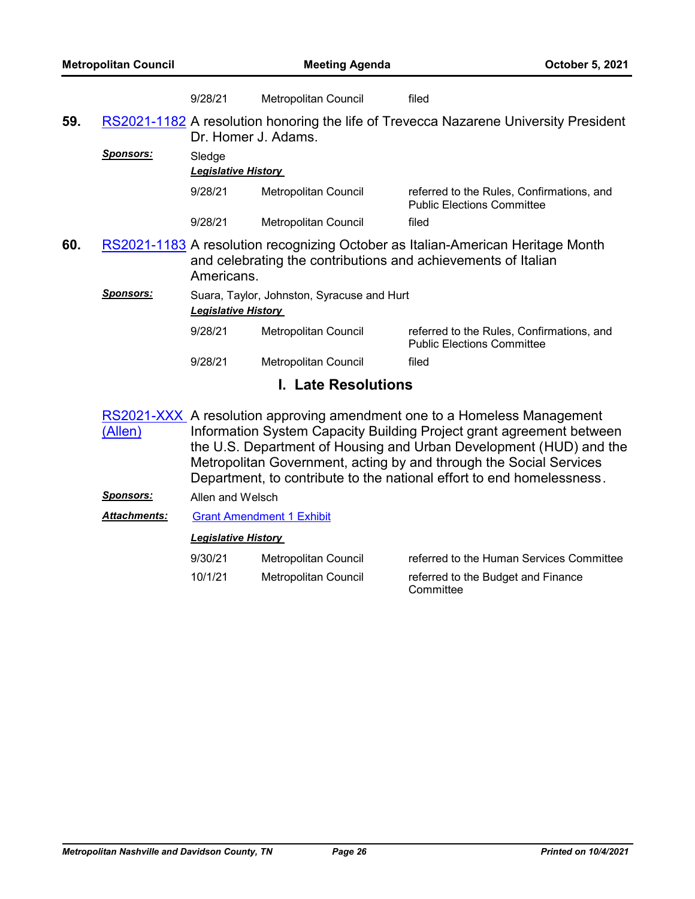|     | <b>Metropolitan Council</b> |                                                                          | <b>Meeting Agenda</b>       | October 5, 2021                                                                                                                                                                                                                                                                                                                                                       |  |
|-----|-----------------------------|--------------------------------------------------------------------------|-----------------------------|-----------------------------------------------------------------------------------------------------------------------------------------------------------------------------------------------------------------------------------------------------------------------------------------------------------------------------------------------------------------------|--|
|     |                             | 9/28/21                                                                  | <b>Metropolitan Council</b> | filed                                                                                                                                                                                                                                                                                                                                                                 |  |
| 59. |                             | Dr. Homer J. Adams.                                                      |                             | RS2021-1182 A resolution honoring the life of Trevecca Nazarene University President                                                                                                                                                                                                                                                                                  |  |
|     | Sponsors:                   | Sledge<br><b>Legislative History</b>                                     |                             |                                                                                                                                                                                                                                                                                                                                                                       |  |
|     |                             | 9/28/21                                                                  | Metropolitan Council        | referred to the Rules, Confirmations, and<br><b>Public Elections Committee</b>                                                                                                                                                                                                                                                                                        |  |
|     |                             | 9/28/21                                                                  | Metropolitan Council        | filed                                                                                                                                                                                                                                                                                                                                                                 |  |
| 60. |                             | Americans.                                                               |                             | RS2021-1183 A resolution recognizing October as Italian-American Heritage Month<br>and celebrating the contributions and achievements of Italian                                                                                                                                                                                                                      |  |
|     | <b>Sponsors:</b>            | Suara, Taylor, Johnston, Syracuse and Hurt<br><b>Legislative History</b> |                             |                                                                                                                                                                                                                                                                                                                                                                       |  |
|     |                             | 9/28/21                                                                  | Metropolitan Council        | referred to the Rules, Confirmations, and<br><b>Public Elections Committee</b>                                                                                                                                                                                                                                                                                        |  |
|     |                             | 9/28/21                                                                  | Metropolitan Council        | filed                                                                                                                                                                                                                                                                                                                                                                 |  |
|     |                             | <b>Late Resolutions</b>                                                  |                             |                                                                                                                                                                                                                                                                                                                                                                       |  |
|     | (Allen)                     |                                                                          |                             | RS2021-XXX A resolution approving amendment one to a Homeless Management<br>Information System Capacity Building Project grant agreement between<br>the U.S. Department of Housing and Urban Development (HUD) and the<br>Metropolitan Government, acting by and through the Social Services<br>Department, to contribute to the national effort to end homelessness. |  |

*Sponsors:* Allen and Welsch

*Attachments:* [Grant Amendment 1 Exhibit](http://nashville.legistar.com/gateway.aspx?M=F&ID=39189e1f-b0b0-46c1-8ccf-7d6eb923f047.pdf)

| 9/30/21 | Metropolitan Council | referred to the Human Services Committee        |
|---------|----------------------|-------------------------------------------------|
| 10/1/21 | Metropolitan Council | referred to the Budget and Finance<br>Committee |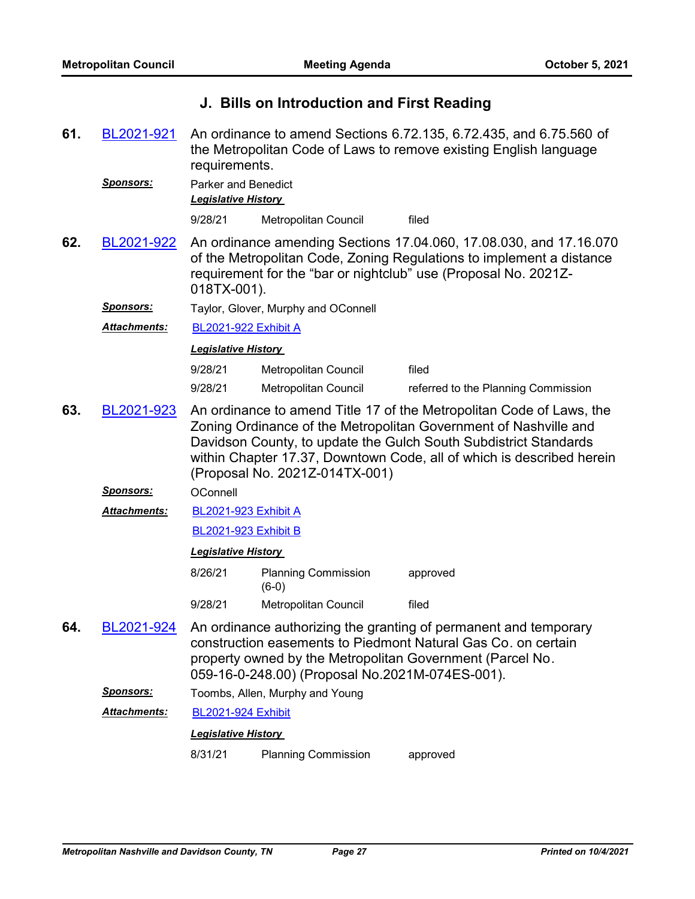# **J. Bills on Introduction and First Reading**

An ordinance to amend Sections 6.72.135, 6.72.435, and 6.75.560 of the Metropolitan Code of Laws to remove existing English language requirements. **61.** [BL2021-921](http://nashville.legistar.com/gateway.aspx?m=l&id=/matter.aspx?key=13675)

*Sponsors:* Parker and Benedict *Legislative History* 

9/28/21 Metropolitan Council filed

An ordinance amending Sections 17.04.060, 17.08.030, and 17.16.070 of the Metropolitan Code, Zoning Regulations to implement a distance requirement for the "bar or nightclub" use (Proposal No. 2021Z-018TX-001). **62.** [BL2021-922](http://nashville.legistar.com/gateway.aspx?m=l&id=/matter.aspx?key=13669)

*Sponsors:* Taylor, Glover, Murphy and OConnell

*Attachments:* [BL2021-922 Exhibit A](http://nashville.legistar.com/gateway.aspx?M=F&ID=6a5f6893-68ba-4fa3-873f-bf260ce8695d.docx)

*Legislative History* 

| 9/28/21 | Metropolitan Council | filed                               |
|---------|----------------------|-------------------------------------|
| 9/28/21 | Metropolitan Council | referred to the Planning Commission |

An ordinance to amend Title 17 of the Metropolitan Code of Laws, the Zoning Ordinance of the Metropolitan Government of Nashville and Davidson County, to update the Gulch South Subdistrict Standards within Chapter 17.37, Downtown Code, all of which is described herein (Proposal No. 2021Z-014TX-001) **63.** [BL2021-923](http://nashville.legistar.com/gateway.aspx?m=l&id=/matter.aspx?key=13658)

*Sponsors:* OConnell

[BL2021-923 Exhibit A](http://nashville.legistar.com/gateway.aspx?M=F&ID=916f05a0-21f3-4b06-b505-c135adad8c9d.pdf) *Attachments:*

[BL2021-923 Exhibit B](http://nashville.legistar.com/gateway.aspx?M=F&ID=25ace5a0-cdf8-435f-85e6-e8e7494e4a6a.pdf)

# *Legislative History*

- 8/26/21 Planning Commission approved (6-0) 9/28/21 Metropolitan Council filed
- An ordinance authorizing the granting of permanent and temporary construction easements to Piedmont Natural Gas Co. on certain property owned by the Metropolitan Government (Parcel No. 059-16-0-248.00) (Proposal No.2021M-074ES-001). **64.** [BL2021-924](http://nashville.legistar.com/gateway.aspx?m=l&id=/matter.aspx?key=13662)
	- *Sponsors:* Toombs, Allen, Murphy and Young

*Attachments:* [BL2021-924 Exhibit](http://nashville.legistar.com/gateway.aspx?M=F&ID=e8ee09ec-4fcc-44ec-bcf8-f7a33666cf7e.pdf)

# *Legislative History*

8/31/21 Planning Commission approved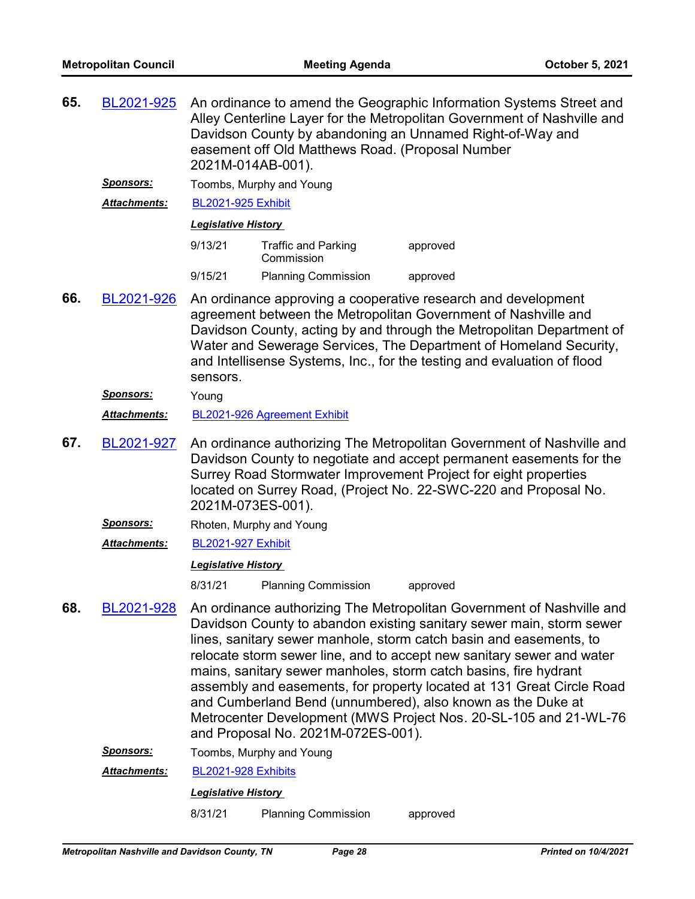| 65. | BL2021-925           | An ordinance to amend the Geographic Information Systems Street and<br>Alley Centerline Layer for the Metropolitan Government of Nashville and<br>Davidson County by abandoning an Unnamed Right-of-Way and<br>easement off Old Matthews Road. (Proposal Number<br>2021M-014AB-001).                                                                                 |                                          |                                                                                                                                                                                                                                                                                                                                                                                                                                                                                                                                                                              |  |  |
|-----|----------------------|----------------------------------------------------------------------------------------------------------------------------------------------------------------------------------------------------------------------------------------------------------------------------------------------------------------------------------------------------------------------|------------------------------------------|------------------------------------------------------------------------------------------------------------------------------------------------------------------------------------------------------------------------------------------------------------------------------------------------------------------------------------------------------------------------------------------------------------------------------------------------------------------------------------------------------------------------------------------------------------------------------|--|--|
|     | <b>Sponsors:</b>     |                                                                                                                                                                                                                                                                                                                                                                      | Toombs, Murphy and Young                 |                                                                                                                                                                                                                                                                                                                                                                                                                                                                                                                                                                              |  |  |
|     | Attachments:         | <b>BL2021-925 Exhibit</b>                                                                                                                                                                                                                                                                                                                                            |                                          |                                                                                                                                                                                                                                                                                                                                                                                                                                                                                                                                                                              |  |  |
|     |                      | <b>Legislative History</b>                                                                                                                                                                                                                                                                                                                                           |                                          |                                                                                                                                                                                                                                                                                                                                                                                                                                                                                                                                                                              |  |  |
|     |                      | 9/13/21                                                                                                                                                                                                                                                                                                                                                              | <b>Traffic and Parking</b><br>Commission | approved                                                                                                                                                                                                                                                                                                                                                                                                                                                                                                                                                                     |  |  |
|     |                      | 9/15/21                                                                                                                                                                                                                                                                                                                                                              | <b>Planning Commission</b>               | approved                                                                                                                                                                                                                                                                                                                                                                                                                                                                                                                                                                     |  |  |
| 66. | BL2021-926           | An ordinance approving a cooperative research and development<br>agreement between the Metropolitan Government of Nashville and<br>Davidson County, acting by and through the Metropolitan Department of<br>Water and Sewerage Services, The Department of Homeland Security,<br>and Intellisense Systems, Inc., for the testing and evaluation of flood<br>sensors. |                                          |                                                                                                                                                                                                                                                                                                                                                                                                                                                                                                                                                                              |  |  |
|     | <b>Sponsors:</b>     | Young                                                                                                                                                                                                                                                                                                                                                                |                                          |                                                                                                                                                                                                                                                                                                                                                                                                                                                                                                                                                                              |  |  |
|     | Attachments:         |                                                                                                                                                                                                                                                                                                                                                                      | BL2021-926 Agreement Exhibit             |                                                                                                                                                                                                                                                                                                                                                                                                                                                                                                                                                                              |  |  |
| 67. | BL2021-927           | An ordinance authorizing The Metropolitan Government of Nashville and<br>Davidson County to negotiate and accept permanent easements for the<br>Surrey Road Stormwater Improvement Project for eight properties<br>located on Surrey Road, (Project No. 22-SWC-220 and Proposal No.<br>2021M-073ES-001).                                                             |                                          |                                                                                                                                                                                                                                                                                                                                                                                                                                                                                                                                                                              |  |  |
|     | <b>Sponsors:</b>     |                                                                                                                                                                                                                                                                                                                                                                      | Rhoten, Murphy and Young                 |                                                                                                                                                                                                                                                                                                                                                                                                                                                                                                                                                                              |  |  |
|     | Attachments:         | <b>BL2021-927 Exhibit</b>                                                                                                                                                                                                                                                                                                                                            |                                          |                                                                                                                                                                                                                                                                                                                                                                                                                                                                                                                                                                              |  |  |
|     |                      | <b>Legislative History</b>                                                                                                                                                                                                                                                                                                                                           |                                          |                                                                                                                                                                                                                                                                                                                                                                                                                                                                                                                                                                              |  |  |
|     |                      | 8/31/21                                                                                                                                                                                                                                                                                                                                                              | <b>Planning Commission</b>               | approved                                                                                                                                                                                                                                                                                                                                                                                                                                                                                                                                                                     |  |  |
| 68. | BL2021-928           |                                                                                                                                                                                                                                                                                                                                                                      | and Proposal No. 2021M-072ES-001).       | An ordinance authorizing The Metropolitan Government of Nashville and<br>Davidson County to abandon existing sanitary sewer main, storm sewer<br>lines, sanitary sewer manhole, storm catch basin and easements, to<br>relocate storm sewer line, and to accept new sanitary sewer and water<br>mains, sanitary sewer manholes, storm catch basins, fire hydrant<br>assembly and easements, for property located at 131 Great Circle Road<br>and Cumberland Bend (unnumbered), also known as the Duke at<br>Metrocenter Development (MWS Project Nos. 20-SL-105 and 21-WL-76 |  |  |
|     | Sponsors:            |                                                                                                                                                                                                                                                                                                                                                                      | Toombs, Murphy and Young                 |                                                                                                                                                                                                                                                                                                                                                                                                                                                                                                                                                                              |  |  |
|     | <u> Attachments:</u> | BL2021-928 Exhibits                                                                                                                                                                                                                                                                                                                                                  |                                          |                                                                                                                                                                                                                                                                                                                                                                                                                                                                                                                                                                              |  |  |
|     |                      | <b>Legislative History</b>                                                                                                                                                                                                                                                                                                                                           |                                          |                                                                                                                                                                                                                                                                                                                                                                                                                                                                                                                                                                              |  |  |
|     |                      | 8/31/21                                                                                                                                                                                                                                                                                                                                                              | <b>Planning Commission</b>               | approved                                                                                                                                                                                                                                                                                                                                                                                                                                                                                                                                                                     |  |  |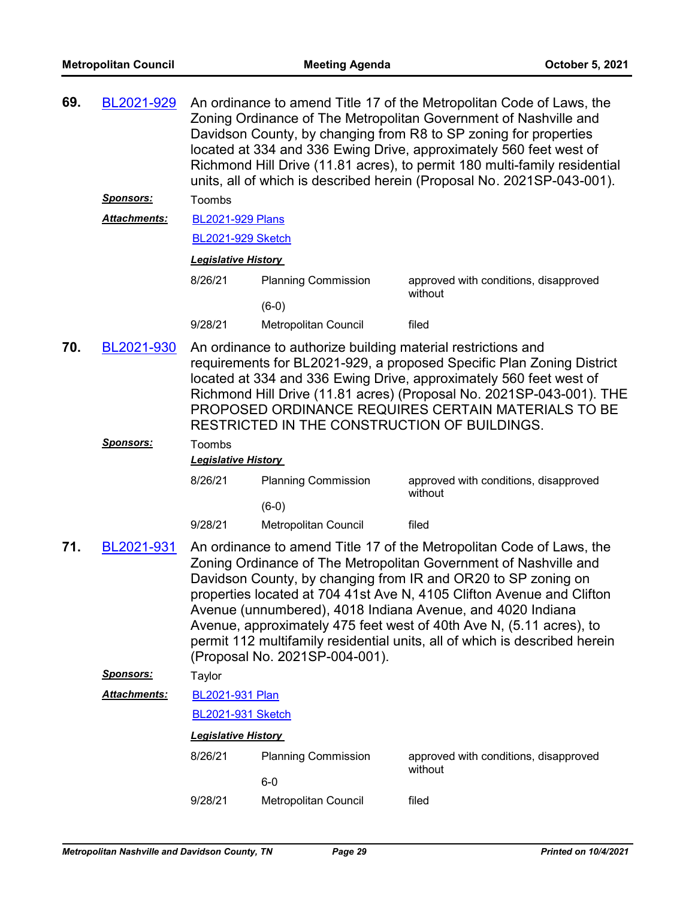| 69. | BL2021-929          | An ordinance to amend Title 17 of the Metropolitan Code of Laws, the<br>Zoning Ordinance of The Metropolitan Government of Nashville and<br>Davidson County, by changing from R8 to SP zoning for properties<br>located at 334 and 336 Ewing Drive, approximately 560 feet west of<br>Richmond Hill Drive (11.81 acres), to permit 180 multi-family residential<br>units, all of which is described herein (Proposal No. 2021SP-043-001). |                                |                                                                                                                                                                                                                                                                                                                                                                                                                                                                                                       |  |  |
|-----|---------------------|-------------------------------------------------------------------------------------------------------------------------------------------------------------------------------------------------------------------------------------------------------------------------------------------------------------------------------------------------------------------------------------------------------------------------------------------|--------------------------------|-------------------------------------------------------------------------------------------------------------------------------------------------------------------------------------------------------------------------------------------------------------------------------------------------------------------------------------------------------------------------------------------------------------------------------------------------------------------------------------------------------|--|--|
|     | <u>Sponsors:</u>    | Toombs                                                                                                                                                                                                                                                                                                                                                                                                                                    |                                |                                                                                                                                                                                                                                                                                                                                                                                                                                                                                                       |  |  |
|     | Attachments:        | <b>BL2021-929 Plans</b>                                                                                                                                                                                                                                                                                                                                                                                                                   |                                |                                                                                                                                                                                                                                                                                                                                                                                                                                                                                                       |  |  |
|     |                     | <b>BL2021-929 Sketch</b>                                                                                                                                                                                                                                                                                                                                                                                                                  |                                |                                                                                                                                                                                                                                                                                                                                                                                                                                                                                                       |  |  |
|     |                     | <b>Legislative History</b>                                                                                                                                                                                                                                                                                                                                                                                                                |                                |                                                                                                                                                                                                                                                                                                                                                                                                                                                                                                       |  |  |
|     |                     | 8/26/21                                                                                                                                                                                                                                                                                                                                                                                                                                   | <b>Planning Commission</b>     | approved with conditions, disapproved                                                                                                                                                                                                                                                                                                                                                                                                                                                                 |  |  |
|     |                     |                                                                                                                                                                                                                                                                                                                                                                                                                                           | $(6-0)$                        | without                                                                                                                                                                                                                                                                                                                                                                                                                                                                                               |  |  |
|     |                     | 9/28/21                                                                                                                                                                                                                                                                                                                                                                                                                                   | Metropolitan Council           | filed                                                                                                                                                                                                                                                                                                                                                                                                                                                                                                 |  |  |
| 70. | BL2021-930          | An ordinance to authorize building material restrictions and<br>requirements for BL2021-929, a proposed Specific Plan Zoning District<br>located at 334 and 336 Ewing Drive, approximately 560 feet west of<br>Richmond Hill Drive (11.81 acres) (Proposal No. 2021SP-043-001). THE<br>PROPOSED ORDINANCE REQUIRES CERTAIN MATERIALS TO BE<br>RESTRICTED IN THE CONSTRUCTION OF BUILDINGS.                                                |                                |                                                                                                                                                                                                                                                                                                                                                                                                                                                                                                       |  |  |
|     | <b>Sponsors:</b>    | Toombs<br><b>Legislative History</b>                                                                                                                                                                                                                                                                                                                                                                                                      |                                |                                                                                                                                                                                                                                                                                                                                                                                                                                                                                                       |  |  |
|     |                     | 8/26/21                                                                                                                                                                                                                                                                                                                                                                                                                                   | <b>Planning Commission</b>     | approved with conditions, disapproved<br>without                                                                                                                                                                                                                                                                                                                                                                                                                                                      |  |  |
|     |                     |                                                                                                                                                                                                                                                                                                                                                                                                                                           | $(6-0)$                        |                                                                                                                                                                                                                                                                                                                                                                                                                                                                                                       |  |  |
|     |                     | 9/28/21                                                                                                                                                                                                                                                                                                                                                                                                                                   | Metropolitan Council           | filed                                                                                                                                                                                                                                                                                                                                                                                                                                                                                                 |  |  |
| 71. | BL2021-931          |                                                                                                                                                                                                                                                                                                                                                                                                                                           | (Proposal No. 2021SP-004-001). | An ordinance to amend Title 17 of the Metropolitan Code of Laws, the<br>Zoning Ordinance of The Metropolitan Government of Nashville and<br>Davidson County, by changing from IR and OR20 to SP zoning on<br>properties located at 704 41st Ave N, 4105 Clifton Avenue and Clifton<br>Avenue (unnumbered), 4018 Indiana Avenue, and 4020 Indiana<br>Avenue, approximately 475 feet west of 40th Ave N, (5.11 acres), to<br>permit 112 multifamily residential units, all of which is described herein |  |  |
|     | <u>Sponsors:</u>    | Taylor                                                                                                                                                                                                                                                                                                                                                                                                                                    |                                |                                                                                                                                                                                                                                                                                                                                                                                                                                                                                                       |  |  |
|     | <b>Attachments:</b> | BL2021-931 Plan                                                                                                                                                                                                                                                                                                                                                                                                                           |                                |                                                                                                                                                                                                                                                                                                                                                                                                                                                                                                       |  |  |
|     |                     | <b>BL2021-931 Sketch</b>                                                                                                                                                                                                                                                                                                                                                                                                                  |                                |                                                                                                                                                                                                                                                                                                                                                                                                                                                                                                       |  |  |
|     |                     | <b>Legislative History</b>                                                                                                                                                                                                                                                                                                                                                                                                                |                                |                                                                                                                                                                                                                                                                                                                                                                                                                                                                                                       |  |  |
|     |                     | 8/26/21                                                                                                                                                                                                                                                                                                                                                                                                                                   | <b>Planning Commission</b>     | approved with conditions, disapproved<br>without                                                                                                                                                                                                                                                                                                                                                                                                                                                      |  |  |
|     |                     |                                                                                                                                                                                                                                                                                                                                                                                                                                           | $6-0$                          |                                                                                                                                                                                                                                                                                                                                                                                                                                                                                                       |  |  |
|     |                     | 9/28/21                                                                                                                                                                                                                                                                                                                                                                                                                                   | Metropolitan Council           | filed                                                                                                                                                                                                                                                                                                                                                                                                                                                                                                 |  |  |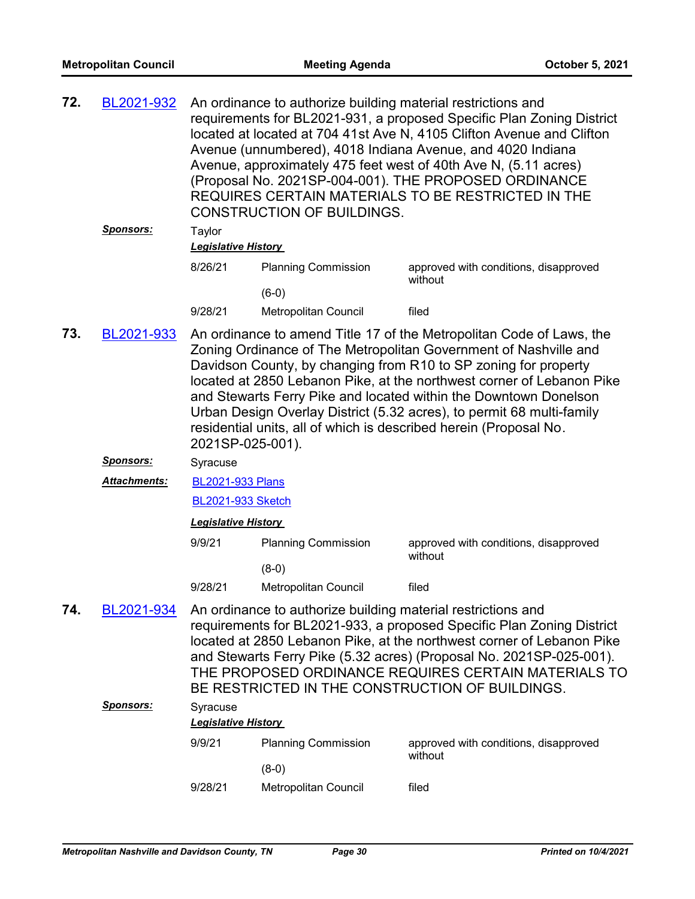| 72. | BL2021-932                                                                                                                                                                                           | An ordinance to authorize building material restrictions and<br>requirements for BL2021-931, a proposed Specific Plan Zoning District<br>located at located at 704 41st Ave N, 4105 Clifton Avenue and Clifton<br>Avenue (unnumbered), 4018 Indiana Avenue, and 4020 Indiana<br>Avenue, approximately 475 feet west of 40th Ave N, (5.11 acres)<br>(Proposal No. 2021SP-004-001). THE PROPOSED ORDINANCE<br>REQUIRES CERTAIN MATERIALS TO BE RESTRICTED IN THE<br><b>CONSTRUCTION OF BUILDINGS.</b>                        |                                                                                                                                                                                                        |                                                  |  |
|-----|------------------------------------------------------------------------------------------------------------------------------------------------------------------------------------------------------|----------------------------------------------------------------------------------------------------------------------------------------------------------------------------------------------------------------------------------------------------------------------------------------------------------------------------------------------------------------------------------------------------------------------------------------------------------------------------------------------------------------------------|--------------------------------------------------------------------------------------------------------------------------------------------------------------------------------------------------------|--------------------------------------------------|--|
|     | Sponsors:                                                                                                                                                                                            | Taylor<br><b>Legislative History</b>                                                                                                                                                                                                                                                                                                                                                                                                                                                                                       |                                                                                                                                                                                                        |                                                  |  |
|     |                                                                                                                                                                                                      | 8/26/21                                                                                                                                                                                                                                                                                                                                                                                                                                                                                                                    | <b>Planning Commission</b>                                                                                                                                                                             | approved with conditions, disapproved            |  |
|     |                                                                                                                                                                                                      |                                                                                                                                                                                                                                                                                                                                                                                                                                                                                                                            | $(6-0)$                                                                                                                                                                                                | without                                          |  |
|     |                                                                                                                                                                                                      | 9/28/21                                                                                                                                                                                                                                                                                                                                                                                                                                                                                                                    | Metropolitan Council                                                                                                                                                                                   | filed                                            |  |
| 73. | BL2021-933                                                                                                                                                                                           | An ordinance to amend Title 17 of the Metropolitan Code of Laws, the<br>Zoning Ordinance of The Metropolitan Government of Nashville and<br>Davidson County, by changing from R10 to SP zoning for property<br>located at 2850 Lebanon Pike, at the northwest corner of Lebanon Pike<br>and Stewarts Ferry Pike and located within the Downtown Donelson<br>Urban Design Overlay District (5.32 acres), to permit 68 multi-family<br>residential units, all of which is described herein (Proposal No.<br>2021SP-025-001). |                                                                                                                                                                                                        |                                                  |  |
|     | <u>Sponsors:</u>                                                                                                                                                                                     | Syracuse                                                                                                                                                                                                                                                                                                                                                                                                                                                                                                                   |                                                                                                                                                                                                        |                                                  |  |
|     | Attachments:                                                                                                                                                                                         | <b>BL2021-933 Plans</b>                                                                                                                                                                                                                                                                                                                                                                                                                                                                                                    |                                                                                                                                                                                                        |                                                  |  |
|     |                                                                                                                                                                                                      | <b>BL2021-933 Sketch</b>                                                                                                                                                                                                                                                                                                                                                                                                                                                                                                   |                                                                                                                                                                                                        |                                                  |  |
|     |                                                                                                                                                                                                      | <b>Legislative History</b>                                                                                                                                                                                                                                                                                                                                                                                                                                                                                                 |                                                                                                                                                                                                        |                                                  |  |
|     |                                                                                                                                                                                                      | 9/9/21                                                                                                                                                                                                                                                                                                                                                                                                                                                                                                                     | <b>Planning Commission</b>                                                                                                                                                                             | approved with conditions, disapproved            |  |
|     |                                                                                                                                                                                                      |                                                                                                                                                                                                                                                                                                                                                                                                                                                                                                                            | $(8-0)$                                                                                                                                                                                                | without                                          |  |
|     |                                                                                                                                                                                                      | 9/28/21                                                                                                                                                                                                                                                                                                                                                                                                                                                                                                                    | Metropolitan Council                                                                                                                                                                                   | filed                                            |  |
| 74. | BL2021-934<br>An ordinance to authorize building material restrictions and<br>and Stewarts Ferry Pike (5.32 acres) (Proposal No. 2021SP-025-001).<br>BE RESTRICTED IN THE CONSTRUCTION OF BUILDINGS. |                                                                                                                                                                                                                                                                                                                                                                                                                                                                                                                            | requirements for BL2021-933, a proposed Specific Plan Zoning District<br>located at 2850 Lebanon Pike, at the northwest corner of Lebanon Pike<br>THE PROPOSED ORDINANCE REQUIRES CERTAIN MATERIALS TO |                                                  |  |
|     | <b>Sponsors:</b>                                                                                                                                                                                     | Syracuse<br><b>Legislative History</b>                                                                                                                                                                                                                                                                                                                                                                                                                                                                                     |                                                                                                                                                                                                        |                                                  |  |
|     |                                                                                                                                                                                                      | 9/9/21                                                                                                                                                                                                                                                                                                                                                                                                                                                                                                                     | <b>Planning Commission</b>                                                                                                                                                                             | approved with conditions, disapproved<br>without |  |

9/28/21 Metropolitan Council filed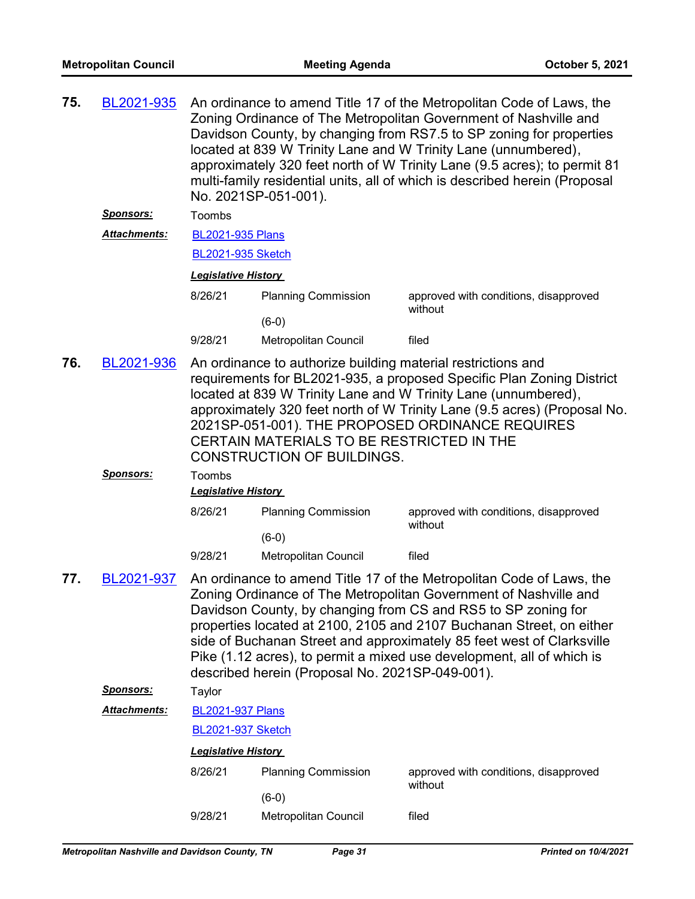| <b>Sponsors:</b><br>Toombs<br>Attachments:<br><b>BL2021-935 Plans</b><br><b>BL2021-935 Sketch</b><br><b>Legislative History</b><br>8/26/21<br><b>Planning Commission</b><br>approved with conditions, disapproved<br>without<br>$(6-0)$<br>9/28/21<br><b>Metropolitan Council</b><br>filed<br>76.<br>BL2021-936<br>An ordinance to authorize building material restrictions and<br>requirements for BL2021-935, a proposed Specific Plan Zoning District<br>located at 839 W Trinity Lane and W Trinity Lane (unnumbered),<br>approximately 320 feet north of W Trinity Lane (9.5 acres) (Proposal No.<br>2021SP-051-001). THE PROPOSED ORDINANCE REQUIRES<br>CERTAIN MATERIALS TO BE RESTRICTED IN THE<br><b>CONSTRUCTION OF BUILDINGS.</b><br><u>Sponsors:</u><br>Toombs<br><b>Legislative History</b><br>8/26/21<br><b>Planning Commission</b><br>approved with conditions, disapproved<br>without<br>$(6-0)$<br>9/28/21<br><b>Metropolitan Council</b><br>filed<br>An ordinance to amend Title 17 of the Metropolitan Code of Laws, the<br>77.<br>BL2021-937<br>Zoning Ordinance of The Metropolitan Government of Nashville and<br>Davidson County, by changing from CS and RS5 to SP zoning for<br>properties located at 2100, 2105 and 2107 Buchanan Street, on either<br>side of Buchanan Street and approximately 85 feet west of Clarksville<br>Pike (1.12 acres), to permit a mixed use development, all of which is<br>described herein (Proposal No. 2021SP-049-001).<br><u>Sponsors:</u><br>Taylor<br>Attachments:<br><b>BL2021-937 Plans</b><br><b>BL2021-937 Sketch</b><br><b>Legislative History</b><br><b>Planning Commission</b><br>approved with conditions, disapproved<br>8/26/21<br>without<br>$(6-0)$<br>9/28/21<br>Metropolitan Council<br>filed | 75. | BL2021-935 | An ordinance to amend Title 17 of the Metropolitan Code of Laws, the<br>Zoning Ordinance of The Metropolitan Government of Nashville and<br>Davidson County, by changing from RS7.5 to SP zoning for properties<br>located at 839 W Trinity Lane and W Trinity Lane (unnumbered),<br>approximately 320 feet north of W Trinity Lane (9.5 acres); to permit 81<br>multi-family residential units, all of which is described herein (Proposal<br>No. 2021SP-051-001). |  |  |  |
|---------------------------------------------------------------------------------------------------------------------------------------------------------------------------------------------------------------------------------------------------------------------------------------------------------------------------------------------------------------------------------------------------------------------------------------------------------------------------------------------------------------------------------------------------------------------------------------------------------------------------------------------------------------------------------------------------------------------------------------------------------------------------------------------------------------------------------------------------------------------------------------------------------------------------------------------------------------------------------------------------------------------------------------------------------------------------------------------------------------------------------------------------------------------------------------------------------------------------------------------------------------------------------------------------------------------------------------------------------------------------------------------------------------------------------------------------------------------------------------------------------------------------------------------------------------------------------------------------------------------------------------------------------------------------------------------------------------------------------------------------------------------------|-----|------------|---------------------------------------------------------------------------------------------------------------------------------------------------------------------------------------------------------------------------------------------------------------------------------------------------------------------------------------------------------------------------------------------------------------------------------------------------------------------|--|--|--|
|                                                                                                                                                                                                                                                                                                                                                                                                                                                                                                                                                                                                                                                                                                                                                                                                                                                                                                                                                                                                                                                                                                                                                                                                                                                                                                                                                                                                                                                                                                                                                                                                                                                                                                                                                                           |     |            |                                                                                                                                                                                                                                                                                                                                                                                                                                                                     |  |  |  |
|                                                                                                                                                                                                                                                                                                                                                                                                                                                                                                                                                                                                                                                                                                                                                                                                                                                                                                                                                                                                                                                                                                                                                                                                                                                                                                                                                                                                                                                                                                                                                                                                                                                                                                                                                                           |     |            |                                                                                                                                                                                                                                                                                                                                                                                                                                                                     |  |  |  |
|                                                                                                                                                                                                                                                                                                                                                                                                                                                                                                                                                                                                                                                                                                                                                                                                                                                                                                                                                                                                                                                                                                                                                                                                                                                                                                                                                                                                                                                                                                                                                                                                                                                                                                                                                                           |     |            |                                                                                                                                                                                                                                                                                                                                                                                                                                                                     |  |  |  |
|                                                                                                                                                                                                                                                                                                                                                                                                                                                                                                                                                                                                                                                                                                                                                                                                                                                                                                                                                                                                                                                                                                                                                                                                                                                                                                                                                                                                                                                                                                                                                                                                                                                                                                                                                                           |     |            |                                                                                                                                                                                                                                                                                                                                                                                                                                                                     |  |  |  |
|                                                                                                                                                                                                                                                                                                                                                                                                                                                                                                                                                                                                                                                                                                                                                                                                                                                                                                                                                                                                                                                                                                                                                                                                                                                                                                                                                                                                                                                                                                                                                                                                                                                                                                                                                                           |     |            |                                                                                                                                                                                                                                                                                                                                                                                                                                                                     |  |  |  |
|                                                                                                                                                                                                                                                                                                                                                                                                                                                                                                                                                                                                                                                                                                                                                                                                                                                                                                                                                                                                                                                                                                                                                                                                                                                                                                                                                                                                                                                                                                                                                                                                                                                                                                                                                                           |     |            |                                                                                                                                                                                                                                                                                                                                                                                                                                                                     |  |  |  |
|                                                                                                                                                                                                                                                                                                                                                                                                                                                                                                                                                                                                                                                                                                                                                                                                                                                                                                                                                                                                                                                                                                                                                                                                                                                                                                                                                                                                                                                                                                                                                                                                                                                                                                                                                                           |     |            |                                                                                                                                                                                                                                                                                                                                                                                                                                                                     |  |  |  |
|                                                                                                                                                                                                                                                                                                                                                                                                                                                                                                                                                                                                                                                                                                                                                                                                                                                                                                                                                                                                                                                                                                                                                                                                                                                                                                                                                                                                                                                                                                                                                                                                                                                                                                                                                                           |     |            |                                                                                                                                                                                                                                                                                                                                                                                                                                                                     |  |  |  |
|                                                                                                                                                                                                                                                                                                                                                                                                                                                                                                                                                                                                                                                                                                                                                                                                                                                                                                                                                                                                                                                                                                                                                                                                                                                                                                                                                                                                                                                                                                                                                                                                                                                                                                                                                                           |     |            |                                                                                                                                                                                                                                                                                                                                                                                                                                                                     |  |  |  |
|                                                                                                                                                                                                                                                                                                                                                                                                                                                                                                                                                                                                                                                                                                                                                                                                                                                                                                                                                                                                                                                                                                                                                                                                                                                                                                                                                                                                                                                                                                                                                                                                                                                                                                                                                                           |     |            |                                                                                                                                                                                                                                                                                                                                                                                                                                                                     |  |  |  |
|                                                                                                                                                                                                                                                                                                                                                                                                                                                                                                                                                                                                                                                                                                                                                                                                                                                                                                                                                                                                                                                                                                                                                                                                                                                                                                                                                                                                                                                                                                                                                                                                                                                                                                                                                                           |     |            |                                                                                                                                                                                                                                                                                                                                                                                                                                                                     |  |  |  |
|                                                                                                                                                                                                                                                                                                                                                                                                                                                                                                                                                                                                                                                                                                                                                                                                                                                                                                                                                                                                                                                                                                                                                                                                                                                                                                                                                                                                                                                                                                                                                                                                                                                                                                                                                                           |     |            |                                                                                                                                                                                                                                                                                                                                                                                                                                                                     |  |  |  |
|                                                                                                                                                                                                                                                                                                                                                                                                                                                                                                                                                                                                                                                                                                                                                                                                                                                                                                                                                                                                                                                                                                                                                                                                                                                                                                                                                                                                                                                                                                                                                                                                                                                                                                                                                                           |     |            |                                                                                                                                                                                                                                                                                                                                                                                                                                                                     |  |  |  |
|                                                                                                                                                                                                                                                                                                                                                                                                                                                                                                                                                                                                                                                                                                                                                                                                                                                                                                                                                                                                                                                                                                                                                                                                                                                                                                                                                                                                                                                                                                                                                                                                                                                                                                                                                                           |     |            |                                                                                                                                                                                                                                                                                                                                                                                                                                                                     |  |  |  |
|                                                                                                                                                                                                                                                                                                                                                                                                                                                                                                                                                                                                                                                                                                                                                                                                                                                                                                                                                                                                                                                                                                                                                                                                                                                                                                                                                                                                                                                                                                                                                                                                                                                                                                                                                                           |     |            |                                                                                                                                                                                                                                                                                                                                                                                                                                                                     |  |  |  |
|                                                                                                                                                                                                                                                                                                                                                                                                                                                                                                                                                                                                                                                                                                                                                                                                                                                                                                                                                                                                                                                                                                                                                                                                                                                                                                                                                                                                                                                                                                                                                                                                                                                                                                                                                                           |     |            |                                                                                                                                                                                                                                                                                                                                                                                                                                                                     |  |  |  |
|                                                                                                                                                                                                                                                                                                                                                                                                                                                                                                                                                                                                                                                                                                                                                                                                                                                                                                                                                                                                                                                                                                                                                                                                                                                                                                                                                                                                                                                                                                                                                                                                                                                                                                                                                                           |     |            |                                                                                                                                                                                                                                                                                                                                                                                                                                                                     |  |  |  |
|                                                                                                                                                                                                                                                                                                                                                                                                                                                                                                                                                                                                                                                                                                                                                                                                                                                                                                                                                                                                                                                                                                                                                                                                                                                                                                                                                                                                                                                                                                                                                                                                                                                                                                                                                                           |     |            |                                                                                                                                                                                                                                                                                                                                                                                                                                                                     |  |  |  |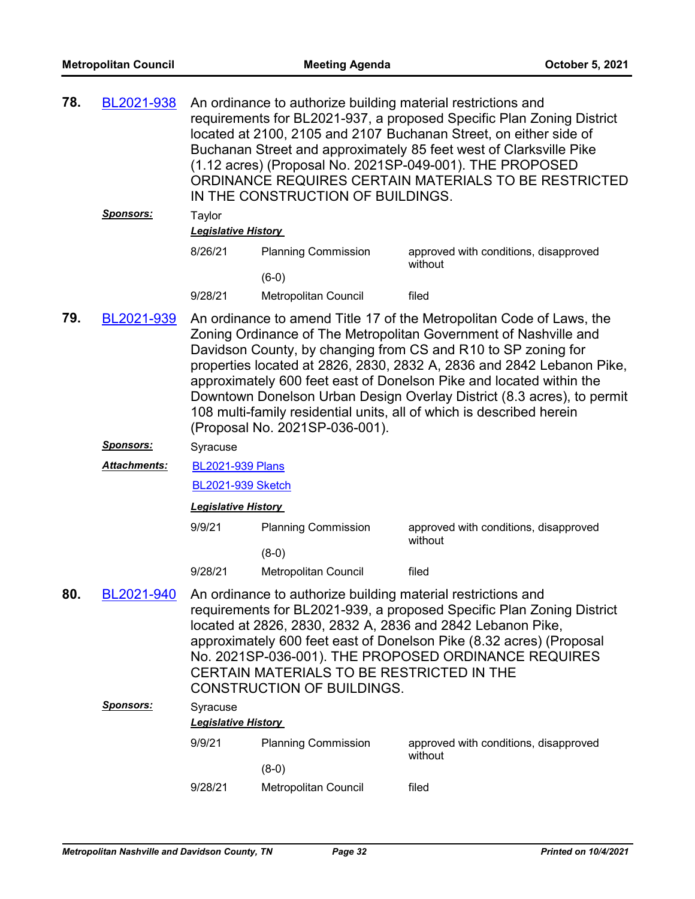| 78. | BL2021-938          | An ordinance to authorize building material restrictions and<br>requirements for BL2021-937, a proposed Specific Plan Zoning District<br>located at 2100, 2105 and 2107 Buchanan Street, on either side of<br>Buchanan Street and approximately 85 feet west of Clarksville Pike<br>(1.12 acres) (Proposal No. 2021SP-049-001). THE PROPOSED<br>ORDINANCE REQUIRES CERTAIN MATERIALS TO BE RESTRICTED<br>IN THE CONSTRUCTION OF BUILDINGS.                                                                                                    |                                                                                                                                                |                                                                                                                                                                                                                                                                    |  |  |
|-----|---------------------|-----------------------------------------------------------------------------------------------------------------------------------------------------------------------------------------------------------------------------------------------------------------------------------------------------------------------------------------------------------------------------------------------------------------------------------------------------------------------------------------------------------------------------------------------|------------------------------------------------------------------------------------------------------------------------------------------------|--------------------------------------------------------------------------------------------------------------------------------------------------------------------------------------------------------------------------------------------------------------------|--|--|
|     | <b>Sponsors:</b>    | Taylor<br><b>Legislative History</b>                                                                                                                                                                                                                                                                                                                                                                                                                                                                                                          |                                                                                                                                                |                                                                                                                                                                                                                                                                    |  |  |
|     |                     | 8/26/21                                                                                                                                                                                                                                                                                                                                                                                                                                                                                                                                       | <b>Planning Commission</b>                                                                                                                     | approved with conditions, disapproved                                                                                                                                                                                                                              |  |  |
|     |                     |                                                                                                                                                                                                                                                                                                                                                                                                                                                                                                                                               | $(6-0)$                                                                                                                                        | without                                                                                                                                                                                                                                                            |  |  |
|     |                     | 9/28/21                                                                                                                                                                                                                                                                                                                                                                                                                                                                                                                                       | Metropolitan Council                                                                                                                           | filed                                                                                                                                                                                                                                                              |  |  |
| 79. | BL2021-939          | An ordinance to amend Title 17 of the Metropolitan Code of Laws, the<br>Zoning Ordinance of The Metropolitan Government of Nashville and<br>Davidson County, by changing from CS and R10 to SP zoning for<br>properties located at 2826, 2830, 2832 A, 2836 and 2842 Lebanon Pike,<br>approximately 600 feet east of Donelson Pike and located within the<br>Downtown Donelson Urban Design Overlay District (8.3 acres), to permit<br>108 multi-family residential units, all of which is described herein<br>(Proposal No. 2021SP-036-001). |                                                                                                                                                |                                                                                                                                                                                                                                                                    |  |  |
|     | <u>Sponsors:</u>    | Syracuse                                                                                                                                                                                                                                                                                                                                                                                                                                                                                                                                      |                                                                                                                                                |                                                                                                                                                                                                                                                                    |  |  |
|     | <b>Attachments:</b> | <b>BL2021-939 Plans</b>                                                                                                                                                                                                                                                                                                                                                                                                                                                                                                                       |                                                                                                                                                |                                                                                                                                                                                                                                                                    |  |  |
|     |                     | <b>BL2021-939 Sketch</b>                                                                                                                                                                                                                                                                                                                                                                                                                                                                                                                      |                                                                                                                                                |                                                                                                                                                                                                                                                                    |  |  |
|     |                     | <b>Legislative History</b>                                                                                                                                                                                                                                                                                                                                                                                                                                                                                                                    |                                                                                                                                                |                                                                                                                                                                                                                                                                    |  |  |
|     |                     | 9/9/21                                                                                                                                                                                                                                                                                                                                                                                                                                                                                                                                        | <b>Planning Commission</b>                                                                                                                     | approved with conditions, disapproved<br>without                                                                                                                                                                                                                   |  |  |
|     |                     |                                                                                                                                                                                                                                                                                                                                                                                                                                                                                                                                               | $(8-0)$                                                                                                                                        |                                                                                                                                                                                                                                                                    |  |  |
|     |                     | 9/28/21                                                                                                                                                                                                                                                                                                                                                                                                                                                                                                                                       | Metropolitan Council                                                                                                                           | filed                                                                                                                                                                                                                                                              |  |  |
| 80. | BL2021-940          |                                                                                                                                                                                                                                                                                                                                                                                                                                                                                                                                               | An ordinance to authorize building material restrictions and<br>CERTAIN MATERIALS TO BE RESTRICTED IN THE<br><b>CONSTRUCTION OF BUILDINGS.</b> | requirements for BL2021-939, a proposed Specific Plan Zoning District<br>located at 2826, 2830, 2832 A, 2836 and 2842 Lebanon Pike,<br>approximately 600 feet east of Donelson Pike (8.32 acres) (Proposal<br>No. 2021SP-036-001). THE PROPOSED ORDINANCE REQUIRES |  |  |
|     | <u>Sponsors:</u>    | Syracuse<br><b>Legislative History</b>                                                                                                                                                                                                                                                                                                                                                                                                                                                                                                        |                                                                                                                                                |                                                                                                                                                                                                                                                                    |  |  |
|     |                     | 9/9/21                                                                                                                                                                                                                                                                                                                                                                                                                                                                                                                                        | <b>Planning Commission</b>                                                                                                                     | approved with conditions, disapproved                                                                                                                                                                                                                              |  |  |
|     |                     |                                                                                                                                                                                                                                                                                                                                                                                                                                                                                                                                               |                                                                                                                                                | without                                                                                                                                                                                                                                                            |  |  |
|     |                     |                                                                                                                                                                                                                                                                                                                                                                                                                                                                                                                                               | $(8-0)$                                                                                                                                        |                                                                                                                                                                                                                                                                    |  |  |
|     |                     | 9/28/21                                                                                                                                                                                                                                                                                                                                                                                                                                                                                                                                       | Metropolitan Council                                                                                                                           | filed                                                                                                                                                                                                                                                              |  |  |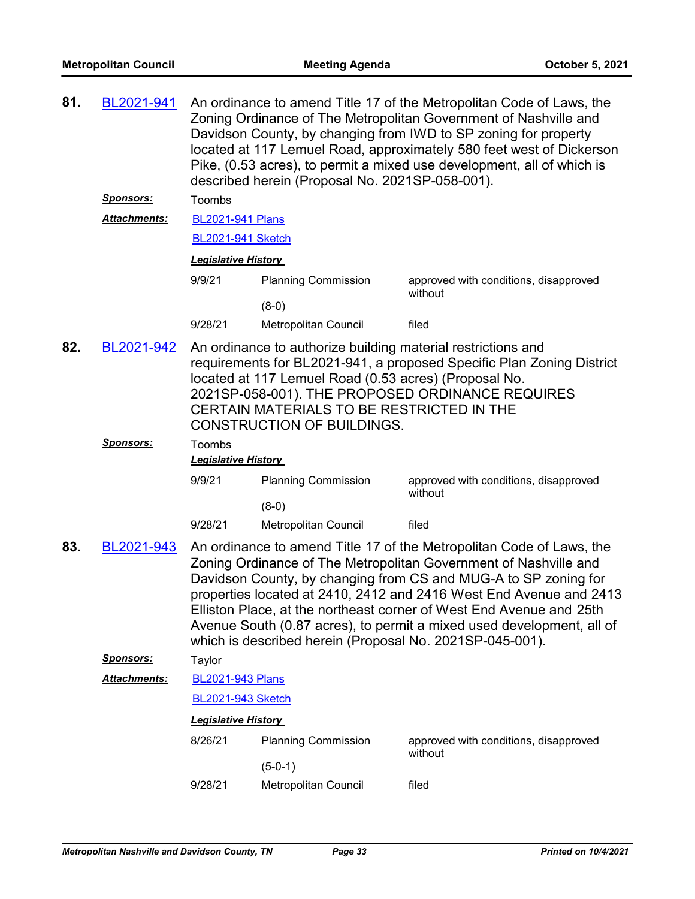| 81.                                                                                                                                                                                     | BL2021-941          | An ordinance to amend Title 17 of the Metropolitan Code of Laws, the<br>Zoning Ordinance of The Metropolitan Government of Nashville and<br>Davidson County, by changing from IWD to SP zoning for property<br>located at 117 Lemuel Road, approximately 580 feet west of Dickerson<br>Pike, (0.53 acres), to permit a mixed use development, all of which is<br>described herein (Proposal No. 2021SP-058-001). |                                                                                                                                                                                                                                                                                                                                                                                                                                   |                                                  |  |  |  |
|-----------------------------------------------------------------------------------------------------------------------------------------------------------------------------------------|---------------------|------------------------------------------------------------------------------------------------------------------------------------------------------------------------------------------------------------------------------------------------------------------------------------------------------------------------------------------------------------------------------------------------------------------|-----------------------------------------------------------------------------------------------------------------------------------------------------------------------------------------------------------------------------------------------------------------------------------------------------------------------------------------------------------------------------------------------------------------------------------|--------------------------------------------------|--|--|--|
|                                                                                                                                                                                         | <u>Sponsors:</u>    | Toombs                                                                                                                                                                                                                                                                                                                                                                                                           |                                                                                                                                                                                                                                                                                                                                                                                                                                   |                                                  |  |  |  |
|                                                                                                                                                                                         | <b>Attachments:</b> |                                                                                                                                                                                                                                                                                                                                                                                                                  | <b>BL2021-941 Plans</b>                                                                                                                                                                                                                                                                                                                                                                                                           |                                                  |  |  |  |
|                                                                                                                                                                                         |                     | <b>BL2021-941 Sketch</b>                                                                                                                                                                                                                                                                                                                                                                                         |                                                                                                                                                                                                                                                                                                                                                                                                                                   |                                                  |  |  |  |
|                                                                                                                                                                                         |                     | <b>Legislative History</b>                                                                                                                                                                                                                                                                                                                                                                                       |                                                                                                                                                                                                                                                                                                                                                                                                                                   |                                                  |  |  |  |
|                                                                                                                                                                                         |                     | 9/9/21                                                                                                                                                                                                                                                                                                                                                                                                           | <b>Planning Commission</b>                                                                                                                                                                                                                                                                                                                                                                                                        | approved with conditions, disapproved<br>without |  |  |  |
|                                                                                                                                                                                         |                     |                                                                                                                                                                                                                                                                                                                                                                                                                  | $(8-0)$                                                                                                                                                                                                                                                                                                                                                                                                                           |                                                  |  |  |  |
|                                                                                                                                                                                         |                     | 9/28/21                                                                                                                                                                                                                                                                                                                                                                                                          | Metropolitan Council                                                                                                                                                                                                                                                                                                                                                                                                              | filed                                            |  |  |  |
| 82.<br>An ordinance to authorize building material restrictions and<br>BL2021-942<br>located at 117 Lemuel Road (0.53 acres) (Proposal No.<br>CERTAIN MATERIALS TO BE RESTRICTED IN THE |                     | <b>CONSTRUCTION OF BUILDINGS.</b>                                                                                                                                                                                                                                                                                                                                                                                | requirements for BL2021-941, a proposed Specific Plan Zoning District<br>2021SP-058-001). THE PROPOSED ORDINANCE REQUIRES                                                                                                                                                                                                                                                                                                         |                                                  |  |  |  |
| Sponsors:<br>Toombs<br><b>Legislative History</b>                                                                                                                                       |                     |                                                                                                                                                                                                                                                                                                                                                                                                                  |                                                                                                                                                                                                                                                                                                                                                                                                                                   |                                                  |  |  |  |
|                                                                                                                                                                                         |                     | 9/9/21                                                                                                                                                                                                                                                                                                                                                                                                           | <b>Planning Commission</b>                                                                                                                                                                                                                                                                                                                                                                                                        | approved with conditions, disapproved<br>without |  |  |  |
|                                                                                                                                                                                         |                     |                                                                                                                                                                                                                                                                                                                                                                                                                  | $(8-0)$                                                                                                                                                                                                                                                                                                                                                                                                                           |                                                  |  |  |  |
|                                                                                                                                                                                         |                     | 9/28/21                                                                                                                                                                                                                                                                                                                                                                                                          | Metropolitan Council                                                                                                                                                                                                                                                                                                                                                                                                              | filed                                            |  |  |  |
| 83.<br>BL2021-943                                                                                                                                                                       |                     | which is described herein (Proposal No. 2021SP-045-001).                                                                                                                                                                                                                                                                                                                                                         | An ordinance to amend Title 17 of the Metropolitan Code of Laws, the<br>Zoning Ordinance of The Metropolitan Government of Nashville and<br>Davidson County, by changing from CS and MUG-A to SP zoning for<br>properties located at 2410, 2412 and 2416 West End Avenue and 2413<br>Elliston Place, at the northeast corner of West End Avenue and 25th<br>Avenue South (0.87 acres), to permit a mixed used development, all of |                                                  |  |  |  |
|                                                                                                                                                                                         | <u>Sponsors:</u>    | Taylor                                                                                                                                                                                                                                                                                                                                                                                                           |                                                                                                                                                                                                                                                                                                                                                                                                                                   |                                                  |  |  |  |
|                                                                                                                                                                                         | <b>Attachments:</b> | <b>BL2021-943 Plans</b>                                                                                                                                                                                                                                                                                                                                                                                          |                                                                                                                                                                                                                                                                                                                                                                                                                                   |                                                  |  |  |  |
|                                                                                                                                                                                         |                     | <b>BL2021-943 Sketch</b>                                                                                                                                                                                                                                                                                                                                                                                         |                                                                                                                                                                                                                                                                                                                                                                                                                                   |                                                  |  |  |  |
|                                                                                                                                                                                         |                     | <b>Legislative History</b>                                                                                                                                                                                                                                                                                                                                                                                       |                                                                                                                                                                                                                                                                                                                                                                                                                                   |                                                  |  |  |  |
|                                                                                                                                                                                         |                     | 8/26/21                                                                                                                                                                                                                                                                                                                                                                                                          | <b>Planning Commission</b><br>$(5-0-1)$                                                                                                                                                                                                                                                                                                                                                                                           | approved with conditions, disapproved<br>without |  |  |  |
|                                                                                                                                                                                         |                     | 9/28/21                                                                                                                                                                                                                                                                                                                                                                                                          | Metropolitan Council                                                                                                                                                                                                                                                                                                                                                                                                              | filed                                            |  |  |  |
|                                                                                                                                                                                         |                     |                                                                                                                                                                                                                                                                                                                                                                                                                  |                                                                                                                                                                                                                                                                                                                                                                                                                                   |                                                  |  |  |  |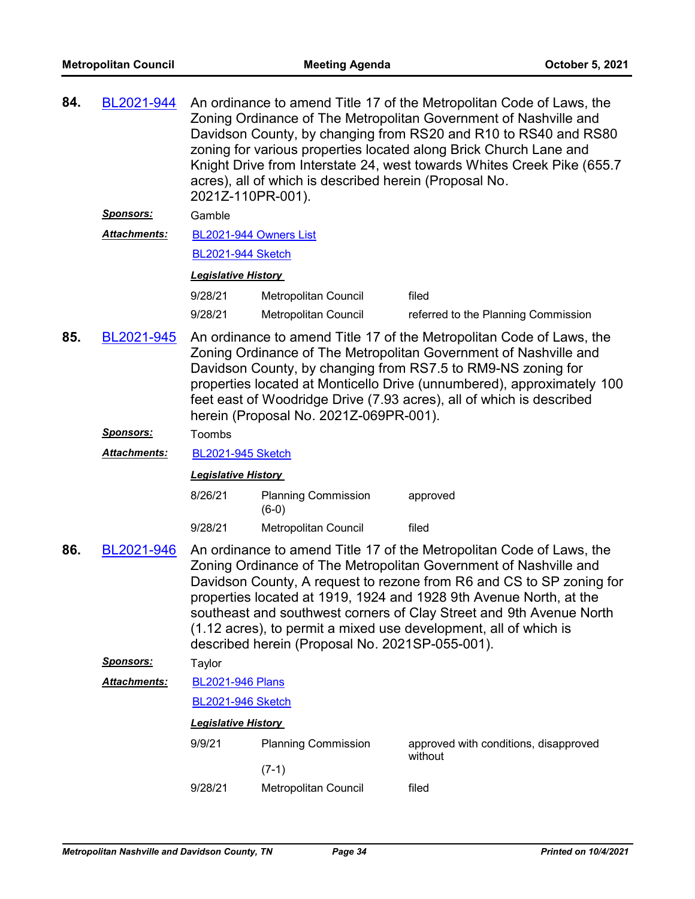| 84. | BL2021-944        | An ordinance to amend Title 17 of the Metropolitan Code of Laws, the<br>Zoning Ordinance of The Metropolitan Government of Nashville and<br>Davidson County, by changing from RS20 and R10 to RS40 and RS80<br>zoning for various properties located along Brick Church Lane and<br>Knight Drive from Interstate 24, west towards Whites Creek Pike (655.7<br>acres), all of which is described herein (Proposal No.<br>2021Z-110PR-001).                                            |                                       |                                                  |  |  |  |
|-----|-------------------|--------------------------------------------------------------------------------------------------------------------------------------------------------------------------------------------------------------------------------------------------------------------------------------------------------------------------------------------------------------------------------------------------------------------------------------------------------------------------------------|---------------------------------------|--------------------------------------------------|--|--|--|
|     | <u> Sponsors:</u> | Gamble                                                                                                                                                                                                                                                                                                                                                                                                                                                                               |                                       |                                                  |  |  |  |
|     | Attachments:      | BL2021-944 Owners List                                                                                                                                                                                                                                                                                                                                                                                                                                                               |                                       |                                                  |  |  |  |
|     |                   | <b>BL2021-944 Sketch</b>                                                                                                                                                                                                                                                                                                                                                                                                                                                             |                                       |                                                  |  |  |  |
|     |                   | <b>Legislative History</b>                                                                                                                                                                                                                                                                                                                                                                                                                                                           |                                       |                                                  |  |  |  |
|     |                   | 9/28/21                                                                                                                                                                                                                                                                                                                                                                                                                                                                              | Metropolitan Council                  | filed                                            |  |  |  |
|     |                   | 9/28/21                                                                                                                                                                                                                                                                                                                                                                                                                                                                              | <b>Metropolitan Council</b>           | referred to the Planning Commission              |  |  |  |
| 85. | BL2021-945        | An ordinance to amend Title 17 of the Metropolitan Code of Laws, the<br>Zoning Ordinance of The Metropolitan Government of Nashville and<br>Davidson County, by changing from RS7.5 to RM9-NS zoning for<br>properties located at Monticello Drive (unnumbered), approximately 100<br>feet east of Woodridge Drive (7.93 acres), all of which is described<br>herein (Proposal No. 2021Z-069PR-001).                                                                                 |                                       |                                                  |  |  |  |
|     | <u> Sponsors:</u> | Toombs                                                                                                                                                                                                                                                                                                                                                                                                                                                                               |                                       |                                                  |  |  |  |
|     | Attachments:      | <b>BL2021-945 Sketch</b>                                                                                                                                                                                                                                                                                                                                                                                                                                                             |                                       |                                                  |  |  |  |
|     |                   | <b>Legislative History</b>                                                                                                                                                                                                                                                                                                                                                                                                                                                           |                                       |                                                  |  |  |  |
|     |                   | 8/26/21                                                                                                                                                                                                                                                                                                                                                                                                                                                                              | <b>Planning Commission</b><br>$(6-0)$ | approved                                         |  |  |  |
|     |                   | 9/28/21                                                                                                                                                                                                                                                                                                                                                                                                                                                                              | Metropolitan Council                  | filed                                            |  |  |  |
| 86. | BL2021-946        | An ordinance to amend Title 17 of the Metropolitan Code of Laws, the<br>Zoning Ordinance of The Metropolitan Government of Nashville and<br>Davidson County, A request to rezone from R6 and CS to SP zoning for<br>properties located at 1919, 1924 and 1928 9th Avenue North, at the<br>southeast and southwest corners of Clay Street and 9th Avenue North<br>(1.12 acres), to permit a mixed use development, all of which is<br>described herein (Proposal No. 2021SP-055-001). |                                       |                                                  |  |  |  |
|     | <u>Sponsors:</u>  | Taylor                                                                                                                                                                                                                                                                                                                                                                                                                                                                               |                                       |                                                  |  |  |  |
|     | Attachments:      | <b>BL2021-946 Plans</b>                                                                                                                                                                                                                                                                                                                                                                                                                                                              |                                       |                                                  |  |  |  |
|     |                   | <b>BL2021-946 Sketch</b>                                                                                                                                                                                                                                                                                                                                                                                                                                                             |                                       |                                                  |  |  |  |
|     |                   | <b>Legislative History</b>                                                                                                                                                                                                                                                                                                                                                                                                                                                           |                                       |                                                  |  |  |  |
|     |                   | 9/9/21                                                                                                                                                                                                                                                                                                                                                                                                                                                                               | <b>Planning Commission</b><br>$(7-1)$ | approved with conditions, disapproved<br>without |  |  |  |
|     |                   | 9/28/21                                                                                                                                                                                                                                                                                                                                                                                                                                                                              | Metropolitan Council                  | filed                                            |  |  |  |
|     |                   |                                                                                                                                                                                                                                                                                                                                                                                                                                                                                      |                                       |                                                  |  |  |  |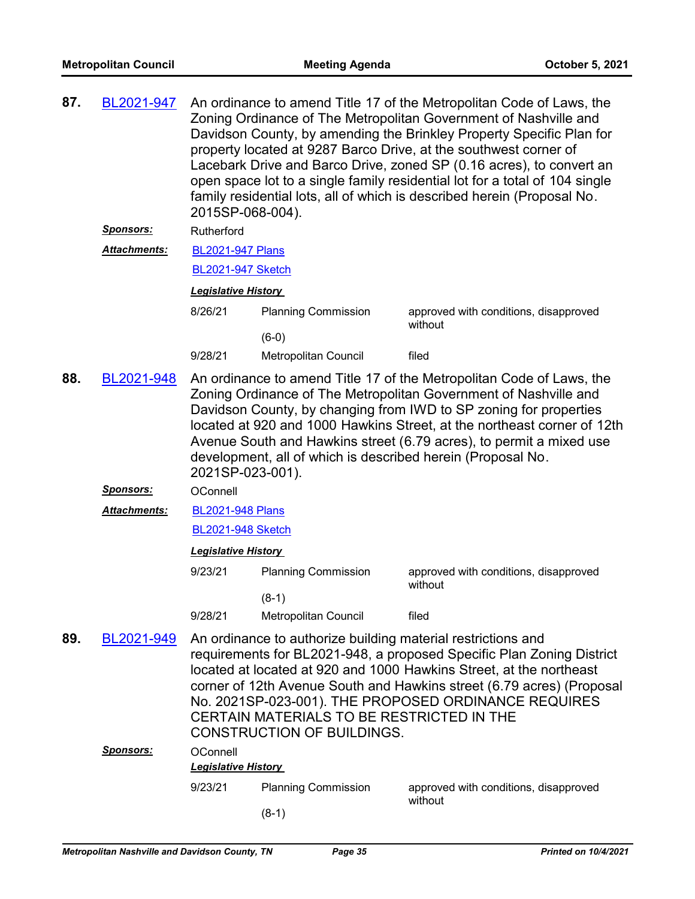| 87. | BL2021-947                                                                                                                                                                                                                                                                                                                                                                                                                                    | An ordinance to amend Title 17 of the Metropolitan Code of Laws, the<br>Zoning Ordinance of The Metropolitan Government of Nashville and<br>Davidson County, by amending the Brinkley Property Specific Plan for<br>property located at 9287 Barco Drive, at the southwest corner of<br>Lacebark Drive and Barco Drive, zoned SP (0.16 acres), to convert an<br>open space lot to a single family residential lot for a total of 104 single<br>family residential lots, all of which is described herein (Proposal No.<br>2015SP-068-004). |                             |                                                  |  |  |
|-----|-----------------------------------------------------------------------------------------------------------------------------------------------------------------------------------------------------------------------------------------------------------------------------------------------------------------------------------------------------------------------------------------------------------------------------------------------|--------------------------------------------------------------------------------------------------------------------------------------------------------------------------------------------------------------------------------------------------------------------------------------------------------------------------------------------------------------------------------------------------------------------------------------------------------------------------------------------------------------------------------------------|-----------------------------|--------------------------------------------------|--|--|
|     | <b>Sponsors:</b>                                                                                                                                                                                                                                                                                                                                                                                                                              | Rutherford                                                                                                                                                                                                                                                                                                                                                                                                                                                                                                                                 |                             |                                                  |  |  |
|     | Attachments:                                                                                                                                                                                                                                                                                                                                                                                                                                  | <b>BL2021-947 Plans</b>                                                                                                                                                                                                                                                                                                                                                                                                                                                                                                                    |                             |                                                  |  |  |
|     |                                                                                                                                                                                                                                                                                                                                                                                                                                               | <b>BL2021-947 Sketch</b>                                                                                                                                                                                                                                                                                                                                                                                                                                                                                                                   |                             |                                                  |  |  |
|     |                                                                                                                                                                                                                                                                                                                                                                                                                                               | <b>Legislative History</b>                                                                                                                                                                                                                                                                                                                                                                                                                                                                                                                 |                             |                                                  |  |  |
|     |                                                                                                                                                                                                                                                                                                                                                                                                                                               | 8/26/21                                                                                                                                                                                                                                                                                                                                                                                                                                                                                                                                    | <b>Planning Commission</b>  | approved with conditions, disapproved<br>without |  |  |
|     |                                                                                                                                                                                                                                                                                                                                                                                                                                               |                                                                                                                                                                                                                                                                                                                                                                                                                                                                                                                                            | $(6-0)$                     |                                                  |  |  |
|     |                                                                                                                                                                                                                                                                                                                                                                                                                                               | 9/28/21                                                                                                                                                                                                                                                                                                                                                                                                                                                                                                                                    | <b>Metropolitan Council</b> | filed                                            |  |  |
| 88. | BL2021-948                                                                                                                                                                                                                                                                                                                                                                                                                                    | An ordinance to amend Title 17 of the Metropolitan Code of Laws, the<br>Zoning Ordinance of The Metropolitan Government of Nashville and<br>Davidson County, by changing from IWD to SP zoning for properties<br>located at 920 and 1000 Hawkins Street, at the northeast corner of 12th<br>Avenue South and Hawkins street (6.79 acres), to permit a mixed use<br>development, all of which is described herein (Proposal No.<br>2021SP-023-001).                                                                                         |                             |                                                  |  |  |
|     | <u> Sponsors:</u>                                                                                                                                                                                                                                                                                                                                                                                                                             | OConnell                                                                                                                                                                                                                                                                                                                                                                                                                                                                                                                                   |                             |                                                  |  |  |
|     | Attachments:                                                                                                                                                                                                                                                                                                                                                                                                                                  | <b>BL2021-948 Plans</b>                                                                                                                                                                                                                                                                                                                                                                                                                                                                                                                    |                             |                                                  |  |  |
|     |                                                                                                                                                                                                                                                                                                                                                                                                                                               |                                                                                                                                                                                                                                                                                                                                                                                                                                                                                                                                            | <b>BL2021-948 Sketch</b>    |                                                  |  |  |
|     |                                                                                                                                                                                                                                                                                                                                                                                                                                               | <b>Legislative History</b>                                                                                                                                                                                                                                                                                                                                                                                                                                                                                                                 |                             |                                                  |  |  |
|     |                                                                                                                                                                                                                                                                                                                                                                                                                                               | 9/23/21                                                                                                                                                                                                                                                                                                                                                                                                                                                                                                                                    | <b>Planning Commission</b>  | approved with conditions, disapproved<br>without |  |  |
|     |                                                                                                                                                                                                                                                                                                                                                                                                                                               |                                                                                                                                                                                                                                                                                                                                                                                                                                                                                                                                            | $(8-1)$                     |                                                  |  |  |
|     |                                                                                                                                                                                                                                                                                                                                                                                                                                               | 9/28/21                                                                                                                                                                                                                                                                                                                                                                                                                                                                                                                                    | Metropolitan Council        | filed                                            |  |  |
| 89. | An ordinance to authorize building material restrictions and<br>BL2021-949<br>requirements for BL2021-948, a proposed Specific Plan Zoning District<br>located at located at 920 and 1000 Hawkins Street, at the northeast<br>corner of 12th Avenue South and Hawkins street (6.79 acres) (Proposal<br>No. 2021SP-023-001). THE PROPOSED ORDINANCE REQUIRES<br>CERTAIN MATERIALS TO BE RESTRICTED IN THE<br><b>CONSTRUCTION OF BUILDINGS.</b> |                                                                                                                                                                                                                                                                                                                                                                                                                                                                                                                                            |                             |                                                  |  |  |
|     | <u> Sponsors:</u>                                                                                                                                                                                                                                                                                                                                                                                                                             | OConnell                                                                                                                                                                                                                                                                                                                                                                                                                                                                                                                                   |                             |                                                  |  |  |
|     |                                                                                                                                                                                                                                                                                                                                                                                                                                               | <b>Legislative History</b>                                                                                                                                                                                                                                                                                                                                                                                                                                                                                                                 |                             |                                                  |  |  |
|     |                                                                                                                                                                                                                                                                                                                                                                                                                                               | 9/23/21                                                                                                                                                                                                                                                                                                                                                                                                                                                                                                                                    | <b>Planning Commission</b>  | approved with conditions, disapproved<br>without |  |  |
|     |                                                                                                                                                                                                                                                                                                                                                                                                                                               |                                                                                                                                                                                                                                                                                                                                                                                                                                                                                                                                            | $(8-1)$                     |                                                  |  |  |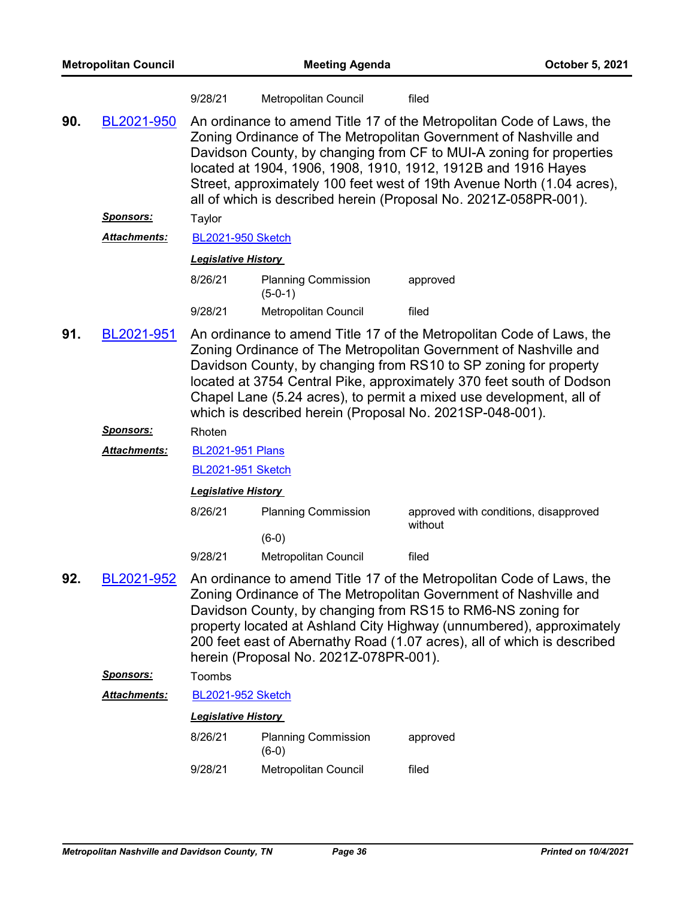| <b>Metropolitan Council</b> |                            | <b>Meeting Agenda</b>                                                                                                                                                                                                                                                                                                                                                                                                          |                                                                                                                                                                                                                                                                                                                                                                                                                         |                                                  | October 5, 2021 |  |
|-----------------------------|----------------------------|--------------------------------------------------------------------------------------------------------------------------------------------------------------------------------------------------------------------------------------------------------------------------------------------------------------------------------------------------------------------------------------------------------------------------------|-------------------------------------------------------------------------------------------------------------------------------------------------------------------------------------------------------------------------------------------------------------------------------------------------------------------------------------------------------------------------------------------------------------------------|--------------------------------------------------|-----------------|--|
|                             |                            | 9/28/21                                                                                                                                                                                                                                                                                                                                                                                                                        | Metropolitan Council                                                                                                                                                                                                                                                                                                                                                                                                    | filed                                            |                 |  |
| 90.                         | BL2021-950                 | An ordinance to amend Title 17 of the Metropolitan Code of Laws, the<br>Zoning Ordinance of The Metropolitan Government of Nashville and<br>Davidson County, by changing from CF to MUI-A zoning for properties<br>located at 1904, 1906, 1908, 1910, 1912, 1912B and 1916 Hayes<br>Street, approximately 100 feet west of 19th Avenue North (1.04 acres),<br>all of which is described herein (Proposal No. 2021Z-058PR-001). |                                                                                                                                                                                                                                                                                                                                                                                                                         |                                                  |                 |  |
|                             | <b>Sponsors:</b>           | Taylor                                                                                                                                                                                                                                                                                                                                                                                                                         |                                                                                                                                                                                                                                                                                                                                                                                                                         |                                                  |                 |  |
|                             | <b>Attachments:</b>        |                                                                                                                                                                                                                                                                                                                                                                                                                                | <b>BL2021-950 Sketch</b>                                                                                                                                                                                                                                                                                                                                                                                                |                                                  |                 |  |
|                             | <b>Legislative History</b> |                                                                                                                                                                                                                                                                                                                                                                                                                                |                                                                                                                                                                                                                                                                                                                                                                                                                         |                                                  |                 |  |
|                             |                            | 8/26/21                                                                                                                                                                                                                                                                                                                                                                                                                        | <b>Planning Commission</b><br>$(5-0-1)$                                                                                                                                                                                                                                                                                                                                                                                 | approved                                         |                 |  |
|                             |                            | 9/28/21                                                                                                                                                                                                                                                                                                                                                                                                                        | Metropolitan Council                                                                                                                                                                                                                                                                                                                                                                                                    | filed                                            |                 |  |
| 91.                         | BL2021-951                 |                                                                                                                                                                                                                                                                                                                                                                                                                                | An ordinance to amend Title 17 of the Metropolitan Code of Laws, the<br>Zoning Ordinance of The Metropolitan Government of Nashville and<br>Davidson County, by changing from RS10 to SP zoning for property<br>located at 3754 Central Pike, approximately 370 feet south of Dodson<br>Chapel Lane (5.24 acres), to permit a mixed use development, all of<br>which is described herein (Proposal No. 2021SP-048-001). |                                                  |                 |  |
|                             | <u>Sponsors:</u>           | Rhoten                                                                                                                                                                                                                                                                                                                                                                                                                         |                                                                                                                                                                                                                                                                                                                                                                                                                         |                                                  |                 |  |
|                             | Attachments:               | <b>BL2021-951 Plans</b>                                                                                                                                                                                                                                                                                                                                                                                                        |                                                                                                                                                                                                                                                                                                                                                                                                                         |                                                  |                 |  |
|                             |                            | <b>BL2021-951 Sketch</b>                                                                                                                                                                                                                                                                                                                                                                                                       |                                                                                                                                                                                                                                                                                                                                                                                                                         |                                                  |                 |  |
|                             |                            | <b>Legislative History</b>                                                                                                                                                                                                                                                                                                                                                                                                     |                                                                                                                                                                                                                                                                                                                                                                                                                         |                                                  |                 |  |
|                             |                            | 8/26/21                                                                                                                                                                                                                                                                                                                                                                                                                        | <b>Planning Commission</b>                                                                                                                                                                                                                                                                                                                                                                                              | approved with conditions, disapproved<br>without |                 |  |
|                             |                            |                                                                                                                                                                                                                                                                                                                                                                                                                                | $(6-0)$                                                                                                                                                                                                                                                                                                                                                                                                                 |                                                  |                 |  |
|                             |                            | 9/28/21                                                                                                                                                                                                                                                                                                                                                                                                                        | <b>Metropolitan Council</b>                                                                                                                                                                                                                                                                                                                                                                                             | filed                                            |                 |  |
| 92.                         | BL2021-952                 |                                                                                                                                                                                                                                                                                                                                                                                                                                | An ordinance to amend Title 17 of the Metropolitan Code of Laws, the<br>Zoning Ordinance of The Metropolitan Government of Nashville and<br>Davidson County, by changing from RS15 to RM6-NS zoning for<br>property located at Ashland City Highway (unnumbered), approximately<br>200 feet east of Abernathy Road (1.07 acres), all of which is described<br>herein (Proposal No. 2021Z-078PR-001).                    |                                                  |                 |  |
|                             | <u>Sponsors:</u>           | Toombs                                                                                                                                                                                                                                                                                                                                                                                                                         |                                                                                                                                                                                                                                                                                                                                                                                                                         |                                                  |                 |  |
|                             | Attachments:               | <b>BL2021-952 Sketch</b>                                                                                                                                                                                                                                                                                                                                                                                                       |                                                                                                                                                                                                                                                                                                                                                                                                                         |                                                  |                 |  |
|                             |                            | <b>Legislative History</b>                                                                                                                                                                                                                                                                                                                                                                                                     |                                                                                                                                                                                                                                                                                                                                                                                                                         |                                                  |                 |  |
|                             |                            | 8/26/21                                                                                                                                                                                                                                                                                                                                                                                                                        | <b>Planning Commission</b><br>$(6-0)$                                                                                                                                                                                                                                                                                                                                                                                   | approved                                         |                 |  |
|                             |                            | 9/28/21                                                                                                                                                                                                                                                                                                                                                                                                                        | Metropolitan Council                                                                                                                                                                                                                                                                                                                                                                                                    | filed                                            |                 |  |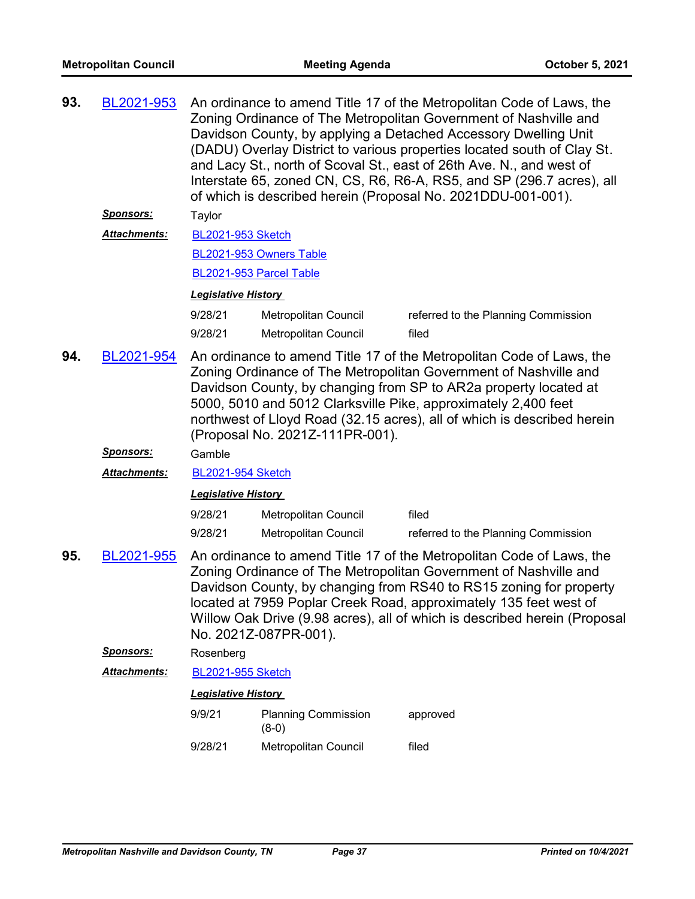| 93. | BL2021-953          | An ordinance to amend Title 17 of the Metropolitan Code of Laws, the<br>Zoning Ordinance of The Metropolitan Government of Nashville and<br>Davidson County, by applying a Detached Accessory Dwelling Unit<br>(DADU) Overlay District to various properties located south of Clay St.<br>and Lacy St., north of Scoval St., east of 26th Ave. N., and west of<br>Interstate 65, zoned CN, CS, R6, R6-A, RS5, and SP (296.7 acres), all<br>of which is described herein (Proposal No. 2021DDU-001-001). |                                       |                                                                                                                                                                                                                                                                                                                                                                  |  |
|-----|---------------------|---------------------------------------------------------------------------------------------------------------------------------------------------------------------------------------------------------------------------------------------------------------------------------------------------------------------------------------------------------------------------------------------------------------------------------------------------------------------------------------------------------|---------------------------------------|------------------------------------------------------------------------------------------------------------------------------------------------------------------------------------------------------------------------------------------------------------------------------------------------------------------------------------------------------------------|--|
|     | <u>Sponsors:</u>    | Taylor                                                                                                                                                                                                                                                                                                                                                                                                                                                                                                  |                                       |                                                                                                                                                                                                                                                                                                                                                                  |  |
|     | <b>Attachments:</b> | <b>BL2021-953 Sketch</b>                                                                                                                                                                                                                                                                                                                                                                                                                                                                                |                                       |                                                                                                                                                                                                                                                                                                                                                                  |  |
|     |                     |                                                                                                                                                                                                                                                                                                                                                                                                                                                                                                         | BL2021-953 Owners Table               |                                                                                                                                                                                                                                                                                                                                                                  |  |
|     |                     |                                                                                                                                                                                                                                                                                                                                                                                                                                                                                                         | BL2021-953 Parcel Table               |                                                                                                                                                                                                                                                                                                                                                                  |  |
|     |                     | <b>Legislative History</b>                                                                                                                                                                                                                                                                                                                                                                                                                                                                              |                                       |                                                                                                                                                                                                                                                                                                                                                                  |  |
|     |                     | 9/28/21<br>Metropolitan Council<br>referred to the Planning Commission                                                                                                                                                                                                                                                                                                                                                                                                                                  |                                       |                                                                                                                                                                                                                                                                                                                                                                  |  |
|     |                     | 9/28/21                                                                                                                                                                                                                                                                                                                                                                                                                                                                                                 | <b>Metropolitan Council</b>           | filed                                                                                                                                                                                                                                                                                                                                                            |  |
| 94. | BL2021-954          | An ordinance to amend Title 17 of the Metropolitan Code of Laws, the<br>Zoning Ordinance of The Metropolitan Government of Nashville and<br>Davidson County, by changing from SP to AR2a property located at<br>5000, 5010 and 5012 Clarksville Pike, approximately 2,400 feet<br>northwest of Lloyd Road (32.15 acres), all of which is described herein<br>(Proposal No. 2021Z-111PR-001).                                                                                                            |                                       |                                                                                                                                                                                                                                                                                                                                                                  |  |
|     | <u>Sponsors:</u>    | Gamble                                                                                                                                                                                                                                                                                                                                                                                                                                                                                                  |                                       |                                                                                                                                                                                                                                                                                                                                                                  |  |
|     | <b>Attachments:</b> | <b>BL2021-954 Sketch</b>                                                                                                                                                                                                                                                                                                                                                                                                                                                                                |                                       |                                                                                                                                                                                                                                                                                                                                                                  |  |
|     |                     | <b>Legislative History</b>                                                                                                                                                                                                                                                                                                                                                                                                                                                                              |                                       |                                                                                                                                                                                                                                                                                                                                                                  |  |
|     |                     | 9/28/21                                                                                                                                                                                                                                                                                                                                                                                                                                                                                                 | <b>Metropolitan Council</b>           | filed                                                                                                                                                                                                                                                                                                                                                            |  |
|     |                     | 9/28/21                                                                                                                                                                                                                                                                                                                                                                                                                                                                                                 | Metropolitan Council                  | referred to the Planning Commission                                                                                                                                                                                                                                                                                                                              |  |
| 95. | BL2021-955          |                                                                                                                                                                                                                                                                                                                                                                                                                                                                                                         | No. 2021Z-087PR-001).                 | An ordinance to amend Title 17 of the Metropolitan Code of Laws, the<br>Zoning Ordinance of The Metropolitan Government of Nashville and<br>Davidson County, by changing from RS40 to RS15 zoning for property<br>located at 7959 Poplar Creek Road, approximately 135 feet west of<br>Willow Oak Drive (9.98 acres), all of which is described herein (Proposal |  |
|     | <u>Sponsors:</u>    | Rosenberg                                                                                                                                                                                                                                                                                                                                                                                                                                                                                               |                                       |                                                                                                                                                                                                                                                                                                                                                                  |  |
|     | <b>Attachments:</b> | <b>BL2021-955 Sketch</b>                                                                                                                                                                                                                                                                                                                                                                                                                                                                                |                                       |                                                                                                                                                                                                                                                                                                                                                                  |  |
|     |                     | <b>Legislative History</b>                                                                                                                                                                                                                                                                                                                                                                                                                                                                              |                                       |                                                                                                                                                                                                                                                                                                                                                                  |  |
|     |                     | 9/9/21                                                                                                                                                                                                                                                                                                                                                                                                                                                                                                  | <b>Planning Commission</b><br>$(8-0)$ | approved                                                                                                                                                                                                                                                                                                                                                         |  |
|     |                     | 9/28/21                                                                                                                                                                                                                                                                                                                                                                                                                                                                                                 | Metropolitan Council                  | filed                                                                                                                                                                                                                                                                                                                                                            |  |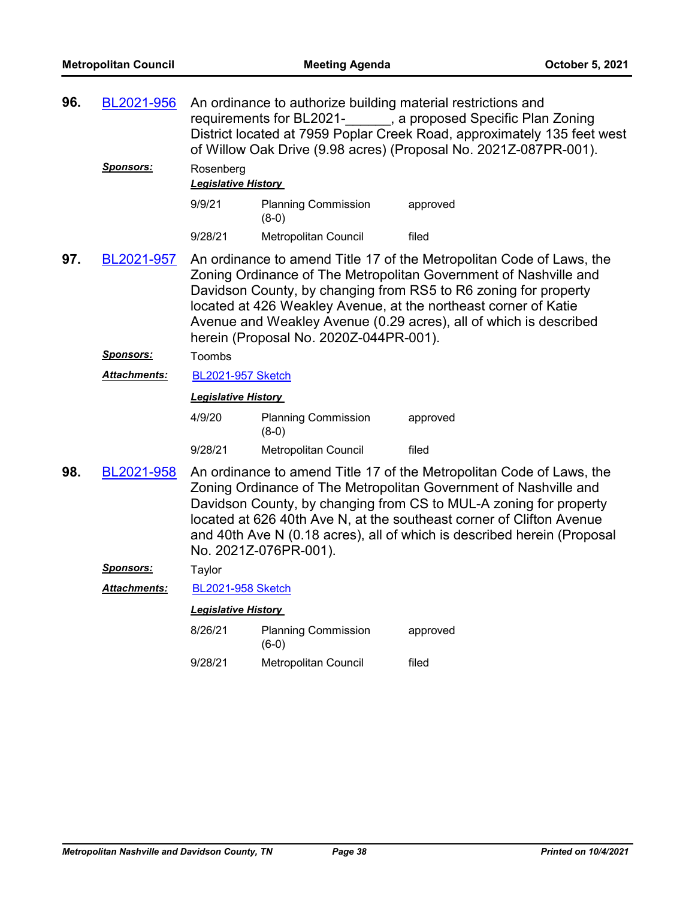| 96. | BL2021-956<br><u>Sponsors:</u> | An ordinance to authorize building material restrictions and<br>requirements for BL2021- , a proposed Specific Plan Zoning<br>District located at 7959 Poplar Creek Road, approximately 135 feet west<br>of Willow Oak Drive (9.98 acres) (Proposal No. 2021Z-087PR-001).<br>Rosenberg                                                                                                        |                                       |                                                                                                                                                                                                                                                                                                                                                                  |  |  |  |
|-----|--------------------------------|-----------------------------------------------------------------------------------------------------------------------------------------------------------------------------------------------------------------------------------------------------------------------------------------------------------------------------------------------------------------------------------------------|---------------------------------------|------------------------------------------------------------------------------------------------------------------------------------------------------------------------------------------------------------------------------------------------------------------------------------------------------------------------------------------------------------------|--|--|--|
|     |                                |                                                                                                                                                                                                                                                                                                                                                                                               | <b>Legislative History</b>            |                                                                                                                                                                                                                                                                                                                                                                  |  |  |  |
|     |                                | 9/9/21                                                                                                                                                                                                                                                                                                                                                                                        | <b>Planning Commission</b><br>$(8-0)$ | approved                                                                                                                                                                                                                                                                                                                                                         |  |  |  |
|     |                                | 9/28/21                                                                                                                                                                                                                                                                                                                                                                                       | Metropolitan Council                  | filed                                                                                                                                                                                                                                                                                                                                                            |  |  |  |
| 97. | BL2021-957                     | An ordinance to amend Title 17 of the Metropolitan Code of Laws, the<br>Zoning Ordinance of The Metropolitan Government of Nashville and<br>Davidson County, by changing from RS5 to R6 zoning for property<br>located at 426 Weakley Avenue, at the northeast corner of Katie<br>Avenue and Weakley Avenue (0.29 acres), all of which is described<br>herein (Proposal No. 2020Z-044PR-001). |                                       |                                                                                                                                                                                                                                                                                                                                                                  |  |  |  |
|     | <u>Sponsors:</u>               | Toombs                                                                                                                                                                                                                                                                                                                                                                                        |                                       |                                                                                                                                                                                                                                                                                                                                                                  |  |  |  |
|     | <u> Attachments:</u>           | <b>BL2021-957 Sketch</b>                                                                                                                                                                                                                                                                                                                                                                      |                                       |                                                                                                                                                                                                                                                                                                                                                                  |  |  |  |
|     |                                | <b>Legislative History</b>                                                                                                                                                                                                                                                                                                                                                                    |                                       |                                                                                                                                                                                                                                                                                                                                                                  |  |  |  |
|     |                                | 4/9/20                                                                                                                                                                                                                                                                                                                                                                                        | <b>Planning Commission</b><br>$(8-0)$ | approved                                                                                                                                                                                                                                                                                                                                                         |  |  |  |
|     |                                | 9/28/21                                                                                                                                                                                                                                                                                                                                                                                       | Metropolitan Council                  | filed                                                                                                                                                                                                                                                                                                                                                            |  |  |  |
| 98. | BL2021-958                     |                                                                                                                                                                                                                                                                                                                                                                                               | No. 2021Z-076PR-001).                 | An ordinance to amend Title 17 of the Metropolitan Code of Laws, the<br>Zoning Ordinance of The Metropolitan Government of Nashville and<br>Davidson County, by changing from CS to MUL-A zoning for property<br>located at 626 40th Ave N, at the southeast corner of Clifton Avenue<br>and 40th Ave N (0.18 acres), all of which is described herein (Proposal |  |  |  |
|     | <u>Sponsors:</u>               | Taylor                                                                                                                                                                                                                                                                                                                                                                                        |                                       |                                                                                                                                                                                                                                                                                                                                                                  |  |  |  |
|     | Attachments:                   | <b>BL2021-958 Sketch</b>                                                                                                                                                                                                                                                                                                                                                                      |                                       |                                                                                                                                                                                                                                                                                                                                                                  |  |  |  |
|     |                                | <b>Legislative History</b>                                                                                                                                                                                                                                                                                                                                                                    |                                       |                                                                                                                                                                                                                                                                                                                                                                  |  |  |  |
|     |                                | 8/26/21                                                                                                                                                                                                                                                                                                                                                                                       | <b>Planning Commission</b><br>$(6-0)$ | approved                                                                                                                                                                                                                                                                                                                                                         |  |  |  |
|     |                                | 9/28/21                                                                                                                                                                                                                                                                                                                                                                                       | Metropolitan Council                  | filed                                                                                                                                                                                                                                                                                                                                                            |  |  |  |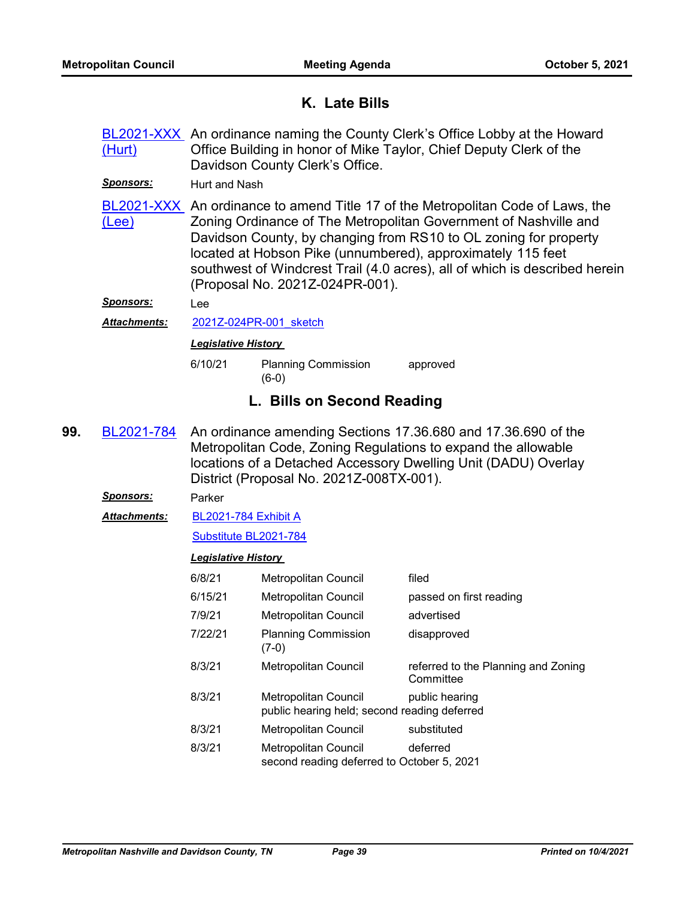# **K. Late Bills**

[BL2021-XXX](http://nashville.legistar.com/gateway.aspx?m=l&id=/matter.aspx?key=13682) An ordinance naming the County Clerk's Office Lobby at the Howard Office Building in honor of Mike Taylor, Chief Deputy Clerk of the Davidson County Clerk's Office. (Hurt)

*Sponsors:* Hurt and Nash

BL2021-XXX, An ordinance to amend Title 17 of the Metropolitan Code of Laws, the Zoning Ordinance of The Metropolitan Government of Nashville and Davidson County, by changing from RS10 to OL zoning for property located at Hobson Pike (unnumbered), approximately 115 feet southwest of Windcrest Trail (4.0 acres), all of which is described herein (Proposal No. 2021Z-024PR-001). (Lee)

*Sponsors:* Lee

Attachments: 2021Z-024PR-001 sketch

# *Legislative History*

6/10/21 Planning Commission approved (6-0)

# **L. Bills on Second Reading**

An ordinance amending Sections 17.36.680 and 17.36.690 of the Metropolitan Code, Zoning Regulations to expand the allowable locations of a Detached Accessory Dwelling Unit (DADU) Overlay District (Proposal No. 2021Z-008TX-001). **99.** [BL2021-784](http://nashville.legistar.com/gateway.aspx?m=l&id=/matter.aspx?key=2372)

*Sponsors:* Parker

[BL2021-784 Exhibit A](http://nashville.legistar.com/gateway.aspx?M=F&ID=6e9c7010-d004-491f-8367-ab334fe1ba8f.pdf) *Attachments:*

[Substitute BL2021-784](http://nashville.legistar.com/gateway.aspx?M=F&ID=381aaa61-6061-4250-8dbf-8f1a75e2fbdc.docx)

| 6/8/21  | <b>Metropolitan Council</b>                                          | filed                                            |
|---------|----------------------------------------------------------------------|--------------------------------------------------|
| 6/15/21 | <b>Metropolitan Council</b>                                          | passed on first reading                          |
| 7/9/21  | <b>Metropolitan Council</b>                                          | advertised                                       |
| 7/22/21 | <b>Planning Commission</b><br>(7-0)                                  | disapproved                                      |
| 8/3/21  | <b>Metropolitan Council</b>                                          | referred to the Planning and Zoning<br>Committee |
| 8/3/21  | Metropolitan Council<br>public hearing held; second reading deferred | public hearing                                   |
| 8/3/21  | <b>Metropolitan Council</b>                                          | substituted                                      |
| 8/3/21  | Metropolitan Council<br>second reading deferred to October 5, 2021   | deferred                                         |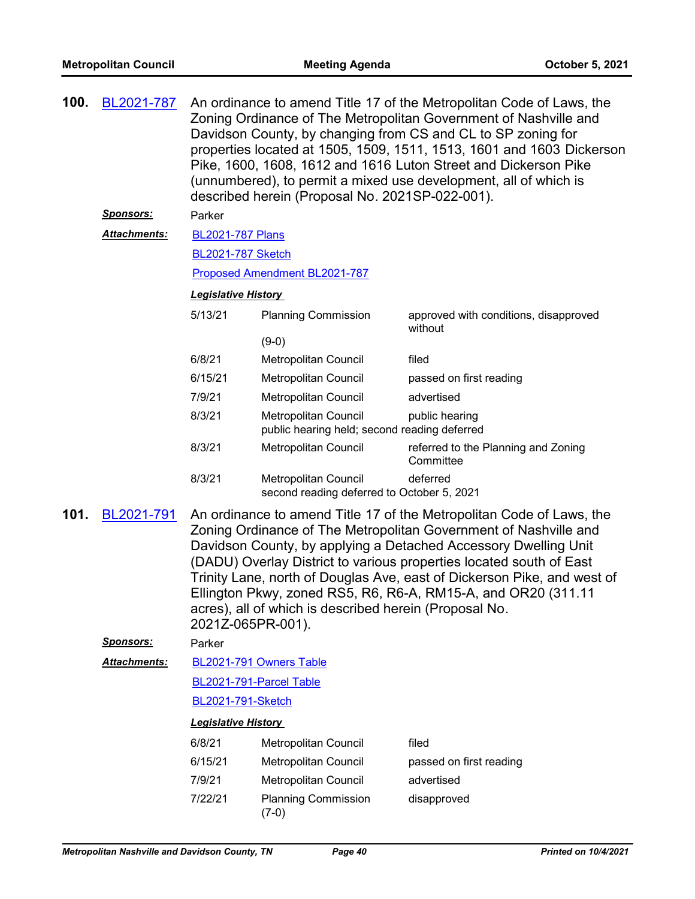| 100.                                                                                                                                                                                                                                                                                                                                                                                                                                                                                                                                | BL2021-787<br><u>Sponsors:</u><br><u> Attachments:</u> | An ordinance to amend Title 17 of the Metropolitan Code of Laws, the<br>Zoning Ordinance of The Metropolitan Government of Nashville and<br>Davidson County, by changing from CS and CL to SP zoning for<br>properties located at 1505, 1509, 1511, 1513, 1601 and 1603 Dickerson<br>Pike, 1600, 1608, 1612 and 1616 Luton Street and Dickerson Pike<br>(unnumbered), to permit a mixed use development, all of which is<br>described herein (Proposal No. 2021SP-022-001).<br>Parker<br><b>BL2021-787 Plans</b> |                                                                      |                                                  |  |  |  |
|-------------------------------------------------------------------------------------------------------------------------------------------------------------------------------------------------------------------------------------------------------------------------------------------------------------------------------------------------------------------------------------------------------------------------------------------------------------------------------------------------------------------------------------|--------------------------------------------------------|------------------------------------------------------------------------------------------------------------------------------------------------------------------------------------------------------------------------------------------------------------------------------------------------------------------------------------------------------------------------------------------------------------------------------------------------------------------------------------------------------------------|----------------------------------------------------------------------|--------------------------------------------------|--|--|--|
|                                                                                                                                                                                                                                                                                                                                                                                                                                                                                                                                     |                                                        |                                                                                                                                                                                                                                                                                                                                                                                                                                                                                                                  | <b>BL2021-787 Sketch</b>                                             |                                                  |  |  |  |
|                                                                                                                                                                                                                                                                                                                                                                                                                                                                                                                                     |                                                        | Proposed Amendment BL2021-787                                                                                                                                                                                                                                                                                                                                                                                                                                                                                    |                                                                      |                                                  |  |  |  |
|                                                                                                                                                                                                                                                                                                                                                                                                                                                                                                                                     |                                                        | <b>Legislative History</b>                                                                                                                                                                                                                                                                                                                                                                                                                                                                                       |                                                                      |                                                  |  |  |  |
| 5/13/21<br><b>Planning Commission</b>                                                                                                                                                                                                                                                                                                                                                                                                                                                                                               |                                                        |                                                                                                                                                                                                                                                                                                                                                                                                                                                                                                                  |                                                                      | approved with conditions, disapproved<br>without |  |  |  |
|                                                                                                                                                                                                                                                                                                                                                                                                                                                                                                                                     |                                                        |                                                                                                                                                                                                                                                                                                                                                                                                                                                                                                                  | $(9-0)$                                                              |                                                  |  |  |  |
|                                                                                                                                                                                                                                                                                                                                                                                                                                                                                                                                     |                                                        | 6/8/21                                                                                                                                                                                                                                                                                                                                                                                                                                                                                                           | Metropolitan Council                                                 | filed                                            |  |  |  |
|                                                                                                                                                                                                                                                                                                                                                                                                                                                                                                                                     |                                                        | 6/15/21                                                                                                                                                                                                                                                                                                                                                                                                                                                                                                          | Metropolitan Council                                                 | passed on first reading                          |  |  |  |
|                                                                                                                                                                                                                                                                                                                                                                                                                                                                                                                                     |                                                        | 7/9/21                                                                                                                                                                                                                                                                                                                                                                                                                                                                                                           | Metropolitan Council                                                 | advertised                                       |  |  |  |
| 8/3/21                                                                                                                                                                                                                                                                                                                                                                                                                                                                                                                              |                                                        |                                                                                                                                                                                                                                                                                                                                                                                                                                                                                                                  | Metropolitan Council<br>public hearing held; second reading deferred | public hearing                                   |  |  |  |
|                                                                                                                                                                                                                                                                                                                                                                                                                                                                                                                                     |                                                        | 8/3/21                                                                                                                                                                                                                                                                                                                                                                                                                                                                                                           | Metropolitan Council                                                 | referred to the Planning and Zoning<br>Committee |  |  |  |
|                                                                                                                                                                                                                                                                                                                                                                                                                                                                                                                                     |                                                        | 8/3/21                                                                                                                                                                                                                                                                                                                                                                                                                                                                                                           | Metropolitan Council<br>second reading deferred to October 5, 2021   | deferred                                         |  |  |  |
| 101.<br>BL2021-791<br>An ordinance to amend Title 17 of the Metropolitan Code of Laws, the<br>Zoning Ordinance of The Metropolitan Government of Nashville and<br>Davidson County, by applying a Detached Accessory Dwelling Unit<br>(DADU) Overlay District to various properties located south of East<br>Trinity Lane, north of Douglas Ave, east of Dickerson Pike, and west of<br>Ellington Pkwy, zoned RS5, R6, R6-A, RM15-A, and OR20 (311.11<br>acres), all of which is described herein (Proposal No.<br>2021Z-065PR-001). |                                                        |                                                                                                                                                                                                                                                                                                                                                                                                                                                                                                                  |                                                                      |                                                  |  |  |  |
|                                                                                                                                                                                                                                                                                                                                                                                                                                                                                                                                     | Sponsors:                                              | Parker                                                                                                                                                                                                                                                                                                                                                                                                                                                                                                           |                                                                      |                                                  |  |  |  |
|                                                                                                                                                                                                                                                                                                                                                                                                                                                                                                                                     | Attachments:                                           |                                                                                                                                                                                                                                                                                                                                                                                                                                                                                                                  | BL2021-791 Owners Table                                              |                                                  |  |  |  |
|                                                                                                                                                                                                                                                                                                                                                                                                                                                                                                                                     |                                                        |                                                                                                                                                                                                                                                                                                                                                                                                                                                                                                                  | BL2021-791-Parcel Table                                              |                                                  |  |  |  |
|                                                                                                                                                                                                                                                                                                                                                                                                                                                                                                                                     |                                                        | <b>BL2021-791-Sketch</b>                                                                                                                                                                                                                                                                                                                                                                                                                                                                                         |                                                                      |                                                  |  |  |  |
|                                                                                                                                                                                                                                                                                                                                                                                                                                                                                                                                     |                                                        | <b>Legislative History</b>                                                                                                                                                                                                                                                                                                                                                                                                                                                                                       |                                                                      |                                                  |  |  |  |
|                                                                                                                                                                                                                                                                                                                                                                                                                                                                                                                                     |                                                        | 6/8/21                                                                                                                                                                                                                                                                                                                                                                                                                                                                                                           | Metropolitan Council                                                 | filed                                            |  |  |  |
|                                                                                                                                                                                                                                                                                                                                                                                                                                                                                                                                     |                                                        | 6/15/21                                                                                                                                                                                                                                                                                                                                                                                                                                                                                                          | Metropolitan Council                                                 | passed on first reading                          |  |  |  |
|                                                                                                                                                                                                                                                                                                                                                                                                                                                                                                                                     |                                                        | 7/9/21                                                                                                                                                                                                                                                                                                                                                                                                                                                                                                           | Metropolitan Council                                                 | advertised                                       |  |  |  |
| 7/22/21<br>$(7-0)$                                                                                                                                                                                                                                                                                                                                                                                                                                                                                                                  |                                                        |                                                                                                                                                                                                                                                                                                                                                                                                                                                                                                                  | <b>Planning Commission</b>                                           | disapproved                                      |  |  |  |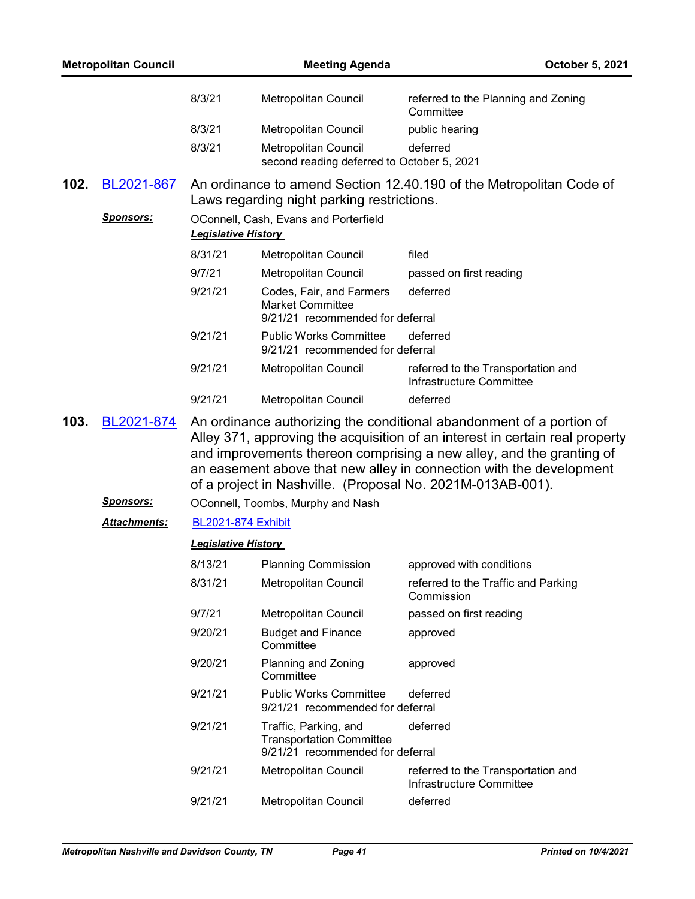|      | <b>Metropolitan Council</b> |                            | <b>Meeting Agenda</b>                                                                        | October 5, 2021                                                                                                                                                                                                                                                                                                                                                   |
|------|-----------------------------|----------------------------|----------------------------------------------------------------------------------------------|-------------------------------------------------------------------------------------------------------------------------------------------------------------------------------------------------------------------------------------------------------------------------------------------------------------------------------------------------------------------|
|      |                             | 8/3/21                     | Metropolitan Council                                                                         | referred to the Planning and Zoning<br>Committee                                                                                                                                                                                                                                                                                                                  |
|      |                             | 8/3/21                     | Metropolitan Council                                                                         | public hearing                                                                                                                                                                                                                                                                                                                                                    |
|      |                             | 8/3/21                     | Metropolitan Council<br>second reading deferred to October 5, 2021                           | deferred                                                                                                                                                                                                                                                                                                                                                          |
| 102. | BL2021-867                  |                            | Laws regarding night parking restrictions.                                                   | An ordinance to amend Section 12.40.190 of the Metropolitan Code of                                                                                                                                                                                                                                                                                               |
|      | <b>Sponsors:</b>            | <b>Legislative History</b> | OConnell, Cash, Evans and Porterfield                                                        |                                                                                                                                                                                                                                                                                                                                                                   |
|      |                             | 8/31/21                    | Metropolitan Council                                                                         | filed                                                                                                                                                                                                                                                                                                                                                             |
|      |                             | 9/7/21                     | Metropolitan Council                                                                         | passed on first reading                                                                                                                                                                                                                                                                                                                                           |
|      |                             | 9/21/21                    | Codes, Fair, and Farmers<br><b>Market Committee</b><br>9/21/21 recommended for deferral      | deferred                                                                                                                                                                                                                                                                                                                                                          |
|      |                             | 9/21/21                    | <b>Public Works Committee</b><br>9/21/21 recommended for deferral                            | deferred                                                                                                                                                                                                                                                                                                                                                          |
|      |                             | 9/21/21                    | Metropolitan Council                                                                         | referred to the Transportation and<br>Infrastructure Committee                                                                                                                                                                                                                                                                                                    |
|      |                             | 9/21/21                    | Metropolitan Council                                                                         | deferred                                                                                                                                                                                                                                                                                                                                                          |
| 103. | BL2021-874                  |                            |                                                                                              | An ordinance authorizing the conditional abandonment of a portion of<br>Alley 371, approving the acquisition of an interest in certain real property<br>and improvements thereon comprising a new alley, and the granting of<br>an easement above that new alley in connection with the development<br>of a project in Nashville. (Proposal No. 2021M-013AB-001). |
|      | <u>Sponsors:</u>            |                            | OConnell, Toombs, Murphy and Nash                                                            |                                                                                                                                                                                                                                                                                                                                                                   |
|      | <b>Attachments:</b>         | <b>BL2021-874 Exhibit</b>  |                                                                                              |                                                                                                                                                                                                                                                                                                                                                                   |
|      |                             | <b>Legislative History</b> |                                                                                              |                                                                                                                                                                                                                                                                                                                                                                   |
|      |                             | 8/13/21                    | <b>Planning Commission</b>                                                                   | approved with conditions                                                                                                                                                                                                                                                                                                                                          |
|      |                             | 8/31/21                    | Metropolitan Council                                                                         | referred to the Traffic and Parking<br>Commission                                                                                                                                                                                                                                                                                                                 |
|      |                             | 9/7/21                     | Metropolitan Council                                                                         | passed on first reading                                                                                                                                                                                                                                                                                                                                           |
|      |                             | 9/20/21                    | <b>Budget and Finance</b><br>Committee                                                       | approved                                                                                                                                                                                                                                                                                                                                                          |
|      |                             | 9/20/21                    | Planning and Zoning<br>Committee                                                             | approved                                                                                                                                                                                                                                                                                                                                                          |
|      |                             | 9/21/21                    | <b>Public Works Committee</b><br>9/21/21 recommended for deferral                            | deferred                                                                                                                                                                                                                                                                                                                                                          |
|      |                             | 9/21/21                    | Traffic, Parking, and<br><b>Transportation Committee</b><br>9/21/21 recommended for deferral | deferred                                                                                                                                                                                                                                                                                                                                                          |
|      |                             | 9/21/21                    | Metropolitan Council                                                                         | referred to the Transportation and<br>Infrastructure Committee                                                                                                                                                                                                                                                                                                    |
|      |                             | 9/21/21                    | Metropolitan Council                                                                         | deferred                                                                                                                                                                                                                                                                                                                                                          |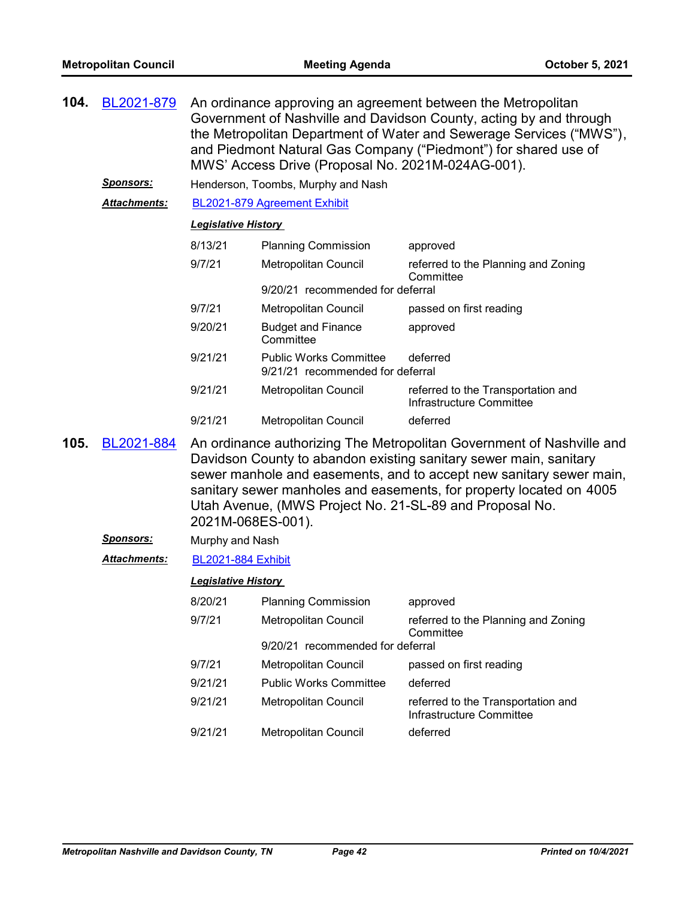| 104. | BL2021-879           | An ordinance approving an agreement between the Metropolitan<br>Government of Nashville and Davidson County, acting by and through<br>the Metropolitan Department of Water and Sewerage Services ("MWS"),<br>and Piedmont Natural Gas Company ("Piedmont") for shared use of<br>MWS' Access Drive (Proposal No. 2021M-024AG-001).                                        |                                                                               |                                                                |  |  |
|------|----------------------|--------------------------------------------------------------------------------------------------------------------------------------------------------------------------------------------------------------------------------------------------------------------------------------------------------------------------------------------------------------------------|-------------------------------------------------------------------------------|----------------------------------------------------------------|--|--|
|      | <u>Sponsors:</u>     |                                                                                                                                                                                                                                                                                                                                                                          | Henderson, Toombs, Murphy and Nash                                            |                                                                |  |  |
|      | <u> Attachments:</u> |                                                                                                                                                                                                                                                                                                                                                                          | BL2021-879 Agreement Exhibit                                                  |                                                                |  |  |
|      |                      | <b>Legislative History</b>                                                                                                                                                                                                                                                                                                                                               |                                                                               |                                                                |  |  |
|      |                      | 8/13/21                                                                                                                                                                                                                                                                                                                                                                  | <b>Planning Commission</b>                                                    | approved                                                       |  |  |
|      |                      | 9/7/21                                                                                                                                                                                                                                                                                                                                                                   | Metropolitan Council                                                          | referred to the Planning and Zoning<br>Committee               |  |  |
|      |                      |                                                                                                                                                                                                                                                                                                                                                                          | 9/20/21 recommended for deferral                                              |                                                                |  |  |
|      |                      | 9/7/21                                                                                                                                                                                                                                                                                                                                                                   | Metropolitan Council                                                          | passed on first reading                                        |  |  |
|      |                      | 9/20/21                                                                                                                                                                                                                                                                                                                                                                  | <b>Budget and Finance</b><br>Committee                                        | approved                                                       |  |  |
|      |                      | 9/21/21                                                                                                                                                                                                                                                                                                                                                                  | <b>Public Works Committee</b><br>deferred<br>9/21/21 recommended for deferral |                                                                |  |  |
|      |                      | 9/21/21                                                                                                                                                                                                                                                                                                                                                                  | Metropolitan Council                                                          | referred to the Transportation and<br>Infrastructure Committee |  |  |
|      |                      | 9/21/21                                                                                                                                                                                                                                                                                                                                                                  | Metropolitan Council                                                          | deferred                                                       |  |  |
| 105. | BL2021-884           | An ordinance authorizing The Metropolitan Government of Nashville and<br>Davidson County to abandon existing sanitary sewer main, sanitary<br>sewer manhole and easements, and to accept new sanitary sewer main,<br>sanitary sewer manholes and easements, for property located on 4005<br>Utah Avenue, (MWS Project No. 21-SL-89 and Proposal No.<br>2021M-068ES-001). |                                                                               |                                                                |  |  |
|      | <b>Sponsors:</b>     | Murphy and Nash                                                                                                                                                                                                                                                                                                                                                          |                                                                               |                                                                |  |  |
|      | <b>Attachments:</b>  | <b>BL2021-884 Exhibit</b>                                                                                                                                                                                                                                                                                                                                                |                                                                               |                                                                |  |  |
|      |                      | <b>Legislative History</b>                                                                                                                                                                                                                                                                                                                                               |                                                                               |                                                                |  |  |
|      |                      | 8/20/21                                                                                                                                                                                                                                                                                                                                                                  | <b>Planning Commission</b>                                                    | approved                                                       |  |  |
|      |                      | 9/7/21                                                                                                                                                                                                                                                                                                                                                                   | Metropolitan Council                                                          | referred to the Planning and Zoning<br>Committee               |  |  |
|      |                      |                                                                                                                                                                                                                                                                                                                                                                          | 9/20/21 recommended for deferral                                              |                                                                |  |  |
|      |                      | 9/7/21                                                                                                                                                                                                                                                                                                                                                                   | Metropolitan Council                                                          | passed on first reading                                        |  |  |
|      |                      | 9/21/21                                                                                                                                                                                                                                                                                                                                                                  | <b>Public Works Committee</b>                                                 | deferred                                                       |  |  |
|      |                      | 9/21/21                                                                                                                                                                                                                                                                                                                                                                  | Metropolitan Council                                                          | referred to the Transportation and<br>Infrastructure Committee |  |  |
|      |                      | 9/21/21                                                                                                                                                                                                                                                                                                                                                                  | Metropolitan Council                                                          | deferred                                                       |  |  |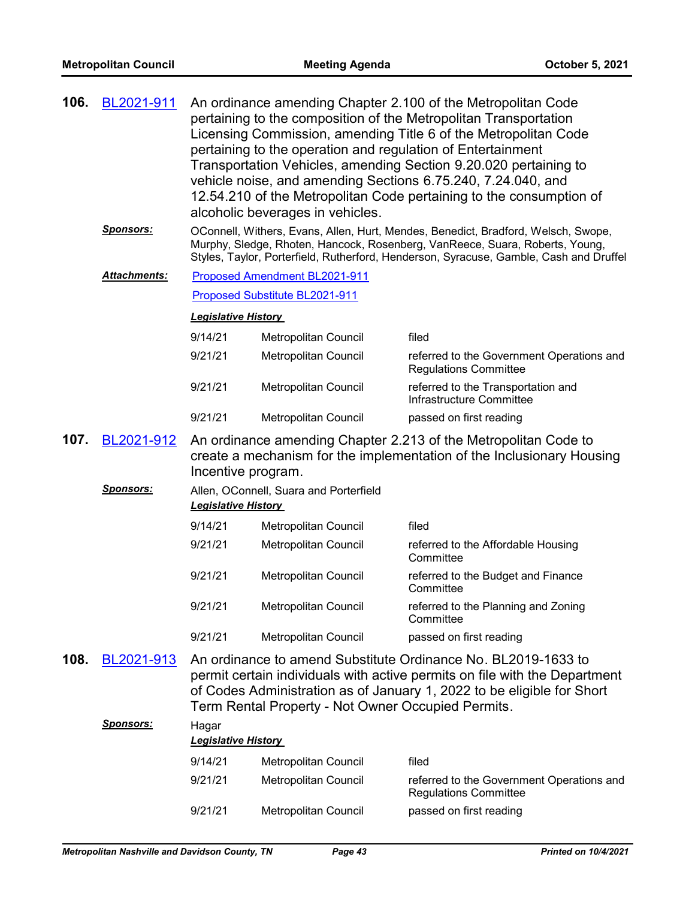| 106. | BL2021-911       | An ordinance amending Chapter 2.100 of the Metropolitan Code<br>pertaining to the composition of the Metropolitan Transportation<br>Licensing Commission, amending Title 6 of the Metropolitan Code<br>pertaining to the operation and regulation of Entertainment<br>Transportation Vehicles, amending Section 9.20.020 pertaining to<br>vehicle noise, and amending Sections 6.75.240, 7.24.040, and<br>12.54.210 of the Metropolitan Code pertaining to the consumption of<br>alcoholic beverages in vehicles. |                                                    |                                                                                                                                                                                                                                                             |  |  |  |
|------|------------------|-------------------------------------------------------------------------------------------------------------------------------------------------------------------------------------------------------------------------------------------------------------------------------------------------------------------------------------------------------------------------------------------------------------------------------------------------------------------------------------------------------------------|----------------------------------------------------|-------------------------------------------------------------------------------------------------------------------------------------------------------------------------------------------------------------------------------------------------------------|--|--|--|
|      | <b>Sponsors:</b> |                                                                                                                                                                                                                                                                                                                                                                                                                                                                                                                   |                                                    | OConnell, Withers, Evans, Allen, Hurt, Mendes, Benedict, Bradford, Welsch, Swope,<br>Murphy, Sledge, Rhoten, Hancock, Rosenberg, VanReece, Suara, Roberts, Young,<br>Styles, Taylor, Porterfield, Rutherford, Henderson, Syracuse, Gamble, Cash and Druffel |  |  |  |
|      | Attachments:     |                                                                                                                                                                                                                                                                                                                                                                                                                                                                                                                   | Proposed Amendment BL2021-911                      |                                                                                                                                                                                                                                                             |  |  |  |
|      |                  |                                                                                                                                                                                                                                                                                                                                                                                                                                                                                                                   | <b>Proposed Substitute BL2021-911</b>              |                                                                                                                                                                                                                                                             |  |  |  |
|      |                  |                                                                                                                                                                                                                                                                                                                                                                                                                                                                                                                   | <b>Legislative History</b>                         |                                                                                                                                                                                                                                                             |  |  |  |
|      |                  | 9/14/21                                                                                                                                                                                                                                                                                                                                                                                                                                                                                                           | Metropolitan Council                               | filed                                                                                                                                                                                                                                                       |  |  |  |
|      |                  | 9/21/21                                                                                                                                                                                                                                                                                                                                                                                                                                                                                                           | Metropolitan Council                               | referred to the Government Operations and<br><b>Regulations Committee</b>                                                                                                                                                                                   |  |  |  |
|      |                  | 9/21/21                                                                                                                                                                                                                                                                                                                                                                                                                                                                                                           | Metropolitan Council                               | referred to the Transportation and<br>Infrastructure Committee                                                                                                                                                                                              |  |  |  |
|      |                  | 9/21/21                                                                                                                                                                                                                                                                                                                                                                                                                                                                                                           | Metropolitan Council                               | passed on first reading                                                                                                                                                                                                                                     |  |  |  |
| 107. | BL2021-912       | An ordinance amending Chapter 2.213 of the Metropolitan Code to<br>create a mechanism for the implementation of the Inclusionary Housing<br>Incentive program.                                                                                                                                                                                                                                                                                                                                                    |                                                    |                                                                                                                                                                                                                                                             |  |  |  |
|      | <u>Sponsors:</u> | <b>Legislative History</b>                                                                                                                                                                                                                                                                                                                                                                                                                                                                                        | Allen, OConnell, Suara and Porterfield             |                                                                                                                                                                                                                                                             |  |  |  |
|      |                  | 9/14/21                                                                                                                                                                                                                                                                                                                                                                                                                                                                                                           | Metropolitan Council                               | filed                                                                                                                                                                                                                                                       |  |  |  |
|      |                  | 9/21/21                                                                                                                                                                                                                                                                                                                                                                                                                                                                                                           | Metropolitan Council                               | referred to the Affordable Housing<br>Committee                                                                                                                                                                                                             |  |  |  |
|      |                  | 9/21/21                                                                                                                                                                                                                                                                                                                                                                                                                                                                                                           | Metropolitan Council                               | referred to the Budget and Finance<br>Committee                                                                                                                                                                                                             |  |  |  |
|      |                  | 9/21/21                                                                                                                                                                                                                                                                                                                                                                                                                                                                                                           | Metropolitan Council                               | referred to the Planning and Zoning<br>Committee                                                                                                                                                                                                            |  |  |  |
|      |                  | 9/21/21                                                                                                                                                                                                                                                                                                                                                                                                                                                                                                           | Metropolitan Council                               | passed on first reading                                                                                                                                                                                                                                     |  |  |  |
| 108. | BL2021-913       |                                                                                                                                                                                                                                                                                                                                                                                                                                                                                                                   | Term Rental Property - Not Owner Occupied Permits. | An ordinance to amend Substitute Ordinance No. BL2019-1633 to<br>permit certain individuals with active permits on file with the Department<br>of Codes Administration as of January 1, 2022 to be eligible for Short                                       |  |  |  |
|      | <b>Sponsors:</b> | Hagar                                                                                                                                                                                                                                                                                                                                                                                                                                                                                                             |                                                    |                                                                                                                                                                                                                                                             |  |  |  |
|      |                  | <b>Legislative History</b>                                                                                                                                                                                                                                                                                                                                                                                                                                                                                        |                                                    |                                                                                                                                                                                                                                                             |  |  |  |
|      |                  | 9/14/21                                                                                                                                                                                                                                                                                                                                                                                                                                                                                                           | Metropolitan Council                               | filed                                                                                                                                                                                                                                                       |  |  |  |
|      |                  | 9/21/21                                                                                                                                                                                                                                                                                                                                                                                                                                                                                                           | Metropolitan Council                               | referred to the Government Operations and<br><b>Regulations Committee</b>                                                                                                                                                                                   |  |  |  |
|      |                  | 9/21/21                                                                                                                                                                                                                                                                                                                                                                                                                                                                                                           | Metropolitan Council                               | passed on first reading                                                                                                                                                                                                                                     |  |  |  |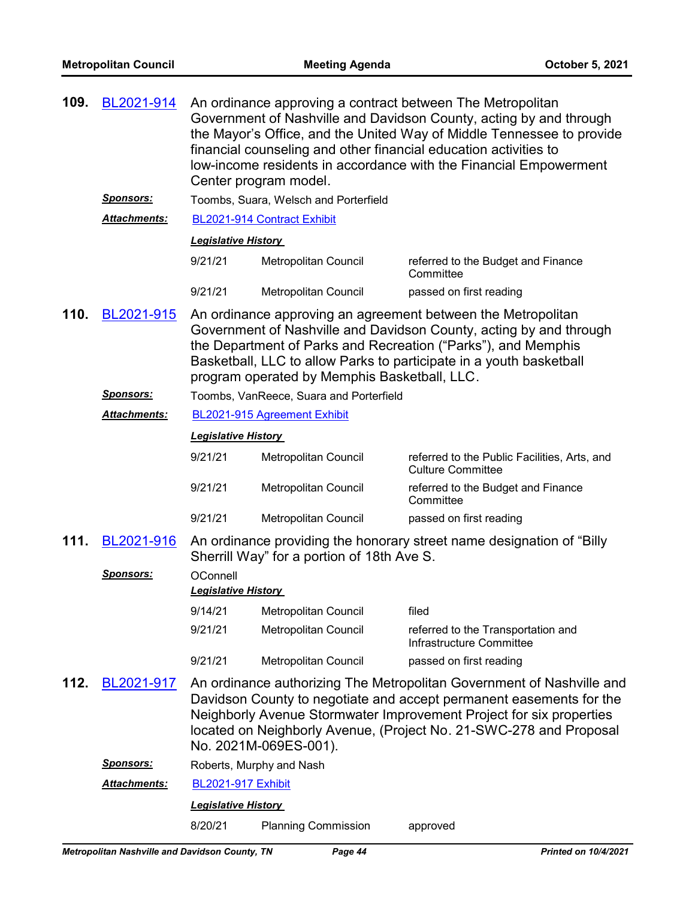| 109. | BL2021-914          | An ordinance approving a contract between The Metropolitan<br>Government of Nashville and Davidson County, acting by and through<br>the Mayor's Office, and the United Way of Middle Tennessee to provide<br>financial counseling and other financial education activities to<br>low-income residents in accordance with the Financial Empowerment<br>Center program model. |                                              |                                                                                                                                                                                                                                                                                           |  |
|------|---------------------|-----------------------------------------------------------------------------------------------------------------------------------------------------------------------------------------------------------------------------------------------------------------------------------------------------------------------------------------------------------------------------|----------------------------------------------|-------------------------------------------------------------------------------------------------------------------------------------------------------------------------------------------------------------------------------------------------------------------------------------------|--|
|      | <u>Sponsors:</u>    |                                                                                                                                                                                                                                                                                                                                                                             | Toombs, Suara, Welsch and Porterfield        |                                                                                                                                                                                                                                                                                           |  |
|      | Attachments:        |                                                                                                                                                                                                                                                                                                                                                                             | BL2021-914 Contract Exhibit                  |                                                                                                                                                                                                                                                                                           |  |
|      |                     | <b>Legislative History</b>                                                                                                                                                                                                                                                                                                                                                  |                                              |                                                                                                                                                                                                                                                                                           |  |
|      |                     | 9/21/21                                                                                                                                                                                                                                                                                                                                                                     | Metropolitan Council                         | referred to the Budget and Finance<br>Committee                                                                                                                                                                                                                                           |  |
|      |                     | 9/21/21                                                                                                                                                                                                                                                                                                                                                                     | Metropolitan Council                         | passed on first reading                                                                                                                                                                                                                                                                   |  |
| 110. | BL2021-915          |                                                                                                                                                                                                                                                                                                                                                                             | program operated by Memphis Basketball, LLC. | An ordinance approving an agreement between the Metropolitan<br>Government of Nashville and Davidson County, acting by and through<br>the Department of Parks and Recreation ("Parks"), and Memphis<br>Basketball, LLC to allow Parks to participate in a youth basketball                |  |
|      | <u>Sponsors:</u>    | Toombs, VanReece, Suara and Porterfield                                                                                                                                                                                                                                                                                                                                     |                                              |                                                                                                                                                                                                                                                                                           |  |
|      | <b>Attachments:</b> |                                                                                                                                                                                                                                                                                                                                                                             | BL2021-915 Agreement Exhibit                 |                                                                                                                                                                                                                                                                                           |  |
|      |                     | <b>Legislative History</b>                                                                                                                                                                                                                                                                                                                                                  |                                              |                                                                                                                                                                                                                                                                                           |  |
|      |                     | 9/21/21                                                                                                                                                                                                                                                                                                                                                                     | Metropolitan Council                         | referred to the Public Facilities, Arts, and<br><b>Culture Committee</b>                                                                                                                                                                                                                  |  |
|      |                     | 9/21/21                                                                                                                                                                                                                                                                                                                                                                     | Metropolitan Council                         | referred to the Budget and Finance<br>Committee                                                                                                                                                                                                                                           |  |
|      |                     | 9/21/21                                                                                                                                                                                                                                                                                                                                                                     | Metropolitan Council                         | passed on first reading                                                                                                                                                                                                                                                                   |  |
| 111. | BL2021-916          |                                                                                                                                                                                                                                                                                                                                                                             | Sherrill Way" for a portion of 18th Ave S.   | An ordinance providing the honorary street name designation of "Billy"                                                                                                                                                                                                                    |  |
|      | <b>Sponsors:</b>    | OConnell<br><b>Legislative History</b>                                                                                                                                                                                                                                                                                                                                      |                                              |                                                                                                                                                                                                                                                                                           |  |
|      |                     | 9/14/21                                                                                                                                                                                                                                                                                                                                                                     | Metropolitan Council                         | filed                                                                                                                                                                                                                                                                                     |  |
|      |                     | 9/21/21                                                                                                                                                                                                                                                                                                                                                                     | Metropolitan Council                         | referred to the Transportation and<br>Infrastructure Committee                                                                                                                                                                                                                            |  |
|      |                     | 9/21/21                                                                                                                                                                                                                                                                                                                                                                     | <b>Metropolitan Council</b>                  | passed on first reading                                                                                                                                                                                                                                                                   |  |
| 112. | BL2021-917          |                                                                                                                                                                                                                                                                                                                                                                             | No. 2021M-069ES-001).                        | An ordinance authorizing The Metropolitan Government of Nashville and<br>Davidson County to negotiate and accept permanent easements for the<br>Neighborly Avenue Stormwater Improvement Project for six properties<br>located on Neighborly Avenue, (Project No. 21-SWC-278 and Proposal |  |
|      | <u>Sponsors:</u>    |                                                                                                                                                                                                                                                                                                                                                                             | Roberts, Murphy and Nash                     |                                                                                                                                                                                                                                                                                           |  |
|      | <b>Attachments:</b> | <b>BL2021-917 Exhibit</b>                                                                                                                                                                                                                                                                                                                                                   |                                              |                                                                                                                                                                                                                                                                                           |  |
|      |                     | <b>Legislative History</b>                                                                                                                                                                                                                                                                                                                                                  |                                              |                                                                                                                                                                                                                                                                                           |  |
|      |                     | 8/20/21                                                                                                                                                                                                                                                                                                                                                                     | <b>Planning Commission</b>                   | approved                                                                                                                                                                                                                                                                                  |  |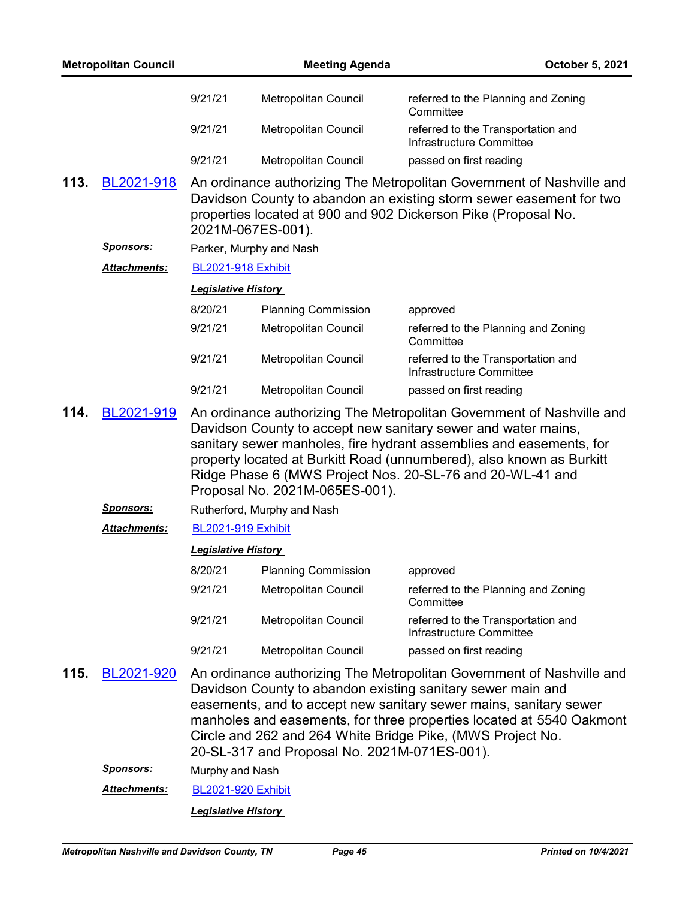| <b>Metropolitan Council</b>                                                                                                                                                                                                                                                                                                                                                                                |                                                  |                                                                                                                                                                                                                                                                                                                                                                                                 | <b>Meeting Agenda</b>       | October 5, 2021                                                                                                                                                                                                |  |  |
|------------------------------------------------------------------------------------------------------------------------------------------------------------------------------------------------------------------------------------------------------------------------------------------------------------------------------------------------------------------------------------------------------------|--------------------------------------------------|-------------------------------------------------------------------------------------------------------------------------------------------------------------------------------------------------------------------------------------------------------------------------------------------------------------------------------------------------------------------------------------------------|-----------------------------|----------------------------------------------------------------------------------------------------------------------------------------------------------------------------------------------------------------|--|--|
|                                                                                                                                                                                                                                                                                                                                                                                                            |                                                  | 9/21/21                                                                                                                                                                                                                                                                                                                                                                                         | Metropolitan Council        | referred to the Planning and Zoning<br>Committee                                                                                                                                                               |  |  |
|                                                                                                                                                                                                                                                                                                                                                                                                            |                                                  | 9/21/21                                                                                                                                                                                                                                                                                                                                                                                         | Metropolitan Council        | referred to the Transportation and<br>Infrastructure Committee                                                                                                                                                 |  |  |
|                                                                                                                                                                                                                                                                                                                                                                                                            |                                                  | 9/21/21                                                                                                                                                                                                                                                                                                                                                                                         | Metropolitan Council        | passed on first reading                                                                                                                                                                                        |  |  |
| 113.                                                                                                                                                                                                                                                                                                                                                                                                       | BL2021-918                                       |                                                                                                                                                                                                                                                                                                                                                                                                 | 2021M-067ES-001).           | An ordinance authorizing The Metropolitan Government of Nashville and<br>Davidson County to abandon an existing storm sewer easement for two<br>properties located at 900 and 902 Dickerson Pike (Proposal No. |  |  |
|                                                                                                                                                                                                                                                                                                                                                                                                            | <u>Sponsors:</u>                                 |                                                                                                                                                                                                                                                                                                                                                                                                 | Parker, Murphy and Nash     |                                                                                                                                                                                                                |  |  |
|                                                                                                                                                                                                                                                                                                                                                                                                            | <b>BL2021-918 Exhibit</b><br><b>Attachments:</b> |                                                                                                                                                                                                                                                                                                                                                                                                 |                             |                                                                                                                                                                                                                |  |  |
|                                                                                                                                                                                                                                                                                                                                                                                                            |                                                  | <b>Legislative History</b>                                                                                                                                                                                                                                                                                                                                                                      |                             |                                                                                                                                                                                                                |  |  |
|                                                                                                                                                                                                                                                                                                                                                                                                            |                                                  | 8/20/21                                                                                                                                                                                                                                                                                                                                                                                         | <b>Planning Commission</b>  | approved                                                                                                                                                                                                       |  |  |
|                                                                                                                                                                                                                                                                                                                                                                                                            |                                                  | 9/21/21                                                                                                                                                                                                                                                                                                                                                                                         | Metropolitan Council        | referred to the Planning and Zoning<br>Committee                                                                                                                                                               |  |  |
|                                                                                                                                                                                                                                                                                                                                                                                                            |                                                  | 9/21/21                                                                                                                                                                                                                                                                                                                                                                                         | Metropolitan Council        | referred to the Transportation and<br>Infrastructure Committee                                                                                                                                                 |  |  |
|                                                                                                                                                                                                                                                                                                                                                                                                            |                                                  | 9/21/21                                                                                                                                                                                                                                                                                                                                                                                         | Metropolitan Council        | passed on first reading                                                                                                                                                                                        |  |  |
| An ordinance authorizing The Metropolitan Government of Nashville and<br>114.<br>BL2021-919<br>Davidson County to accept new sanitary sewer and water mains,<br>sanitary sewer manholes, fire hydrant assemblies and easements, for<br>property located at Burkitt Road (unnumbered), also known as Burkitt<br>Ridge Phase 6 (MWS Project Nos. 20-SL-76 and 20-WL-41 and<br>Proposal No. 2021M-065ES-001). |                                                  |                                                                                                                                                                                                                                                                                                                                                                                                 |                             |                                                                                                                                                                                                                |  |  |
|                                                                                                                                                                                                                                                                                                                                                                                                            | <u>Sponsors:</u>                                 |                                                                                                                                                                                                                                                                                                                                                                                                 | Rutherford, Murphy and Nash |                                                                                                                                                                                                                |  |  |
|                                                                                                                                                                                                                                                                                                                                                                                                            | <b>Attachments:</b>                              | <b>BL2021-919 Exhibit</b>                                                                                                                                                                                                                                                                                                                                                                       |                             |                                                                                                                                                                                                                |  |  |
|                                                                                                                                                                                                                                                                                                                                                                                                            |                                                  | <b>Legislative History</b>                                                                                                                                                                                                                                                                                                                                                                      |                             |                                                                                                                                                                                                                |  |  |
|                                                                                                                                                                                                                                                                                                                                                                                                            |                                                  | 8/20/21                                                                                                                                                                                                                                                                                                                                                                                         | <b>Planning Commission</b>  | approved                                                                                                                                                                                                       |  |  |
|                                                                                                                                                                                                                                                                                                                                                                                                            |                                                  | 9/21/21                                                                                                                                                                                                                                                                                                                                                                                         | Metropolitan Council        | referred to the Planning and Zoning<br>Committee                                                                                                                                                               |  |  |
|                                                                                                                                                                                                                                                                                                                                                                                                            |                                                  | 9/21/21                                                                                                                                                                                                                                                                                                                                                                                         | Metropolitan Council        | referred to the Transportation and<br>Infrastructure Committee                                                                                                                                                 |  |  |
|                                                                                                                                                                                                                                                                                                                                                                                                            |                                                  | 9/21/21                                                                                                                                                                                                                                                                                                                                                                                         | Metropolitan Council        | passed on first reading                                                                                                                                                                                        |  |  |
| 115.                                                                                                                                                                                                                                                                                                                                                                                                       | BL2021-920                                       | An ordinance authorizing The Metropolitan Government of Nashville and<br>Davidson County to abandon existing sanitary sewer main and<br>easements, and to accept new sanitary sewer mains, sanitary sewer<br>manholes and easements, for three properties located at 5540 Oakmont<br>Circle and 262 and 264 White Bridge Pike, (MWS Project No.<br>20-SL-317 and Proposal No. 2021M-071ES-001). |                             |                                                                                                                                                                                                                |  |  |
|                                                                                                                                                                                                                                                                                                                                                                                                            | <u>Sponsors:</u>                                 | Murphy and Nash                                                                                                                                                                                                                                                                                                                                                                                 |                             |                                                                                                                                                                                                                |  |  |
|                                                                                                                                                                                                                                                                                                                                                                                                            | <b>Attachments:</b>                              | <b>BL2021-920 Exhibit</b>                                                                                                                                                                                                                                                                                                                                                                       |                             |                                                                                                                                                                                                                |  |  |
|                                                                                                                                                                                                                                                                                                                                                                                                            |                                                  |                                                                                                                                                                                                                                                                                                                                                                                                 | <b>Legislative History</b>  |                                                                                                                                                                                                                |  |  |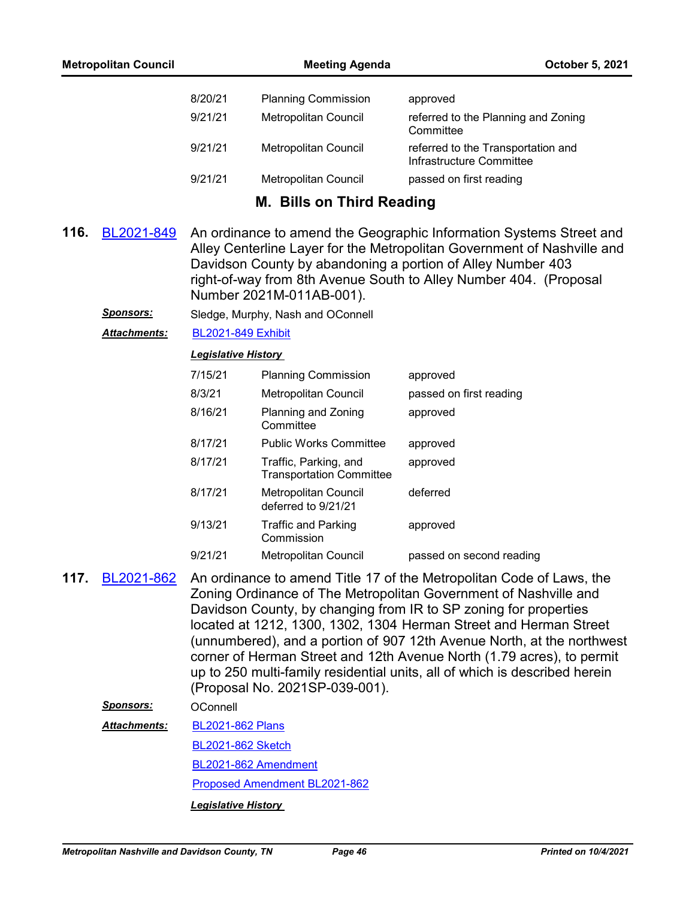| <b>Metropolitan Council</b> |                     | <b>Meeting Agenda</b>                                                                                                                                                                                                                                                                                                                                                                                                                                                                                                                                |                                                          | October 5, 2021                                                                                                                                                                                                                                                                    |
|-----------------------------|---------------------|------------------------------------------------------------------------------------------------------------------------------------------------------------------------------------------------------------------------------------------------------------------------------------------------------------------------------------------------------------------------------------------------------------------------------------------------------------------------------------------------------------------------------------------------------|----------------------------------------------------------|------------------------------------------------------------------------------------------------------------------------------------------------------------------------------------------------------------------------------------------------------------------------------------|
|                             |                     | 8/20/21                                                                                                                                                                                                                                                                                                                                                                                                                                                                                                                                              | <b>Planning Commission</b>                               | approved                                                                                                                                                                                                                                                                           |
|                             |                     | 9/21/21                                                                                                                                                                                                                                                                                                                                                                                                                                                                                                                                              | Metropolitan Council                                     | referred to the Planning and Zoning<br>Committee                                                                                                                                                                                                                                   |
|                             |                     | 9/21/21                                                                                                                                                                                                                                                                                                                                                                                                                                                                                                                                              | Metropolitan Council                                     | referred to the Transportation and<br>Infrastructure Committee                                                                                                                                                                                                                     |
|                             |                     | 9/21/21                                                                                                                                                                                                                                                                                                                                                                                                                                                                                                                                              | Metropolitan Council                                     | passed on first reading                                                                                                                                                                                                                                                            |
|                             |                     |                                                                                                                                                                                                                                                                                                                                                                                                                                                                                                                                                      | M. Bills on Third Reading                                |                                                                                                                                                                                                                                                                                    |
| 116.                        | BL2021-849          |                                                                                                                                                                                                                                                                                                                                                                                                                                                                                                                                                      | Number 2021M-011AB-001).                                 | An ordinance to amend the Geographic Information Systems Street and<br>Alley Centerline Layer for the Metropolitan Government of Nashville and<br>Davidson County by abandoning a portion of Alley Number 403<br>right-of-way from 8th Avenue South to Alley Number 404. (Proposal |
|                             | <u>Sponsors:</u>    |                                                                                                                                                                                                                                                                                                                                                                                                                                                                                                                                                      | Sledge, Murphy, Nash and OConnell                        |                                                                                                                                                                                                                                                                                    |
|                             | Attachments:        | <b>BL2021-849 Exhibit</b>                                                                                                                                                                                                                                                                                                                                                                                                                                                                                                                            |                                                          |                                                                                                                                                                                                                                                                                    |
|                             |                     | <b>Legislative History</b>                                                                                                                                                                                                                                                                                                                                                                                                                                                                                                                           |                                                          |                                                                                                                                                                                                                                                                                    |
|                             |                     | 7/15/21                                                                                                                                                                                                                                                                                                                                                                                                                                                                                                                                              | <b>Planning Commission</b>                               | approved                                                                                                                                                                                                                                                                           |
|                             |                     | 8/3/21                                                                                                                                                                                                                                                                                                                                                                                                                                                                                                                                               | Metropolitan Council                                     | passed on first reading                                                                                                                                                                                                                                                            |
|                             |                     | 8/16/21                                                                                                                                                                                                                                                                                                                                                                                                                                                                                                                                              | Planning and Zoning<br>Committee                         | approved                                                                                                                                                                                                                                                                           |
|                             |                     | 8/17/21                                                                                                                                                                                                                                                                                                                                                                                                                                                                                                                                              | <b>Public Works Committee</b>                            | approved                                                                                                                                                                                                                                                                           |
|                             |                     | 8/17/21                                                                                                                                                                                                                                                                                                                                                                                                                                                                                                                                              | Traffic, Parking, and<br><b>Transportation Committee</b> | approved                                                                                                                                                                                                                                                                           |
|                             |                     | 8/17/21                                                                                                                                                                                                                                                                                                                                                                                                                                                                                                                                              | <b>Metropolitan Council</b><br>deferred to 9/21/21       | deferred                                                                                                                                                                                                                                                                           |
|                             |                     | 9/13/21                                                                                                                                                                                                                                                                                                                                                                                                                                                                                                                                              | <b>Traffic and Parking</b><br>Commission                 | approved                                                                                                                                                                                                                                                                           |
|                             |                     | 9/21/21                                                                                                                                                                                                                                                                                                                                                                                                                                                                                                                                              | Metropolitan Council                                     | passed on second reading                                                                                                                                                                                                                                                           |
| 117.                        | BL2021-862          | An ordinance to amend Title 17 of the Metropolitan Code of Laws, the<br>Zoning Ordinance of The Metropolitan Government of Nashville and<br>Davidson County, by changing from IR to SP zoning for properties<br>located at 1212, 1300, 1302, 1304 Herman Street and Herman Street<br>(unnumbered), and a portion of 907 12th Avenue North, at the northwest<br>corner of Herman Street and 12th Avenue North (1.79 acres), to permit<br>up to 250 multi-family residential units, all of which is described herein<br>(Proposal No. 2021SP-039-001). |                                                          |                                                                                                                                                                                                                                                                                    |
|                             | <b>Sponsors:</b>    | OConnell                                                                                                                                                                                                                                                                                                                                                                                                                                                                                                                                             |                                                          |                                                                                                                                                                                                                                                                                    |
|                             | <b>Attachments:</b> | <b>BL2021-862 Plans</b>                                                                                                                                                                                                                                                                                                                                                                                                                                                                                                                              |                                                          |                                                                                                                                                                                                                                                                                    |
|                             |                     | <b>BL2021-862 Sketch</b>                                                                                                                                                                                                                                                                                                                                                                                                                                                                                                                             |                                                          |                                                                                                                                                                                                                                                                                    |
|                             |                     |                                                                                                                                                                                                                                                                                                                                                                                                                                                                                                                                                      | BL2021-862 Amendment                                     |                                                                                                                                                                                                                                                                                    |
|                             |                     | Proposed Amendment BL2021-862                                                                                                                                                                                                                                                                                                                                                                                                                                                                                                                        |                                                          |                                                                                                                                                                                                                                                                                    |
|                             |                     | <b>Legislative History</b>                                                                                                                                                                                                                                                                                                                                                                                                                                                                                                                           |                                                          |                                                                                                                                                                                                                                                                                    |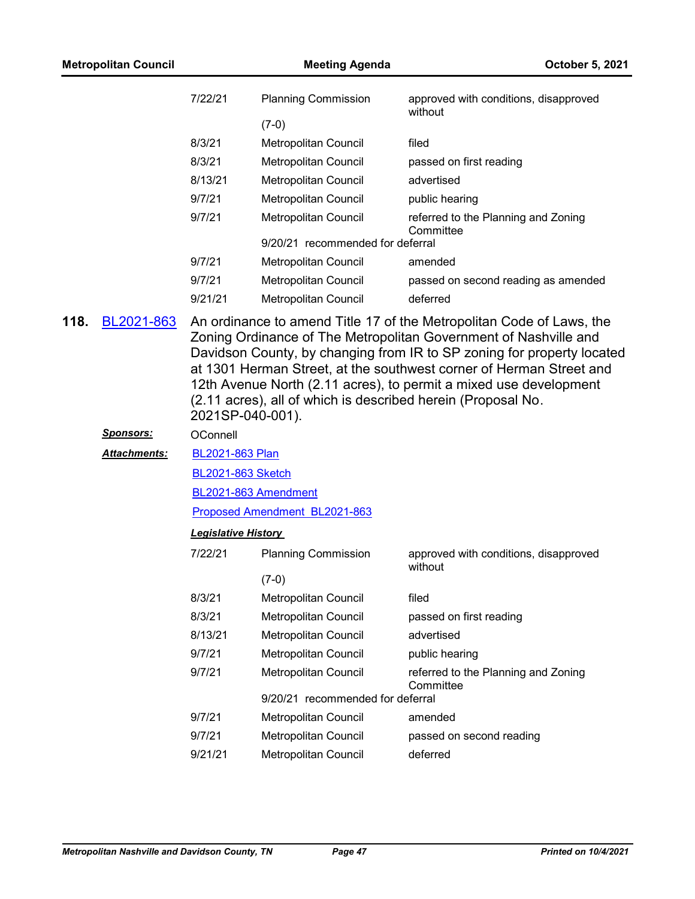| <b>Metropolitan Council</b> |                  | <b>Meeting Agenda</b>      |                                                              | October 5, 2021                                                                                                                                                                                                                                                                                                                                                |
|-----------------------------|------------------|----------------------------|--------------------------------------------------------------|----------------------------------------------------------------------------------------------------------------------------------------------------------------------------------------------------------------------------------------------------------------------------------------------------------------------------------------------------------------|
|                             |                  | 7/22/21                    | <b>Planning Commission</b>                                   | approved with conditions, disapproved<br>without                                                                                                                                                                                                                                                                                                               |
|                             |                  |                            | $(7-0)$                                                      |                                                                                                                                                                                                                                                                                                                                                                |
|                             |                  | 8/3/21                     | Metropolitan Council                                         | filed                                                                                                                                                                                                                                                                                                                                                          |
|                             |                  | 8/3/21                     | Metropolitan Council                                         | passed on first reading                                                                                                                                                                                                                                                                                                                                        |
|                             |                  | 8/13/21                    | Metropolitan Council                                         | advertised                                                                                                                                                                                                                                                                                                                                                     |
|                             |                  | 9/7/21                     | Metropolitan Council                                         | public hearing                                                                                                                                                                                                                                                                                                                                                 |
|                             |                  | 9/7/21                     | Metropolitan Council                                         | referred to the Planning and Zoning<br>Committee                                                                                                                                                                                                                                                                                                               |
|                             |                  |                            | 9/20/21 recommended for deferral                             |                                                                                                                                                                                                                                                                                                                                                                |
|                             |                  | 9/7/21                     | Metropolitan Council                                         | amended                                                                                                                                                                                                                                                                                                                                                        |
|                             |                  | 9/7/21                     | Metropolitan Council                                         | passed on second reading as amended                                                                                                                                                                                                                                                                                                                            |
|                             |                  | 9/21/21                    | <b>Metropolitan Council</b>                                  | deferred                                                                                                                                                                                                                                                                                                                                                       |
|                             |                  | 2021SP-040-001).           | (2.11 acres), all of which is described herein (Proposal No. | An ordinance to amend Title 17 of the Metropolitan Code of Laws, the<br>Zoning Ordinance of The Metropolitan Government of Nashville and<br>Davidson County, by changing from IR to SP zoning for property located<br>at 1301 Herman Street, at the southwest corner of Herman Street and<br>12th Avenue North (2.11 acres), to permit a mixed use development |
|                             | <u>Sponsors:</u> | OConnell                   |                                                              |                                                                                                                                                                                                                                                                                                                                                                |
|                             | Attachments:     | BL2021-863 Plan            |                                                              |                                                                                                                                                                                                                                                                                                                                                                |
|                             |                  | <b>BL2021-863 Sketch</b>   |                                                              |                                                                                                                                                                                                                                                                                                                                                                |
|                             |                  |                            | BL2021-863 Amendment                                         |                                                                                                                                                                                                                                                                                                                                                                |
|                             |                  |                            | Proposed Amendment BL2021-863                                |                                                                                                                                                                                                                                                                                                                                                                |
|                             |                  | <b>Legislative History</b> |                                                              |                                                                                                                                                                                                                                                                                                                                                                |
|                             |                  | 7/22/21                    | <b>Planning Commission</b>                                   | approved with conditions, disapproved<br>without                                                                                                                                                                                                                                                                                                               |
|                             |                  |                            | $(7-0)$                                                      |                                                                                                                                                                                                                                                                                                                                                                |
|                             |                  | 8/3/21                     | Metropolitan Council                                         | filed                                                                                                                                                                                                                                                                                                                                                          |
|                             |                  | 8/3/21                     | Metropolitan Council                                         | passed on first reading                                                                                                                                                                                                                                                                                                                                        |
|                             |                  | 8/13/21                    | Metropolitan Council                                         | advertised                                                                                                                                                                                                                                                                                                                                                     |
|                             |                  | 9/7/21                     | <b>Metropolitan Council</b>                                  | public hearing                                                                                                                                                                                                                                                                                                                                                 |
|                             |                  | 9/7/21                     | Metropolitan Council                                         | referred to the Planning and Zoning<br>Committee                                                                                                                                                                                                                                                                                                               |
|                             |                  |                            | 9/20/21 recommended for deferral                             |                                                                                                                                                                                                                                                                                                                                                                |
|                             |                  | 9/7/21                     | Metropolitan Council                                         | amended                                                                                                                                                                                                                                                                                                                                                        |
|                             |                  | 9/7/21                     | Metropolitan Council                                         | passed on second reading                                                                                                                                                                                                                                                                                                                                       |
|                             |                  | 9/21/21                    | Metropolitan Council                                         | deferred                                                                                                                                                                                                                                                                                                                                                       |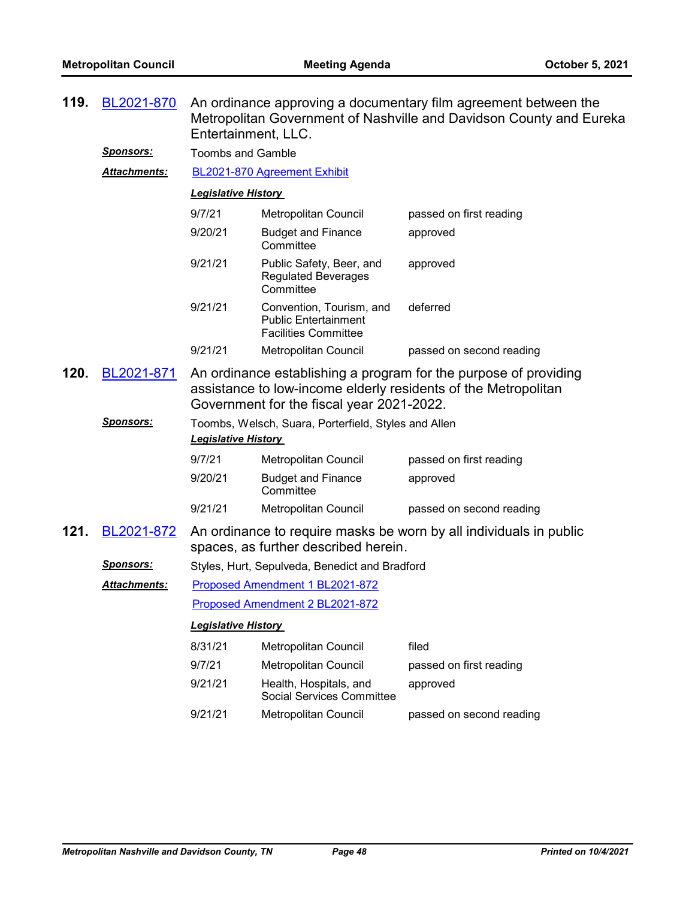| 119. | BL2021-870                     | An ordinance approving a documentary film agreement between the<br>Metropolitan Government of Nashville and Davidson County and Eureka<br>Entertainment, LLC.                                                                                                         |                                                                                        |                                                                    |  |
|------|--------------------------------|-----------------------------------------------------------------------------------------------------------------------------------------------------------------------------------------------------------------------------------------------------------------------|----------------------------------------------------------------------------------------|--------------------------------------------------------------------|--|
|      | Sponsors:                      | <b>Toombs and Gamble</b>                                                                                                                                                                                                                                              |                                                                                        |                                                                    |  |
|      | <b>Attachments:</b>            | BL2021-870 Agreement Exhibit                                                                                                                                                                                                                                          |                                                                                        |                                                                    |  |
|      |                                | <b>Legislative History</b>                                                                                                                                                                                                                                            |                                                                                        |                                                                    |  |
|      |                                | 9/7/21                                                                                                                                                                                                                                                                | Metropolitan Council                                                                   | passed on first reading                                            |  |
|      |                                | 9/20/21                                                                                                                                                                                                                                                               | <b>Budget and Finance</b><br>Committee                                                 | approved                                                           |  |
|      |                                | 9/21/21                                                                                                                                                                                                                                                               | Public Safety, Beer, and<br><b>Regulated Beverages</b><br>Committee                    | approved                                                           |  |
|      |                                | 9/21/21                                                                                                                                                                                                                                                               | Convention, Tourism, and<br><b>Public Entertainment</b><br><b>Facilities Committee</b> | deferred                                                           |  |
|      |                                | 9/21/21                                                                                                                                                                                                                                                               | Metropolitan Council                                                                   | passed on second reading                                           |  |
| 120. | BL2021-871<br><u>Sponsors:</u> | An ordinance establishing a program for the purpose of providing<br>assistance to low-income elderly residents of the Metropolitan<br>Government for the fiscal year 2021-2022.<br>Toombs, Welsch, Suara, Porterfield, Styles and Allen<br><b>Legislative History</b> |                                                                                        |                                                                    |  |
|      |                                | 9/7/21                                                                                                                                                                                                                                                                | Metropolitan Council                                                                   | passed on first reading                                            |  |
|      |                                | 9/20/21                                                                                                                                                                                                                                                               | <b>Budget and Finance</b><br>Committee                                                 | approved                                                           |  |
|      |                                | 9/21/21                                                                                                                                                                                                                                                               | Metropolitan Council                                                                   | passed on second reading                                           |  |
| 121. | BL2021-872                     |                                                                                                                                                                                                                                                                       | spaces, as further described herein.                                                   | An ordinance to require masks be worn by all individuals in public |  |
|      | <b>Sponsors:</b>               |                                                                                                                                                                                                                                                                       | Styles, Hurt, Sepulveda, Benedict and Bradford                                         |                                                                    |  |
|      | <b>Attachments:</b>            |                                                                                                                                                                                                                                                                       | Proposed Amendment 1 BL2021-872                                                        |                                                                    |  |
|      |                                | Proposed Amendment 2 BL2021-872                                                                                                                                                                                                                                       |                                                                                        |                                                                    |  |
|      |                                | <b>Legislative History</b>                                                                                                                                                                                                                                            |                                                                                        |                                                                    |  |
|      |                                | 8/31/21                                                                                                                                                                                                                                                               | Metropolitan Council                                                                   | filed                                                              |  |
|      |                                | 9/7/21                                                                                                                                                                                                                                                                | <b>Metropolitan Council</b>                                                            | passed on first reading                                            |  |
|      |                                | 9/21/21                                                                                                                                                                                                                                                               | Health, Hospitals, and<br><b>Social Services Committee</b>                             | approved                                                           |  |
|      |                                | 9/21/21                                                                                                                                                                                                                                                               | Metropolitan Council                                                                   | passed on second reading                                           |  |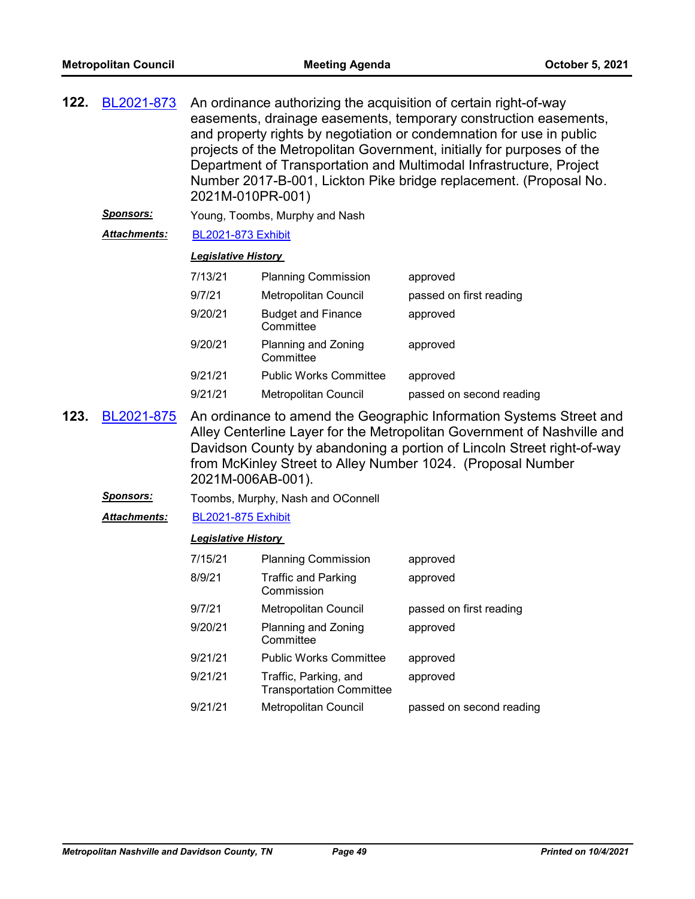| 122. | BL2021-873          | 2021M-010PR-001)               |                            | An ordinance authorizing the acquisition of certain right-of-way<br>easements, drainage easements, temporary construction easements,<br>and property rights by negotiation or condemnation for use in public<br>projects of the Metropolitan Government, initially for purposes of the<br>Department of Transportation and Multimodal Infrastructure, Project<br>Number 2017-B-001, Lickton Pike bridge replacement. (Proposal No. |
|------|---------------------|--------------------------------|----------------------------|------------------------------------------------------------------------------------------------------------------------------------------------------------------------------------------------------------------------------------------------------------------------------------------------------------------------------------------------------------------------------------------------------------------------------------|
|      | <b>Sponsors:</b>    | Young, Toombs, Murphy and Nash |                            |                                                                                                                                                                                                                                                                                                                                                                                                                                    |
|      | <b>Attachments:</b> | <b>BL2021-873 Exhibit</b>      |                            |                                                                                                                                                                                                                                                                                                                                                                                                                                    |
|      |                     | <b>Legislative History</b>     |                            |                                                                                                                                                                                                                                                                                                                                                                                                                                    |
|      |                     | 7/13/21                        | <b>Planning Commission</b> | approved                                                                                                                                                                                                                                                                                                                                                                                                                           |

| 9/7/21  | <b>Metropolitan Council</b>            | passed on first reading  |
|---------|----------------------------------------|--------------------------|
| 9/20/21 | <b>Budget and Finance</b><br>Committee | approved                 |
| 9/20/21 | Planning and Zoning<br>Committee       | approved                 |
| 9/21/21 | <b>Public Works Committee</b>          | approved                 |
| 9/21/21 | Metropolitan Council                   | passed on second reading |

- An ordinance to amend the Geographic Information Systems Street and Alley Centerline Layer for the Metropolitan Government of Nashville and Davidson County by abandoning a portion of Lincoln Street right-of-way from McKinley Street to Alley Number 1024. (Proposal Number 2021M-006AB-001). **123.** [BL2021-875](http://nashville.legistar.com/gateway.aspx?m=l&id=/matter.aspx?key=13486)
	- *Sponsors:* Toombs, Murphy, Nash and OConnell
	- *Attachments:* [BL2021-875 Exhibit](http://nashville.legistar.com/gateway.aspx?M=F&ID=d9892ed5-83ab-4ecd-b0e0-36016fb6622e.docx)

| 7/15/21 | <b>Planning Commission</b>                               | approved                 |
|---------|----------------------------------------------------------|--------------------------|
| 8/9/21  | <b>Traffic and Parking</b><br>Commission                 | approved                 |
| 9/7/21  | <b>Metropolitan Council</b>                              | passed on first reading  |
| 9/20/21 | Planning and Zoning<br>Committee                         | approved                 |
| 9/21/21 | <b>Public Works Committee</b>                            | approved                 |
| 9/21/21 | Traffic, Parking, and<br><b>Transportation Committee</b> | approved                 |
| 9/21/21 | <b>Metropolitan Council</b>                              | passed on second reading |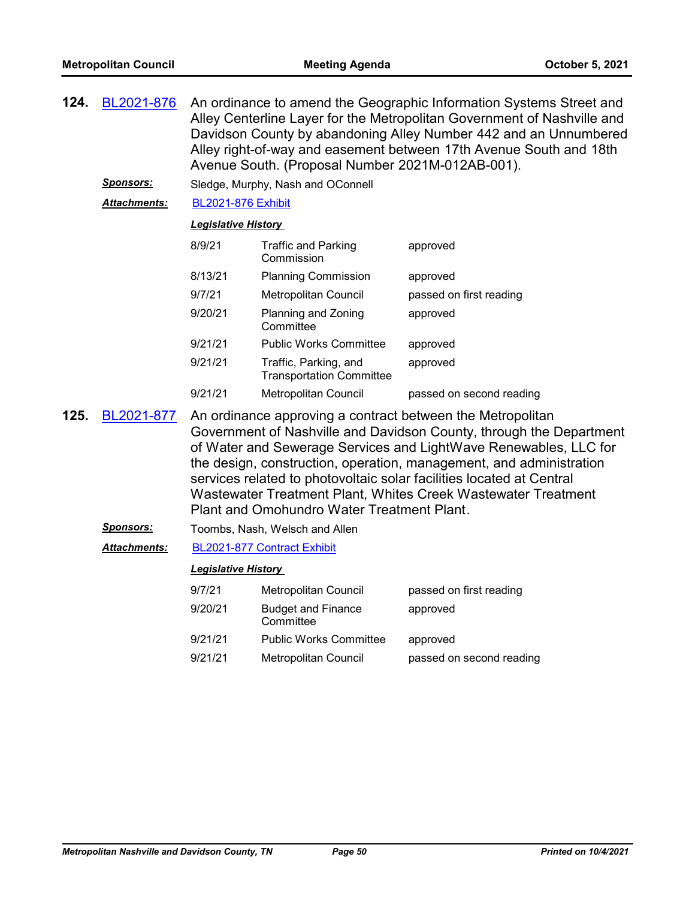| 124. | BL2021-876       | An ordinance to amend the Geographic Information Systems Street and<br>Alley Centerline Layer for the Metropolitan Government of Nashville and<br>Davidson County by abandoning Alley Number 442 and an Unnumbered<br>Alley right-of-way and easement between 17th Avenue South and 18th<br>Avenue South. (Proposal Number 2021M-012AB-001). |                                                          |                                                                                                                                                                                                                                                                                                                                                                                                                       |  |
|------|------------------|----------------------------------------------------------------------------------------------------------------------------------------------------------------------------------------------------------------------------------------------------------------------------------------------------------------------------------------------|----------------------------------------------------------|-----------------------------------------------------------------------------------------------------------------------------------------------------------------------------------------------------------------------------------------------------------------------------------------------------------------------------------------------------------------------------------------------------------------------|--|
|      | <u>Sponsors:</u> |                                                                                                                                                                                                                                                                                                                                              | Sledge, Murphy, Nash and OConnell                        |                                                                                                                                                                                                                                                                                                                                                                                                                       |  |
|      | Attachments:     | <b>BL2021-876 Exhibit</b>                                                                                                                                                                                                                                                                                                                    |                                                          |                                                                                                                                                                                                                                                                                                                                                                                                                       |  |
|      |                  | <b>Legislative History</b>                                                                                                                                                                                                                                                                                                                   |                                                          |                                                                                                                                                                                                                                                                                                                                                                                                                       |  |
|      |                  | 8/9/21                                                                                                                                                                                                                                                                                                                                       | <b>Traffic and Parking</b><br>Commission                 | approved                                                                                                                                                                                                                                                                                                                                                                                                              |  |
|      |                  | 8/13/21                                                                                                                                                                                                                                                                                                                                      | <b>Planning Commission</b>                               | approved                                                                                                                                                                                                                                                                                                                                                                                                              |  |
|      |                  | 9/7/21                                                                                                                                                                                                                                                                                                                                       | Metropolitan Council                                     | passed on first reading                                                                                                                                                                                                                                                                                                                                                                                               |  |
|      |                  | 9/20/21                                                                                                                                                                                                                                                                                                                                      | Planning and Zoning<br>Committee                         | approved                                                                                                                                                                                                                                                                                                                                                                                                              |  |
|      |                  | 9/21/21                                                                                                                                                                                                                                                                                                                                      | <b>Public Works Committee</b>                            | approved                                                                                                                                                                                                                                                                                                                                                                                                              |  |
|      |                  | 9/21/21                                                                                                                                                                                                                                                                                                                                      | Traffic, Parking, and<br><b>Transportation Committee</b> | approved                                                                                                                                                                                                                                                                                                                                                                                                              |  |
|      |                  | 9/21/21                                                                                                                                                                                                                                                                                                                                      | Metropolitan Council                                     | passed on second reading                                                                                                                                                                                                                                                                                                                                                                                              |  |
| 125. | BL2021-877       |                                                                                                                                                                                                                                                                                                                                              | Plant and Omohundro Water Treatment Plant.               | An ordinance approving a contract between the Metropolitan<br>Government of Nashville and Davidson County, through the Department<br>of Water and Sewerage Services and LightWave Renewables, LLC for<br>the design, construction, operation, management, and administration<br>services related to photovoltaic solar facilities located at Central<br>Wastewater Treatment Plant, Whites Creek Wastewater Treatment |  |
|      | <b>Sponsors:</b> |                                                                                                                                                                                                                                                                                                                                              | Toombs, Nash, Welsch and Allen                           |                                                                                                                                                                                                                                                                                                                                                                                                                       |  |
|      | Attachments:     | BL2021-877 Contract Exhibit                                                                                                                                                                                                                                                                                                                  |                                                          |                                                                                                                                                                                                                                                                                                                                                                                                                       |  |
|      |                  | <b>Legislative History</b>                                                                                                                                                                                                                                                                                                                   |                                                          |                                                                                                                                                                                                                                                                                                                                                                                                                       |  |
|      |                  | 9/7/21                                                                                                                                                                                                                                                                                                                                       | Metropolitan Council                                     | passed on first reading                                                                                                                                                                                                                                                                                                                                                                                               |  |
|      |                  | 9/20/21                                                                                                                                                                                                                                                                                                                                      | <b>Budget and Finance</b><br>Committee                   | approved                                                                                                                                                                                                                                                                                                                                                                                                              |  |
|      |                  | 9/21/21                                                                                                                                                                                                                                                                                                                                      | <b>Public Works Committee</b>                            | approved                                                                                                                                                                                                                                                                                                                                                                                                              |  |
|      |                  | 9/21/21                                                                                                                                                                                                                                                                                                                                      | Metropolitan Council                                     | passed on second reading                                                                                                                                                                                                                                                                                                                                                                                              |  |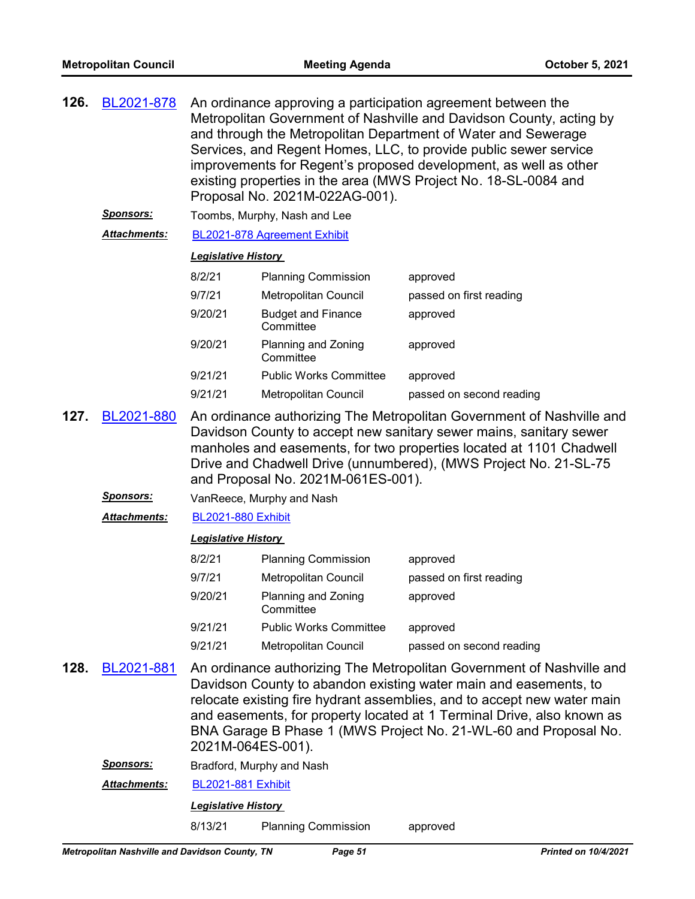| 126. | BL2021-878<br>Sponsors: | An ordinance approving a participation agreement between the<br>Metropolitan Government of Nashville and Davidson County, acting by<br>and through the Metropolitan Department of Water and Sewerage<br>Services, and Regent Homes, LLC, to provide public sewer service<br>improvements for Regent's proposed development, as well as other<br>existing properties in the area (MWS Project No. 18-SL-0084 and<br>Proposal No. 2021M-022AG-001).<br>Toombs, Murphy, Nash and Lee |                                        |                          |
|------|-------------------------|-----------------------------------------------------------------------------------------------------------------------------------------------------------------------------------------------------------------------------------------------------------------------------------------------------------------------------------------------------------------------------------------------------------------------------------------------------------------------------------|----------------------------------------|--------------------------|
|      |                         |                                                                                                                                                                                                                                                                                                                                                                                                                                                                                   |                                        |                          |
|      | <b>Attachments:</b>     |                                                                                                                                                                                                                                                                                                                                                                                                                                                                                   | BL2021-878 Agreement Exhibit           |                          |
|      |                         | <b>Legislative History</b>                                                                                                                                                                                                                                                                                                                                                                                                                                                        |                                        |                          |
|      |                         | 8/2/21                                                                                                                                                                                                                                                                                                                                                                                                                                                                            | <b>Planning Commission</b>             | approved                 |
|      |                         | 9/7/21                                                                                                                                                                                                                                                                                                                                                                                                                                                                            | Metropolitan Council                   | passed on first reading  |
|      |                         | 9/20/21                                                                                                                                                                                                                                                                                                                                                                                                                                                                           | <b>Budget and Finance</b><br>Committee | approved                 |
|      |                         | 9/20/21                                                                                                                                                                                                                                                                                                                                                                                                                                                                           | Planning and Zoning<br>Committee       | approved                 |
|      |                         | 9/21/21                                                                                                                                                                                                                                                                                                                                                                                                                                                                           | <b>Public Works Committee</b>          | approved                 |
|      |                         | 9/21/21                                                                                                                                                                                                                                                                                                                                                                                                                                                                           | Metropolitan Council                   | passed on second reading |
| 127. | BL2021-880              | An ordinance authorizing The Metropolitan Government of Nashville and<br>Davidson County to accept new sanitary sewer mains, sanitary sewer<br>manholes and easements, for two properties located at 1101 Chadwell<br>Drive and Chadwell Drive (unnumbered), (MWS Project No. 21-SL-75<br>and Proposal No. 2021M-061ES-001).                                                                                                                                                      |                                        |                          |
|      | <u>Sponsors:</u>        | VanReece, Murphy and Nash                                                                                                                                                                                                                                                                                                                                                                                                                                                         |                                        |                          |
|      | Attachments:            | <b>BL2021-880 Exhibit</b>                                                                                                                                                                                                                                                                                                                                                                                                                                                         |                                        |                          |
|      |                         | <b>Legislative History</b>                                                                                                                                                                                                                                                                                                                                                                                                                                                        |                                        |                          |
|      |                         | 8/2/21                                                                                                                                                                                                                                                                                                                                                                                                                                                                            | <b>Planning Commission</b>             | approved                 |
|      |                         | 9/7/21                                                                                                                                                                                                                                                                                                                                                                                                                                                                            | Metropolitan Council                   | passed on first reading  |
|      |                         | 9/20/21                                                                                                                                                                                                                                                                                                                                                                                                                                                                           | Planning and Zoning<br>Committee       | approved                 |
|      |                         | 9/21/21                                                                                                                                                                                                                                                                                                                                                                                                                                                                           | <b>Public Works Committee</b>          | approved                 |
|      |                         | 9/21/21                                                                                                                                                                                                                                                                                                                                                                                                                                                                           | Metropolitan Council                   | passed on second reading |
| 128. | BL2021-881              | An ordinance authorizing The Metropolitan Government of Nashville and<br>Davidson County to abandon existing water main and easements, to<br>relocate existing fire hydrant assemblies, and to accept new water main<br>and easements, for property located at 1 Terminal Drive, also known as<br>BNA Garage B Phase 1 (MWS Project No. 21-WL-60 and Proposal No.<br>2021M-064ES-001).                                                                                            |                                        |                          |
|      | <u>Sponsors:</u>        |                                                                                                                                                                                                                                                                                                                                                                                                                                                                                   | Bradford, Murphy and Nash              |                          |
|      | Attachments:            | <b>BL2021-881 Exhibit</b>                                                                                                                                                                                                                                                                                                                                                                                                                                                         |                                        |                          |
|      |                         | <b>Legislative History</b>                                                                                                                                                                                                                                                                                                                                                                                                                                                        |                                        |                          |

8/13/21 Planning Commission approved